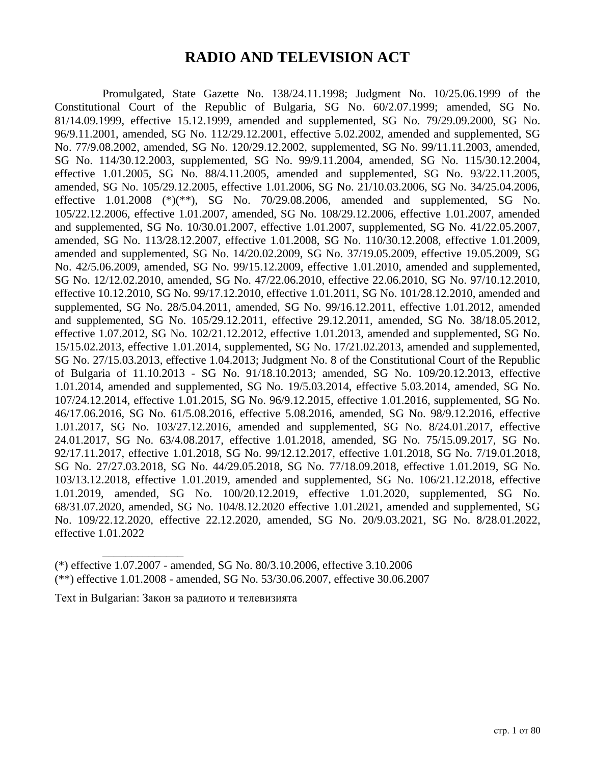# **RADIO AND TELEVISION ACT**

Promulgated, State Gazette No. 138/24.11.1998; Judgment No. 10/25.06.1999 of the Constitutional Court of the Republic of Bulgaria, SG No. 60/2.07.1999; amended, SG No. 81/14.09.1999, effective 15.12.1999, amended and supplemented, SG No. 79/29.09.2000, SG No. 96/9.11.2001, amended, SG No. 112/29.12.2001, effective 5.02.2002, amended and supplemented, SG No. 77/9.08.2002, amended, SG No. 120/29.12.2002, supplemented, SG No. 99/11.11.2003, amended, SG No. 114/30.12.2003, supplemented, SG No. 99/9.11.2004, amended, SG No. 115/30.12.2004, effective 1.01.2005, SG No. 88/4.11.2005, amended and supplemented, SG No. 93/22.11.2005, amended, SG No. 105/29.12.2005, effective 1.01.2006, SG No. 21/10.03.2006, SG No. 34/25.04.2006, effective  $1.01.2008$  (\*)(\*\*), SG No. 70/29.08.2006, amended and supplemented, SG No. 105/22.12.2006, effective 1.01.2007, amended, SG No. 108/29.12.2006, effective 1.01.2007, amended and supplemented, SG No. 10/30.01.2007, effective 1.01.2007, supplemented, SG No. 41/22.05.2007, amended, SG No. 113/28.12.2007, effective 1.01.2008, SG No. 110/30.12.2008, effective 1.01.2009, amended and supplemented, SG No. 14/20.02.2009, SG No. 37/19.05.2009, effective 19.05.2009, SG No. 42/5.06.2009, amended, SG No. 99/15.12.2009, effective 1.01.2010, amended and supplemented, SG No. 12/12.02.2010, amended, SG No. 47/22.06.2010, effective 22.06.2010, SG No. 97/10.12.2010, effective 10.12.2010, SG No. 99/17.12.2010, effective 1.01.2011, SG No. 101/28.12.2010, amended and supplemented, SG No. 28/5.04.2011, amended, SG No. 99/16.12.2011, effective 1.01.2012, amended and supplemented, SG No. 105/29.12.2011, effective 29.12.2011, amended, SG No. 38/18.05.2012, effective 1.07.2012, SG No. 102/21.12.2012, effective 1.01.2013, amended and supplemented, SG No. 15/15.02.2013, effective 1.01.2014, supplemented, SG No. 17/21.02.2013, amended and supplemented, SG No. 27/15.03.2013, effective 1.04.2013; Judgment No. 8 of the Constitutional Court of the Republic of Bulgaria of 11.10.2013 - SG No. 91/18.10.2013; amended, SG No. 109/20.12.2013, effective 1.01.2014, amended and supplemented, SG No. 19/5.03.2014, effective 5.03.2014, amended, SG No. 107/24.12.2014, effective 1.01.2015, SG No. 96/9.12.2015, effective 1.01.2016, supplemented, SG No. 46/17.06.2016, SG No. 61/5.08.2016, effective 5.08.2016, amended, SG No. 98/9.12.2016, effective 1.01.2017, SG No. 103/27.12.2016, amended and supplemented, SG No. 8/24.01.2017, effective 24.01.2017, SG No. 63/4.08.2017, effective 1.01.2018, amended, SG No. 75/15.09.2017, SG No. 92/17.11.2017, effective 1.01.2018, SG No. 99/12.12.2017, effective 1.01.2018, SG No. 7/19.01.2018, SG No. 27/27.03.2018, SG No. 44/29.05.2018, SG No. 77/18.09.2018, effective 1.01.2019, SG No. 103/13.12.2018, effective 1.01.2019, amended and supplemented, SG No. 106/21.12.2018, effective 1.01.2019, amended, SG No. 100/20.12.2019, effective 1.01.2020, supplemented, SG No. 68/31.07.2020, amended, SG No. 104/8.12.2020 effective 1.01.2021, amended and supplemented, SG No. 109/22.12.2020, effective 22.12.2020, amended, SG No. 20/9.03.2021, SG No. 8/28.01.2022, effective 1.01.2022

(\*) effective 1.07.2007 - amended, SG No. 80/3.10.2006, effective 3.10.2006 (\*\*) effective 1.01.2008 - amended, SG No. 53/30.06.2007, effective 30.06.2007

Text in Bulgarian: Закон за радиото и телевизията

\_\_\_\_\_\_\_\_\_\_\_\_\_\_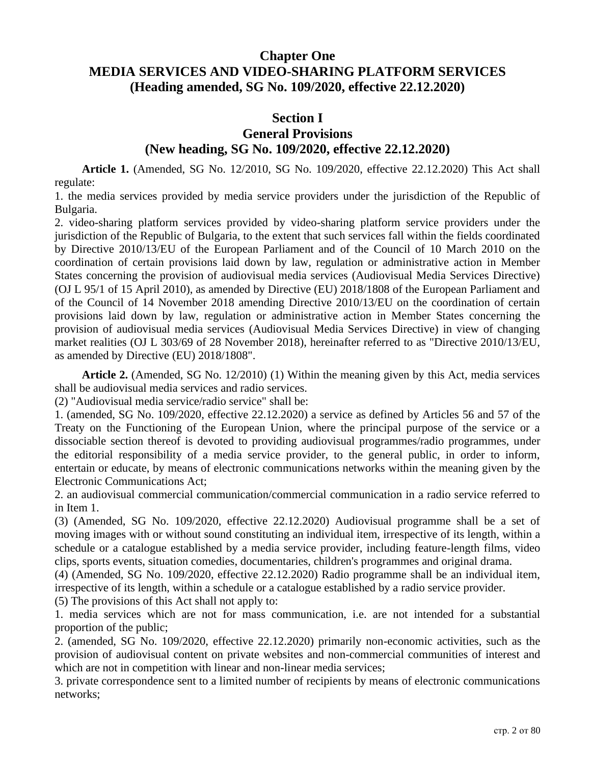## **Chapter One MEDIA SERVICES AND VIDEO-SHARING PLATFORM SERVICES (Heading amended, SG No. 109/2020, effective 22.12.2020)**

#### **Section I**

### **General Provisions (New heading, SG No. 109/2020, effective 22.12.2020)**

**Article 1.** (Amended, SG No. 12/2010, SG No. 109/2020, effective 22.12.2020) This Act shall regulate:

1. the media services provided by media service providers under the jurisdiction of the Republic of Bulgaria.

2. video-sharing platform services provided by video-sharing platform service providers under the jurisdiction of the Republic of Bulgaria, to the extent that such services fall within the fields coordinated by Directive 2010/13/EU of the European Parliament and of the Council of 10 March 2010 on the coordination of certain provisions laid down by law, regulation or administrative action in Member States concerning the provision of audiovisual media services (Audiovisual Media Services Directive) (OJ L 95/1 of 15 April 2010), as amended by Directive (EU) 2018/1808 of the European Parliament and of the Council of 14 November 2018 amending Directive 2010/13/EU on the coordination of certain provisions laid down by law, regulation or administrative action in Member States concerning the provision of audiovisual media services (Audiovisual Media Services Directive) in view of changing market realities (OJ L 303/69 of 28 November 2018), hereinafter referred to as "Directive 2010/13/EU, as amended by Directive (EU) 2018/1808".

**Article 2.** (Amended, SG No. 12/2010) (1) Within the meaning given by this Act, media services shall be audiovisual media services and radio services.

(2) "Audiovisual media service/radio service" shall be:

1. (amended, SG No. 109/2020, effective 22.12.2020) a service as defined by Articles 56 and 57 of the Treaty on the Functioning of the European Union, where the principal purpose of the service or a dissociable section thereof is devoted to providing audiovisual programmes/radio programmes, under the editorial responsibility of a media service provider, to the general public, in order to inform, entertain or educate, by means of electronic communications networks within the meaning given by the Electronic Communications Act;

2. an audiovisual commercial communication/commercial communication in a radio service referred to in Item 1.

(3) (Amended, SG No. 109/2020, effective 22.12.2020) Audiovisual programme shall be a set of moving images with or without sound constituting an individual item, irrespective of its length, within a schedule or a catalogue established by a media service provider, including feature-length films, video clips, sports events, situation comedies, documentaries, children's programmes and original drama.

(4) (Amended, SG No. 109/2020, effective 22.12.2020) Radio programme shall be an individual item, irrespective of its length, within a schedule or a catalogue established by a radio service provider.

(5) The provisions of this Act shall not apply to:

1. media services which are not for mass communication, i.e. are not intended for a substantial proportion of the public;

2. (amended, SG No. 109/2020, effective 22.12.2020) primarily non-economic activities, such as the provision of audiovisual content on private websites and non-commercial communities of interest and which are not in competition with linear and non-linear media services;

3. private correspondence sent to a limited number of recipients by means of electronic communications networks;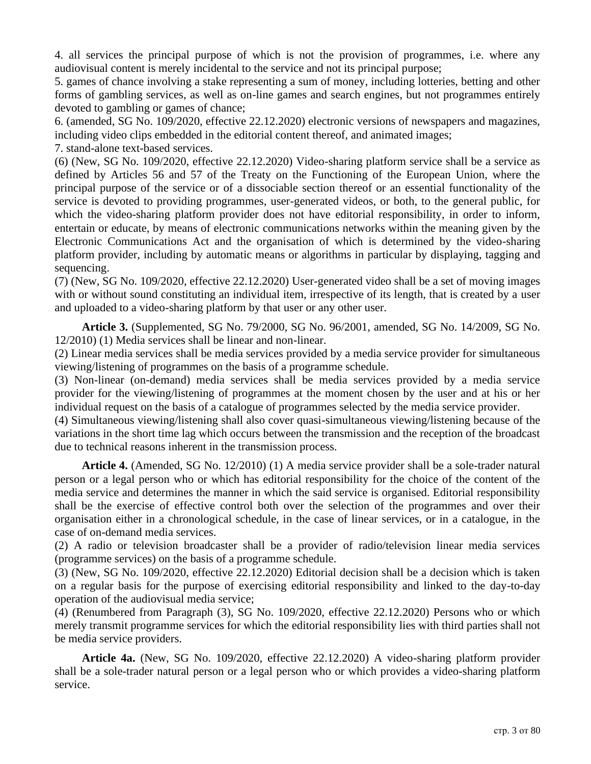4. all services the principal purpose of which is not the provision of programmes, i.e. where any audiovisual content is merely incidental to the service and not its principal purpose;

5. games of chance involving a stake representing a sum of money, including lotteries, betting and other forms of gambling services, as well as on-line games and search engines, but not programmes entirely devoted to gambling or games of chance;

6. (amended, SG No. 109/2020, effective 22.12.2020) electronic versions of newspapers and magazines, including video clips embedded in the editorial content thereof, and animated images;

7. stand-alone text-based services.

(6) (New, SG No. 109/2020, effective 22.12.2020) Video-sharing platform service shall be a service as defined by Articles 56 and 57 of the Treaty on the Functioning of the European Union, where the principal purpose of the service or of a dissociable section thereof or an essential functionality of the service is devoted to providing programmes, user-generated videos, or both, to the general public, for which the video-sharing platform provider does not have editorial responsibility, in order to inform, entertain or educate, by means of electronic communications networks within the meaning given by the Electronic Communications Act and the organisation of which is determined by the video-sharing platform provider, including by automatic means or algorithms in particular by displaying, tagging and sequencing.

(7) (New, SG No. 109/2020, effective 22.12.2020) User-generated video shall be a set of moving images with or without sound constituting an individual item, irrespective of its length, that is created by a user and uploaded to a video-sharing platform by that user or any other user.

**Article 3.** (Supplemented, SG No. 79/2000, SG No. 96/2001, amended, SG No. 14/2009, SG No. 12/2010) (1) Media services shall be linear and non-linear.

(2) Linear media services shall be media services provided by a media service provider for simultaneous viewing/listening of programmes on the basis of a programme schedule.

(3) Non-linear (on-demand) media services shall be media services provided by a media service provider for the viewing/listening of programmes at the moment chosen by the user and at his or her individual request on the basis of a catalogue of programmes selected by the media service provider.

(4) Simultaneous viewing/listening shall also cover quasi-simultaneous viewing/listening because of the variations in the short time lag which occurs between the transmission and the reception of the broadcast due to technical reasons inherent in the transmission process.

**Article 4.** (Amended, SG No. 12/2010) (1) A media service provider shall be a sole-trader natural person or a legal person who or which has editorial responsibility for the choice of the content of the media service and determines the manner in which the said service is organised. Editorial responsibility shall be the exercise of effective control both over the selection of the programmes and over their organisation either in a chronological schedule, in the case of linear services, or in a catalogue, in the case of on-demand media services.

(2) A radio or television broadcaster shall be a provider of radio/television linear media services (programme services) on the basis of a programme schedule.

(3) (New, SG No. 109/2020, effective 22.12.2020) Editorial decision shall be a decision which is taken on a regular basis for the purpose of exercising editorial responsibility and linked to the day-to-day operation of the audiovisual media service;

(4) (Renumbered from Paragraph (3), SG No. 109/2020, effective 22.12.2020) Persons who or which merely transmit programme services for which the editorial responsibility lies with third parties shall not be media service providers.

**Article 4a.** (New, SG No. 109/2020, effective 22.12.2020) A video-sharing platform provider shall be a sole-trader natural person or a legal person who or which provides a video-sharing platform service.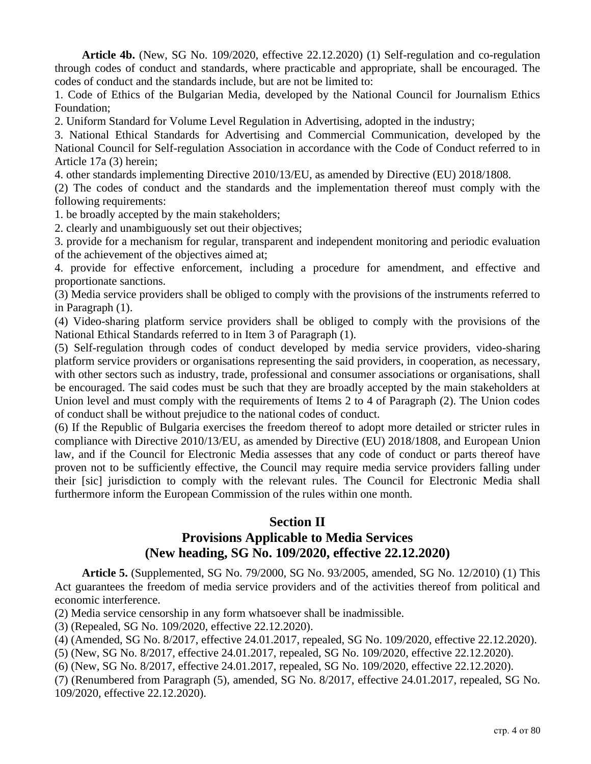**Article 4b.** (New, SG No. 109/2020, effective 22.12.2020) (1) Self-regulation and co-regulation through codes of conduct and standards, where practicable and appropriate, shall be encouraged. The codes of conduct and the standards include, but are not be limited to:

1. Code of Ethics of the Bulgarian Media, developed by the National Council for Journalism Ethics Foundation;

2. Uniform Standard for Volume Level Regulation in Advertising, adopted in the industry;

3. National Ethical Standards for Advertising and Commercial Communication, developed by the National Council for Self-regulation Association in accordance with the Code of Conduct referred to in Article 17a (3) herein;

4. other standards implementing Directive 2010/13/EU, as amended by Directive (EU) 2018/1808.

(2) The codes of conduct and the standards and the implementation thereof must comply with the following requirements:

1. be broadly accepted by the main stakeholders;

2. clearly and unambiguously set out their objectives;

3. provide for a mechanism for regular, transparent and independent monitoring and periodic evaluation of the achievement of the objectives aimed at;

4. provide for effective enforcement, including a procedure for amendment, and effective and proportionate sanctions.

(3) Media service providers shall be obliged to comply with the provisions of the instruments referred to in Paragraph (1).

(4) Video-sharing platform service providers shall be obliged to comply with the provisions of the National Ethical Standards referred to in Item 3 of Paragraph (1).

(5) Self-regulation through codes of conduct developed by media service providers, video-sharing platform service providers or organisations representing the said providers, in cooperation, as necessary, with other sectors such as industry, trade, professional and consumer associations or organisations, shall be encouraged. The said codes must be such that they are broadly accepted by the main stakeholders at Union level and must comply with the requirements of Items 2 to 4 of Paragraph (2). The Union codes of conduct shall be without prejudice to the national codes of conduct.

(6) If the Republic of Bulgaria exercises the freedom thereof to adopt more detailed or stricter rules in compliance with Directive 2010/13/EU, as amended by Directive (EU) 2018/1808, and European Union law, and if the Council for Electronic Media assesses that any code of conduct or parts thereof have proven not to be sufficiently effective, the Council may require media service providers falling under their [sic] jurisdiction to comply with the relevant rules. The Council for Electronic Media shall furthermore inform the European Commission of the rules within one month.

## **Section II Provisions Applicable to Media Services (New heading, SG No. 109/2020, effective 22.12.2020)**

**Article 5.** (Supplemented, SG No. 79/2000, SG No. 93/2005, amended, SG No. 12/2010) (1) This Act guarantees the freedom of media service providers and of the activities thereof from political and economic interference.

(2) Media service censorship in any form whatsoever shall be inadmissible.

(3) (Repealed, SG No. 109/2020, effective 22.12.2020).

(4) (Amended, SG No. 8/2017, effective 24.01.2017, repealed, SG No. 109/2020, effective 22.12.2020).

(5) (New, SG No. 8/2017, effective 24.01.2017, repealed, SG No. 109/2020, effective 22.12.2020).

(6) (New, SG No. 8/2017, effective 24.01.2017, repealed, SG No. 109/2020, effective 22.12.2020).

(7) (Renumbered from Paragraph (5), amended, SG No. 8/2017, effective 24.01.2017, repealed, SG No. 109/2020, effective 22.12.2020).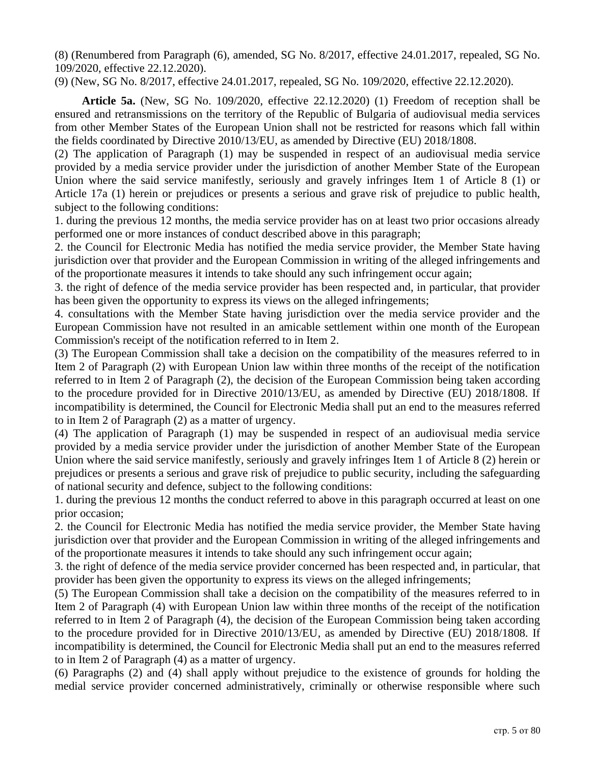(8) (Renumbered from Paragraph (6), amended, SG No. 8/2017, effective 24.01.2017, repealed, SG No. 109/2020, effective 22.12.2020).

(9) (New, SG No. 8/2017, effective 24.01.2017, repealed, SG No. 109/2020, effective 22.12.2020).

**Article 5a.** (New, SG No. 109/2020, effective 22.12.2020) (1) Freedom of reception shall be ensured and retransmissions on the territory of the Republic of Bulgaria of audiovisual media services from other Member States of the European Union shall not be restricted for reasons which fall within the fields coordinated by Directive 2010/13/EU, as amended by Directive (EU) 2018/1808.

(2) The application of Paragraph (1) may be suspended in respect of an audiovisual media service provided by a media service provider under the jurisdiction of another Member State of the European Union where the said service manifestly, seriously and gravely infringes Item 1 of Article 8 (1) or Article 17a (1) herein or prejudices or presents a serious and grave risk of prejudice to public health, subject to the following conditions:

1. during the previous 12 months, the media service provider has on at least two prior occasions already performed one or more instances of conduct described above in this paragraph;

2. the Council for Electronic Media has notified the media service provider, the Member State having jurisdiction over that provider and the European Commission in writing of the alleged infringements and of the proportionate measures it intends to take should any such infringement occur again;

3. the right of defence of the media service provider has been respected and, in particular, that provider has been given the opportunity to express its views on the alleged infringements;

4. consultations with the Member State having jurisdiction over the media service provider and the European Commission have not resulted in an amicable settlement within one month of the European Commission's receipt of the notification referred to in Item 2.

(3) The European Commission shall take a decision on the compatibility of the measures referred to in Item 2 of Paragraph (2) with European Union law within three months of the receipt of the notification referred to in Item 2 of Paragraph (2), the decision of the European Commission being taken according to the procedure provided for in Directive 2010/13/EU, as amended by Directive (EU) 2018/1808. If incompatibility is determined, the Council for Electronic Media shall put an end to the measures referred to in Item 2 of Paragraph (2) as a matter of urgency.

(4) The application of Paragraph (1) may be suspended in respect of an audiovisual media service provided by a media service provider under the jurisdiction of another Member State of the European Union where the said service manifestly, seriously and gravely infringes Item 1 of Article 8 (2) herein or prejudices or presents a serious and grave risk of prejudice to public security, including the safeguarding of national security and defence, subject to the following conditions:

1. during the previous 12 months the conduct referred to above in this paragraph occurred at least on one prior occasion;

2. the Council for Electronic Media has notified the media service provider, the Member State having jurisdiction over that provider and the European Commission in writing of the alleged infringements and of the proportionate measures it intends to take should any such infringement occur again;

3. the right of defence of the media service provider concerned has been respected and, in particular, that provider has been given the opportunity to express its views on the alleged infringements;

(5) The European Commission shall take a decision on the compatibility of the measures referred to in Item 2 of Paragraph (4) with European Union law within three months of the receipt of the notification referred to in Item 2 of Paragraph (4), the decision of the European Commission being taken according to the procedure provided for in Directive 2010/13/EU, as amended by Directive (EU) 2018/1808. If incompatibility is determined, the Council for Electronic Media shall put an end to the measures referred to in Item 2 of Paragraph (4) as a matter of urgency.

(6) Paragraphs (2) and (4) shall apply without prejudice to the existence of grounds for holding the medial service provider concerned administratively, criminally or otherwise responsible where such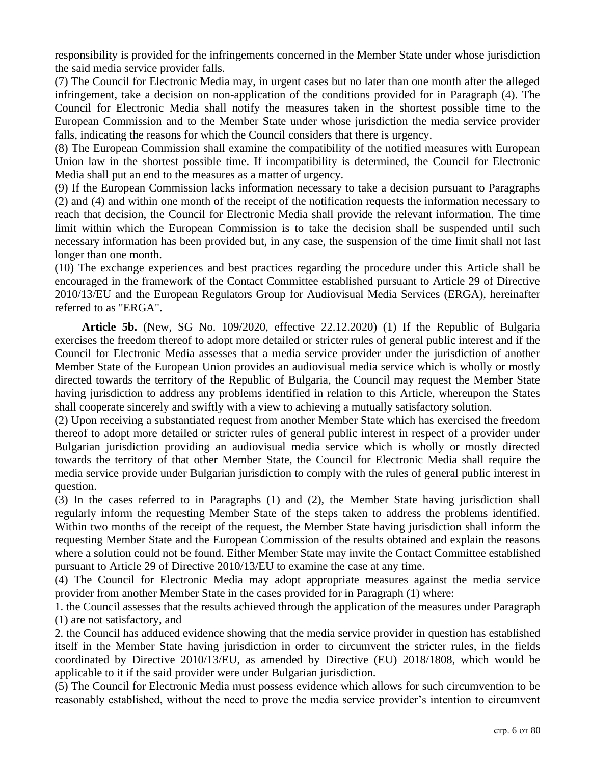responsibility is provided for the infringements concerned in the Member State under whose jurisdiction the said media service provider falls.

(7) The Council for Electronic Media may, in urgent cases but no later than one month after the alleged infringement, take a decision on non-application of the conditions provided for in Paragraph (4). The Council for Electronic Media shall notify the measures taken in the shortest possible time to the European Commission and to the Member State under whose jurisdiction the media service provider falls, indicating the reasons for which the Council considers that there is urgency.

(8) The European Commission shall examine the compatibility of the notified measures with European Union law in the shortest possible time. If incompatibility is determined, the Council for Electronic Media shall put an end to the measures as a matter of urgency.

(9) If the European Commission lacks information necessary to take a decision pursuant to Paragraphs (2) and (4) and within one month of the receipt of the notification requests the information necessary to reach that decision, the Council for Electronic Media shall provide the relevant information. The time limit within which the European Commission is to take the decision shall be suspended until such necessary information has been provided but, in any case, the suspension of the time limit shall not last longer than one month.

(10) The exchange experiences and best practices regarding the procedure under this Article shall be encouraged in the framework of the Contact Committee established pursuant to Article 29 of Directive 2010/13/EU and the European Regulators Group for Audiovisual Media Services (ERGA), hereinafter referred to as "ERGA".

**Article 5b.** (New, SG No. 109/2020, effective 22.12.2020) (1) If the Republic of Bulgaria exercises the freedom thereof to adopt more detailed or stricter rules of general public interest and if the Council for Electronic Media assesses that a media service provider under the jurisdiction of another Member State of the European Union provides an audiovisual media service which is wholly or mostly directed towards the territory of the Republic of Bulgaria, the Council may request the Member State having jurisdiction to address any problems identified in relation to this Article, whereupon the States shall cooperate sincerely and swiftly with a view to achieving a mutually satisfactory solution.

(2) Upon receiving a substantiated request from another Member State which has exercised the freedom thereof to adopt more detailed or stricter rules of general public interest in respect of a provider under Bulgarian jurisdiction providing an audiovisual media service which is wholly or mostly directed towards the territory of that other Member State, the Council for Electronic Media shall require the media service provide under Bulgarian jurisdiction to comply with the rules of general public interest in question.

(3) In the cases referred to in Paragraphs (1) and (2), the Member State having jurisdiction shall regularly inform the requesting Member State of the steps taken to address the problems identified. Within two months of the receipt of the request, the Member State having jurisdiction shall inform the requesting Member State and the European Commission of the results obtained and explain the reasons where a solution could not be found. Either Member State may invite the Contact Committee established pursuant to Article 29 of Directive 2010/13/EU to examine the case at any time.

(4) The Council for Electronic Media may adopt appropriate measures against the media service provider from another Member State in the cases provided for in Paragraph (1) where:

1. the Council assesses that the results achieved through the application of the measures under Paragraph (1) are not satisfactory, and

2. the Council has adduced evidence showing that the media service provider in question has established itself in the Member State having jurisdiction in order to circumvent the stricter rules, in the fields coordinated by Directive 2010/13/EU, as amended by Directive (EU) 2018/1808, which would be applicable to it if the said provider were under Bulgarian jurisdiction.

(5) The Council for Electronic Media must possess evidence which allows for such circumvention to be reasonably established, without the need to prove the media service provider's intention to circumvent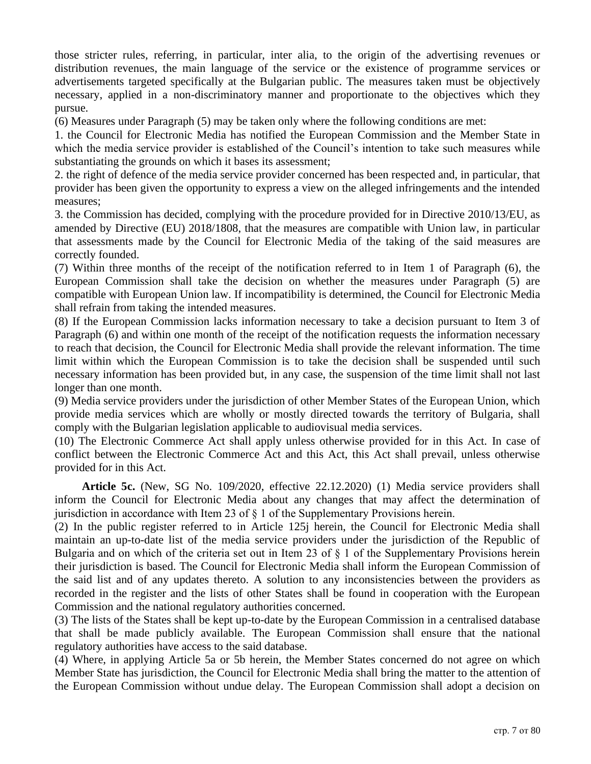those stricter rules, referring, in particular, inter alia, to the origin of the advertising revenues or distribution revenues, the main language of the service or the existence of programme services or advertisements targeted specifically at the Bulgarian public. The measures taken must be objectively necessary, applied in a non-discriminatory manner and proportionate to the objectives which they pursue.

(6) Measures under Paragraph (5) may be taken only where the following conditions are met:

1. the Council for Electronic Media has notified the European Commission and the Member State in which the media service provider is established of the Council's intention to take such measures while substantiating the grounds on which it bases its assessment;

2. the right of defence of the media service provider concerned has been respected and, in particular, that provider has been given the opportunity to express a view on the alleged infringements and the intended measures;

3. the Commission has decided, complying with the procedure provided for in Directive 2010/13/EU, as amended by Directive (EU) 2018/1808, that the measures are compatible with Union law, in particular that assessments made by the Council for Electronic Media of the taking of the said measures are correctly founded.

(7) Within three months of the receipt of the notification referred to in Item 1 of Paragraph (6), the European Commission shall take the decision on whether the measures under Paragraph (5) are compatible with European Union law. If incompatibility is determined, the Council for Electronic Media shall refrain from taking the intended measures.

(8) If the European Commission lacks information necessary to take a decision pursuant to Item 3 of Paragraph (6) and within one month of the receipt of the notification requests the information necessary to reach that decision, the Council for Electronic Media shall provide the relevant information. The time limit within which the European Commission is to take the decision shall be suspended until such necessary information has been provided but, in any case, the suspension of the time limit shall not last longer than one month.

(9) Media service providers under the jurisdiction of other Member States of the European Union, which provide media services which are wholly or mostly directed towards the territory of Bulgaria, shall comply with the Bulgarian legislation applicable to audiovisual media services.

(10) The Electronic Commerce Act shall apply unless otherwise provided for in this Act. In case of conflict between the Electronic Commerce Act and this Act, this Act shall prevail, unless otherwise provided for in this Act.

**Article 5c.** (New, SG No. 109/2020, effective 22.12.2020) (1) Media service providers shall inform the Council for Electronic Media about any changes that may affect the determination of jurisdiction in accordance with Item 23 of  $\S$  1 of the Supplementary Provisions herein.

(2) In the public register referred to in Article 125j herein, the Council for Electronic Media shall maintain an up-to-date list of the media service providers under the jurisdiction of the Republic of Bulgaria and on which of the criteria set out in Item 23 of § 1 of the Supplementary Provisions herein their jurisdiction is based. The Council for Electronic Media shall inform the European Commission of the said list and of any updates thereto. A solution to any inconsistencies between the providers as recorded in the register and the lists of other States shall be found in cooperation with the European Commission and the national regulatory authorities concerned.

(3) The lists of the States shall be kept up-to-date by the European Commission in a centralised database that shall be made publicly available. The European Commission shall ensure that the national regulatory authorities have access to the said database.

(4) Where, in applying Article 5a or 5b herein, the Member States concerned do not agree on which Member State has jurisdiction, the Council for Electronic Media shall bring the matter to the attention of the European Commission without undue delay. The European Commission shall adopt a decision on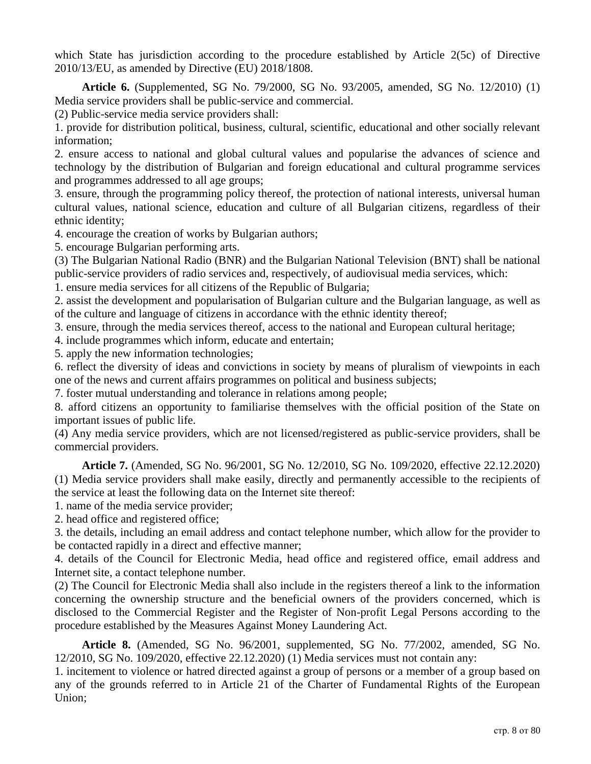which State has jurisdiction according to the procedure established by Article 2(5c) of Directive 2010/13/EU, as amended by Directive (EU) 2018/1808.

**Article 6.** (Supplemented, SG No. 79/2000, SG No. 93/2005, amended, SG No. 12/2010) (1) Media service providers shall be public-service and commercial.

(2) Public-service media service providers shall:

1. provide for distribution political, business, cultural, scientific, educational and other socially relevant information;

2. ensure access to national and global cultural values and popularise the advances of science and technology by the distribution of Bulgarian and foreign educational and cultural programme services and programmes addressed to all age groups;

3. ensure, through the programming policy thereof, the protection of national interests, universal human cultural values, national science, education and culture of all Bulgarian citizens, regardless of their ethnic identity;

4. encourage the creation of works by Bulgarian authors;

5. encourage Bulgarian performing arts.

(3) The Bulgarian National Radio (BNR) and the Bulgarian National Television (BNT) shall be national public-service providers of radio services and, respectively, of audiovisual media services, which:

1. ensure media services for all citizens of the Republic of Bulgaria;

2. assist the development and popularisation of Bulgarian culture and the Bulgarian language, as well as of the culture and language of citizens in accordance with the ethnic identity thereof;

3. ensure, through the media services thereof, access to the national and European cultural heritage;

4. include programmes which inform, educate and entertain;

5. apply the new information technologies;

6. reflect the diversity of ideas and convictions in society by means of pluralism of viewpoints in each one of the news and current affairs programmes on political and business subjects;

7. foster mutual understanding and tolerance in relations among people;

8. afford citizens an opportunity to familiarise themselves with the official position of the State on important issues of public life.

(4) Any media service providers, which are not licensed/registered as public-service providers, shall be commercial providers.

**Article 7.** (Amended, SG No. 96/2001, SG No. 12/2010, SG No. 109/2020, effective 22.12.2020) (1) Media service providers shall make easily, directly and permanently accessible to the recipients of the service at least the following data on the Internet site thereof:

1. name of the media service provider;

2. head office and registered office;

3. the details, including an email address and contact telephone number, which allow for the provider to be contacted rapidly in a direct and effective manner;

4. details of the Council for Electronic Media, head office and registered office, email address and Internet site, a contact telephone number.

(2) The Council for Electronic Media shall also include in the registers thereof a link to the information concerning the ownership structure and the beneficial owners of the providers concerned, which is disclosed to the Commercial Register and the Register of Non-profit Legal Persons according to the procedure established by the Measures Against Money Laundering Act.

**Article 8.** (Amended, SG No. 96/2001, supplemented, SG No. 77/2002, amended, SG No. 12/2010, SG No. 109/2020, effective 22.12.2020) (1) Media services must not contain any:

1. incitement to violence or hatred directed against a group of persons or a member of a group based on any of the grounds referred to in Article 21 of the Charter of Fundamental Rights of the European Union;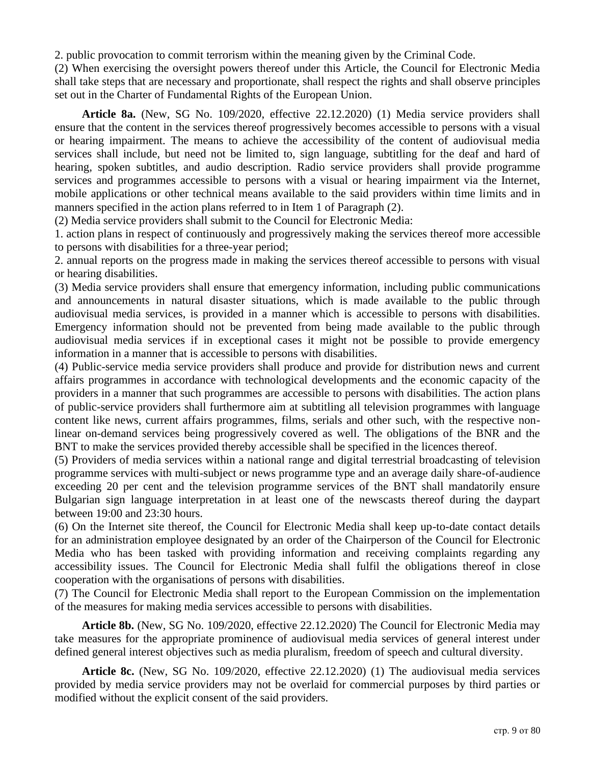2. public provocation to commit terrorism within the meaning given by the Criminal Code.

(2) When exercising the oversight powers thereof under this Article, the Council for Electronic Media shall take steps that are necessary and proportionate, shall respect the rights and shall observe principles set out in the Charter of Fundamental Rights of the European Union.

**Article 8a.** (New, SG No. 109/2020, effective 22.12.2020) (1) Media service providers shall ensure that the content in the services thereof progressively becomes accessible to persons with a visual or hearing impairment. The means to achieve the accessibility of the content of audiovisual media services shall include, but need not be limited to, sign language, subtitling for the deaf and hard of hearing, spoken subtitles, and audio description. Radio service providers shall provide programme services and programmes accessible to persons with a visual or hearing impairment via the Internet, mobile applications or other technical means available to the said providers within time limits and in manners specified in the action plans referred to in Item 1 of Paragraph (2).

(2) Media service providers shall submit to the Council for Electronic Media:

1. action plans in respect of continuously and progressively making the services thereof more accessible to persons with disabilities for a three-year period;

2. annual reports on the progress made in making the services thereof accessible to persons with visual or hearing disabilities.

(3) Media service providers shall ensure that emergency information, including public communications and announcements in natural disaster situations, which is made available to the public through audiovisual media services, is provided in a manner which is accessible to persons with disabilities. Emergency information should not be prevented from being made available to the public through audiovisual media services if in exceptional cases it might not be possible to provide emergency information in a manner that is accessible to persons with disabilities.

(4) Public-service media service providers shall produce and provide for distribution news and current affairs programmes in accordance with technological developments and the economic capacity of the providers in a manner that such programmes are accessible to persons with disabilities. The action plans of public-service providers shall furthermore aim at subtitling all television programmes with language content like news, current affairs programmes, films, serials and other such, with the respective nonlinear on-demand services being progressively covered as well. The obligations of the BNR and the BNT to make the services provided thereby accessible shall be specified in the licences thereof.

(5) Providers of media services within a national range and digital terrestrial broadcasting of television programme services with multi-subject or news programme type and an average daily share-of-audience exceeding 20 per cent and the television programme services of the BNT shall mandatorily ensure Bulgarian sign language interpretation in at least one of the newscasts thereof during the daypart between 19:00 and 23:30 hours.

(6) On the Internet site thereof, the Council for Electronic Media shall keep up-to-date contact details for an administration employee designated by an order of the Chairperson of the Council for Electronic Media who has been tasked with providing information and receiving complaints regarding any accessibility issues. The Council for Electronic Media shall fulfil the obligations thereof in close cooperation with the organisations of persons with disabilities.

(7) The Council for Electronic Media shall report to the European Commission on the implementation of the measures for making media services accessible to persons with disabilities.

**Article 8b.** (New, SG No. 109/2020, effective 22.12.2020) The Council for Electronic Media may take measures for the appropriate prominence of audiovisual media services of general interest under defined general interest objectives such as media pluralism, freedom of speech and cultural diversity.

**Article 8c.** (New, SG No. 109/2020, effective 22.12.2020) (1) The audiovisual media services provided by media service providers may not be overlaid for commercial purposes by third parties or modified without the explicit consent of the said providers.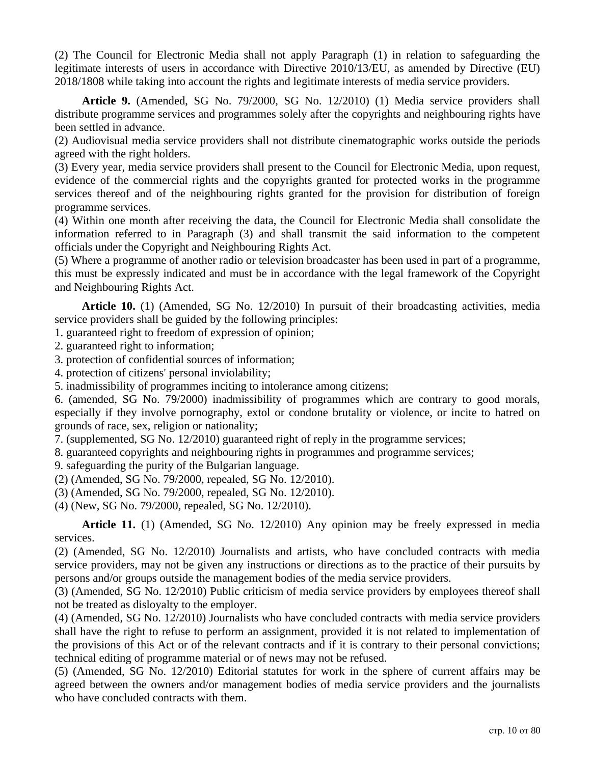(2) The Council for Electronic Media shall not apply Paragraph (1) in relation to safeguarding the legitimate interests of users in accordance with Directive 2010/13/EU, as amended by Directive (EU) 2018/1808 while taking into account the rights and legitimate interests of media service providers.

**Article 9.** (Amended, SG No. 79/2000, SG No. 12/2010) (1) Media service providers shall distribute programme services and programmes solely after the copyrights and neighbouring rights have been settled in advance.

(2) Audiovisual media service providers shall not distribute cinematographic works outside the periods agreed with the right holders.

(3) Every year, media service providers shall present to the Council for Electronic Media, upon request, evidence of the commercial rights and the copyrights granted for protected works in the programme services thereof and of the neighbouring rights granted for the provision for distribution of foreign programme services.

(4) Within one month after receiving the data, the Council for Electronic Media shall consolidate the information referred to in Paragraph (3) and shall transmit the said information to the competent officials under the Copyright and Neighbouring Rights Act.

(5) Where a programme of another radio or television broadcaster has been used in part of a programme, this must be expressly indicated and must be in accordance with the legal framework of the Copyright and Neighbouring Rights Act.

**Article 10.** (1) (Amended, SG No. 12/2010) In pursuit of their broadcasting activities, media service providers shall be guided by the following principles:

1. guaranteed right to freedom of expression of opinion;

- 2. guaranteed right to information;
- 3. protection of confidential sources of information;
- 4. protection of citizens' personal inviolability;
- 5. inadmissibility of programmes inciting to intolerance among citizens;

6. (amended, SG No. 79/2000) inadmissibility of programmes which are contrary to good morals, especially if they involve pornography, extol or condone brutality or violence, or incite to hatred on grounds of race, sex, religion or nationality;

7. (supplemented, SG No. 12/2010) guaranteed right of reply in the programme services;

8. guaranteed copyrights and neighbouring rights in programmes and programme services;

9. safeguarding the purity of the Bulgarian language.

(2) (Amended, SG No. 79/2000, repealed, SG No. 12/2010).

(3) (Amended, SG No. 79/2000, repealed, SG No. 12/2010).

(4) (New, SG No. 79/2000, repealed, SG No. 12/2010).

**Article 11.** (1) (Amended, SG No. 12/2010) Any opinion may be freely expressed in media services.

(2) (Amended, SG No. 12/2010) Journalists and artists, who have concluded contracts with media service providers, may not be given any instructions or directions as to the practice of their pursuits by persons and/or groups outside the management bodies of the media service providers.

(3) (Amended, SG No. 12/2010) Public criticism of media service providers by employees thereof shall not be treated as disloyalty to the employer.

(4) (Amended, SG No. 12/2010) Journalists who have concluded contracts with media service providers shall have the right to refuse to perform an assignment, provided it is not related to implementation of the provisions of this Act or of the relevant contracts and if it is contrary to their personal convictions; technical editing of programme material or of news may not be refused.

(5) (Amended, SG No. 12/2010) Editorial statutes for work in the sphere of current affairs may be agreed between the owners and/or management bodies of media service providers and the journalists who have concluded contracts with them.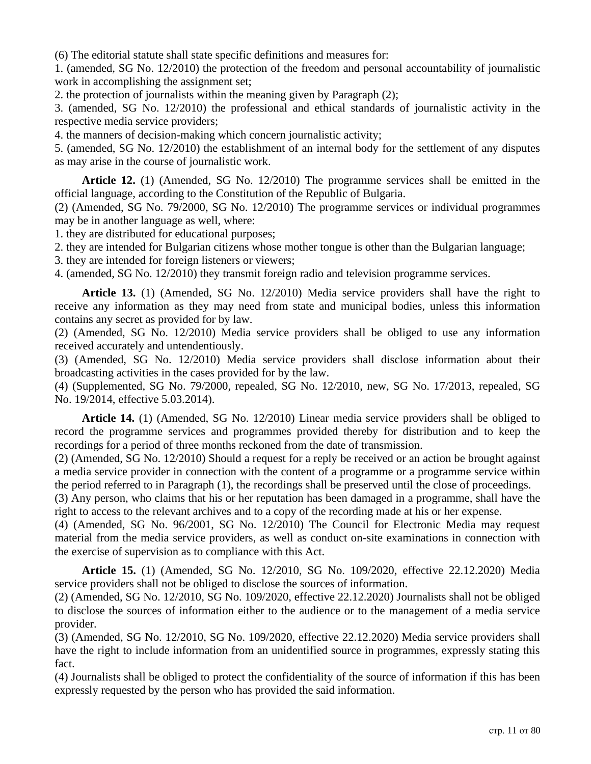(6) The editorial statute shall state specific definitions and measures for:

1. (amended, SG No. 12/2010) the protection of the freedom and personal accountability of journalistic work in accomplishing the assignment set;

2. the protection of journalists within the meaning given by Paragraph (2);

3. (amended, SG No. 12/2010) the professional and ethical standards of journalistic activity in the respective media service providers;

4. the manners of decision-making which concern journalistic activity;

5. (amended, SG No. 12/2010) the establishment of an internal body for the settlement of any disputes as may arise in the course of journalistic work.

**Article 12.** (1) (Amended, SG No. 12/2010) The programme services shall be emitted in the official language, according to the Constitution of the Republic of Bulgaria.

(2) (Amended, SG No. 79/2000, SG No. 12/2010) The programme services or individual programmes may be in another language as well, where:

1. they are distributed for educational purposes;

2. they are intended for Bulgarian citizens whose mother tongue is other than the Bulgarian language;

3. they are intended for foreign listeners or viewers;

4. (amended, SG No. 12/2010) they transmit foreign radio and television programme services.

**Article 13.** (1) (Amended, SG No. 12/2010) Media service providers shall have the right to receive any information as they may need from state and municipal bodies, unless this information contains any secret as provided for by law.

(2) (Amended, SG No. 12/2010) Media service providers shall be obliged to use any information received accurately and untendentiously.

(3) (Amended, SG No. 12/2010) Media service providers shall disclose information about their broadcasting activities in the cases provided for by the law.

(4) (Supplemented, SG No. 79/2000, repealed, SG No. 12/2010, new, SG No. 17/2013, repealed, SG No. 19/2014, effective 5.03.2014).

**Article 14.** (1) (Amended, SG No. 12/2010) Linear media service providers shall be obliged to record the programme services and programmes provided thereby for distribution and to keep the recordings for a period of three months reckoned from the date of transmission.

(2) (Amended, SG No. 12/2010) Should a request for a reply be received or an action be brought against a media service provider in connection with the content of a programme or a programme service within the period referred to in Paragraph (1), the recordings shall be preserved until the close of proceedings.

(3) Any person, who claims that his or her reputation has been damaged in a programme, shall have the right to access to the relevant archives and to a copy of the recording made at his or her expense.

(4) (Amended, SG No. 96/2001, SG No. 12/2010) The Council for Electronic Media may request material from the media service providers, as well as conduct on-site examinations in connection with the exercise of supervision as to compliance with this Act.

**Article 15.** (1) (Amended, SG No. 12/2010, SG No. 109/2020, effective 22.12.2020) Media service providers shall not be obliged to disclose the sources of information.

(2) (Amended, SG No. 12/2010, SG No. 109/2020, effective 22.12.2020) Journalists shall not be obliged to disclose the sources of information either to the audience or to the management of a media service provider.

(3) (Amended, SG No. 12/2010, SG No. 109/2020, effective 22.12.2020) Media service providers shall have the right to include information from an unidentified source in programmes, expressly stating this fact.

(4) Journalists shall be obliged to protect the confidentiality of the source of information if this has been expressly requested by the person who has provided the said information.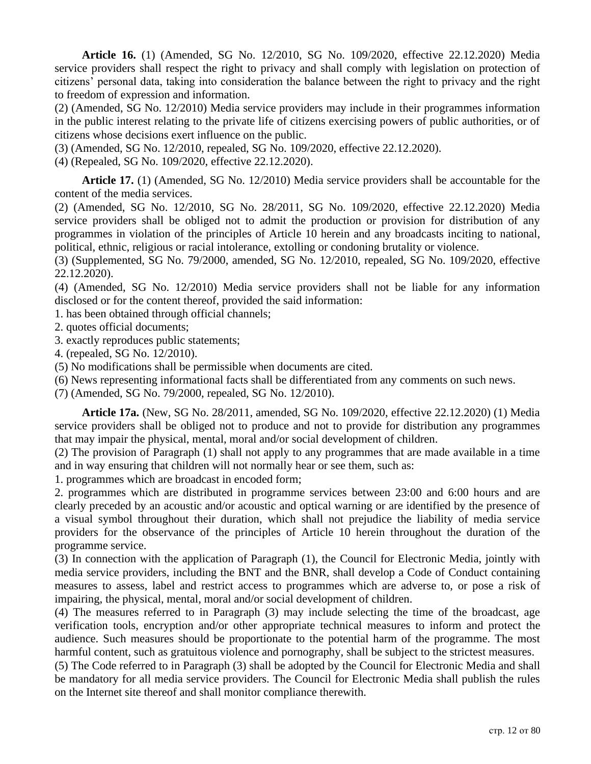**Article 16.** (1) (Amended, SG No. 12/2010, SG No. 109/2020, effective 22.12.2020) Media service providers shall respect the right to privacy and shall comply with legislation on protection of citizens' personal data, taking into consideration the balance between the right to privacy and the right to freedom of expression and information.

(2) (Amended, SG No. 12/2010) Media service providers may include in their programmes information in the public interest relating to the private life of citizens exercising powers of public authorities, or of citizens whose decisions exert influence on the public.

(3) (Amended, SG No. 12/2010, repealed, SG No. 109/2020, effective 22.12.2020).

(4) (Repealed, SG No. 109/2020, effective 22.12.2020).

**Article 17.** (1) (Amended, SG No. 12/2010) Media service providers shall be accountable for the content of the media services.

(2) (Amended, SG No. 12/2010, SG No. 28/2011, SG No. 109/2020, effective 22.12.2020) Media service providers shall be obliged not to admit the production or provision for distribution of any programmes in violation of the principles of Article 10 herein and any broadcasts inciting to national, political, ethnic, religious or racial intolerance, extolling or condoning brutality or violence.

(3) (Supplemented, SG No. 79/2000, amended, SG No. 12/2010, repealed, SG No. 109/2020, effective 22.12.2020).

(4) (Amended, SG No. 12/2010) Media service providers shall not be liable for any information disclosed or for the content thereof, provided the said information:

1. has been obtained through official channels;

- 2. quotes official documents;
- 3. exactly reproduces public statements;
- 4. (repealed, SG No. 12/2010).

(5) No modifications shall be permissible when documents are cited.

(6) News representing informational facts shall be differentiated from any comments on such news.

(7) (Amended, SG No. 79/2000, repealed, SG No. 12/2010).

**Article 17a.** (New, SG No. 28/2011, amended, SG No. 109/2020, effective 22.12.2020) (1) Media service providers shall be obliged not to produce and not to provide for distribution any programmes that may impair the physical, mental, moral and/or social development of children.

(2) The provision of Paragraph (1) shall not apply to any programmes that are made available in a time and in way ensuring that children will not normally hear or see them, such as:

1. programmes which are broadcast in encoded form;

2. programmes which are distributed in programme services between 23:00 and 6:00 hours and are clearly preceded by an acoustic and/or acoustic and optical warning or are identified by the presence of a visual symbol throughout their duration, which shall not prejudice the liability of media service providers for the observance of the principles of Article 10 herein throughout the duration of the programme service.

(3) In connection with the application of Paragraph (1), the Council for Electronic Media, jointly with media service providers, including the BNT and the BNR, shall develop a Code of Conduct containing measures to assess, label and restrict access to programmes which are adverse to, or pose a risk of impairing, the physical, mental, moral and/or social development of children.

(4) The measures referred to in Paragraph (3) may include selecting the time of the broadcast, age verification tools, encryption and/or other appropriate technical measures to inform and protect the audience. Such measures should be proportionate to the potential harm of the programme. The most harmful content, such as gratuitous violence and pornography, shall be subject to the strictest measures.

(5) The Code referred to in Paragraph (3) shall be adopted by the Council for Electronic Media and shall be mandatory for all media service providers. The Council for Electronic Media shall publish the rules on the Internet site thereof and shall monitor compliance therewith.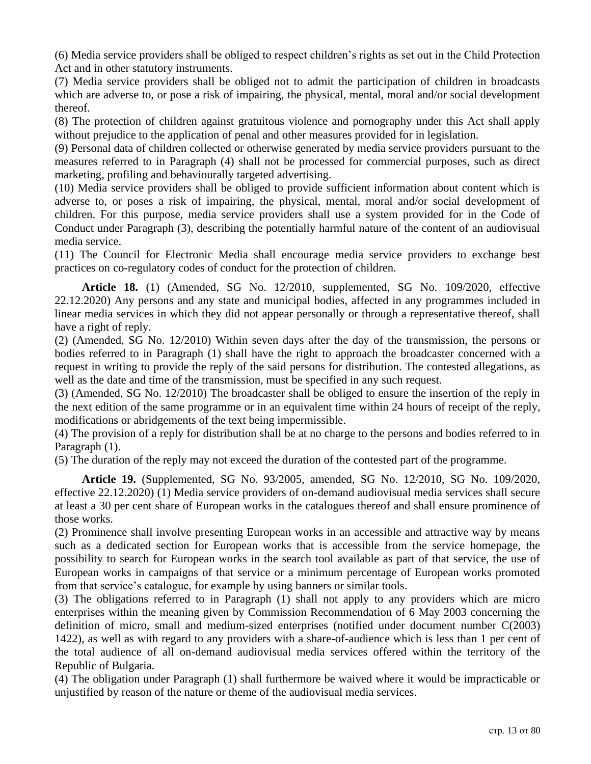(6) Media service providers shall be obliged to respect children's rights as set out in the Child Protection Act and in other statutory instruments.

(7) Media service providers shall be obliged not to admit the participation of children in broadcasts which are adverse to, or pose a risk of impairing, the physical, mental, moral and/or social development thereof.

(8) The protection of children against gratuitous violence and pornography under this Act shall apply without prejudice to the application of penal and other measures provided for in legislation.

(9) Personal data of children collected or otherwise generated by media service providers pursuant to the measures referred to in Paragraph (4) shall not be processed for commercial purposes, such as direct marketing, profiling and behaviourally targeted advertising.

(10) Media service providers shall be obliged to provide sufficient information about content which is adverse to, or poses a risk of impairing, the physical, mental, moral and/or social development of children. For this purpose, media service providers shall use a system provided for in the Code of Conduct under Paragraph (3), describing the potentially harmful nature of the content of an audiovisual media service.

(11) The Council for Electronic Media shall encourage media service providers to exchange best practices on co-regulatory codes of conduct for the protection of children.

**Article 18.** (1) (Amended, SG No. 12/2010, supplemented, SG No. 109/2020, effective 22.12.2020) Any persons and any state and municipal bodies, affected in any programmes included in linear media services in which they did not appear personally or through a representative thereof, shall have a right of reply.

(2) (Amended, SG No. 12/2010) Within seven days after the day of the transmission, the persons or bodies referred to in Paragraph (1) shall have the right to approach the broadcaster concerned with a request in writing to provide the reply of the said persons for distribution. The contested allegations, as well as the date and time of the transmission, must be specified in any such request.

(3) (Amended, SG No. 12/2010) The broadcaster shall be obliged to ensure the insertion of the reply in the next edition of the same programme or in an equivalent time within 24 hours of receipt of the reply, modifications or abridgements of the text being impermissible.

(4) The provision of a reply for distribution shall be at no charge to the persons and bodies referred to in Paragraph (1).

(5) The duration of the reply may not exceed the duration of the contested part of the programme.

**Article 19.** (Supplemented, SG No. 93/2005, amended, SG No. 12/2010, SG No. 109/2020, effective 22.12.2020) (1) Media service providers of on-demand audiovisual media services shall secure at least a 30 per cent share of European works in the catalogues thereof and shall ensure prominence of those works.

(2) Prominence shall involve presenting European works in an accessible and attractive way by means such as a dedicated section for European works that is accessible from the service homepage, the possibility to search for European works in the search tool available as part of that service, the use of European works in campaigns of that service or a minimum percentage of European works promoted from that service's catalogue, for example by using banners or similar tools.

(3) The obligations referred to in Paragraph (1) shall not apply to any providers which are micro enterprises within the meaning given by Commission Recommendation of 6 May 2003 concerning the definition of micro, small and medium-sized enterprises (notified under document number C(2003) 1422), as well as with regard to any providers with a share-of-audience which is less than 1 per cent of the total audience of all on-demand audiovisual media services offered within the territory of the Republic of Bulgaria.

(4) The obligation under Paragraph (1) shall furthermore be waived where it would be impracticable or unjustified by reason of the nature or theme of the audiovisual media services.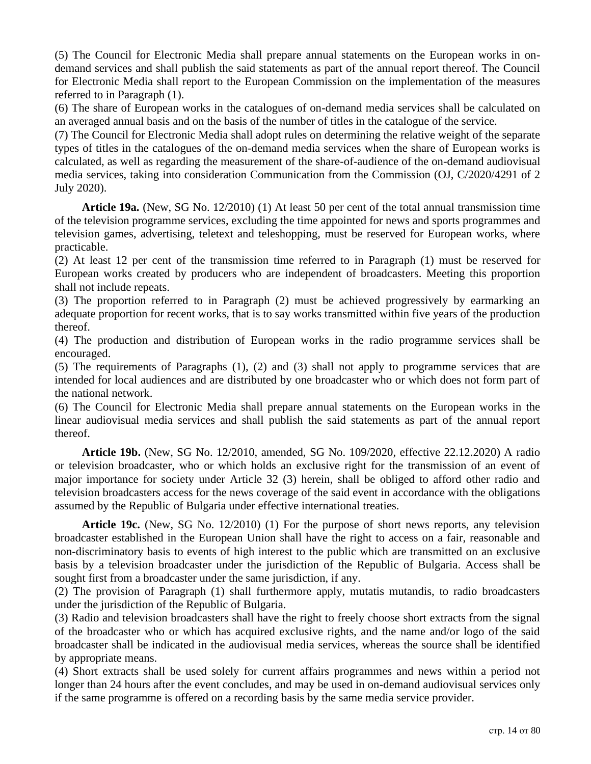(5) The Council for Electronic Media shall prepare annual statements on the European works in ondemand services and shall publish the said statements as part of the annual report thereof. The Council for Electronic Media shall report to the European Commission on the implementation of the measures referred to in Paragraph (1).

(6) The share of European works in the catalogues of on-demand media services shall be calculated on an averaged annual basis and on the basis of the number of titles in the catalogue of the service.

(7) The Council for Electronic Media shall adopt rules on determining the relative weight of the separate types of titles in the catalogues of the on-demand media services when the share of European works is calculated, as well as regarding the measurement of the share-of-audience of the on-demand audiovisual media services, taking into consideration Communication from the Commission (OJ, C/2020/4291 of 2 July 2020).

**Article 19a.** (New, SG No. 12/2010) (1) At least 50 per cent of the total annual transmission time of the television programme services, excluding the time appointed for news and sports programmes and television games, advertising, teletext and teleshopping, must be reserved for European works, where practicable.

(2) At least 12 per cent of the transmission time referred to in Paragraph (1) must be reserved for European works created by producers who are independent of broadcasters. Meeting this proportion shall not include repeats.

(3) The proportion referred to in Paragraph (2) must be achieved progressively by earmarking an adequate proportion for recent works, that is to say works transmitted within five years of the production thereof.

(4) The production and distribution of European works in the radio programme services shall be encouraged.

(5) The requirements of Paragraphs (1), (2) and (3) shall not apply to programme services that are intended for local audiences and are distributed by one broadcaster who or which does not form part of the national network.

(6) The Council for Electronic Media shall prepare annual statements on the European works in the linear audiovisual media services and shall publish the said statements as part of the annual report thereof.

**Article 19b.** (New, SG No. 12/2010, amended, SG No. 109/2020, effective 22.12.2020) A radio or television broadcaster, who or which holds an exclusive right for the transmission of an event of major importance for society under Article 32 (3) herein, shall be obliged to afford other radio and television broadcasters access for the news coverage of the said event in accordance with the obligations assumed by the Republic of Bulgaria under effective international treaties.

**Article 19c.** (New, SG No. 12/2010) (1) For the purpose of short news reports, any television broadcaster established in the European Union shall have the right to access on a fair, reasonable and non-discriminatory basis to events of high interest to the public which are transmitted on an exclusive basis by a television broadcaster under the jurisdiction of the Republic of Bulgaria. Access shall be sought first from a broadcaster under the same jurisdiction, if any.

(2) The provision of Paragraph (1) shall furthermore apply, mutatis mutandis, to radio broadcasters under the jurisdiction of the Republic of Bulgaria.

(3) Radio and television broadcasters shall have the right to freely choose short extracts from the signal of the broadcaster who or which has acquired exclusive rights, and the name and/or logo of the said broadcaster shall be indicated in the audiovisual media services, whereas the source shall be identified by appropriate means.

(4) Short extracts shall be used solely for current affairs programmes and news within a period not longer than 24 hours after the event concludes, and may be used in on-demand audiovisual services only if the same programme is offered on a recording basis by the same media service provider.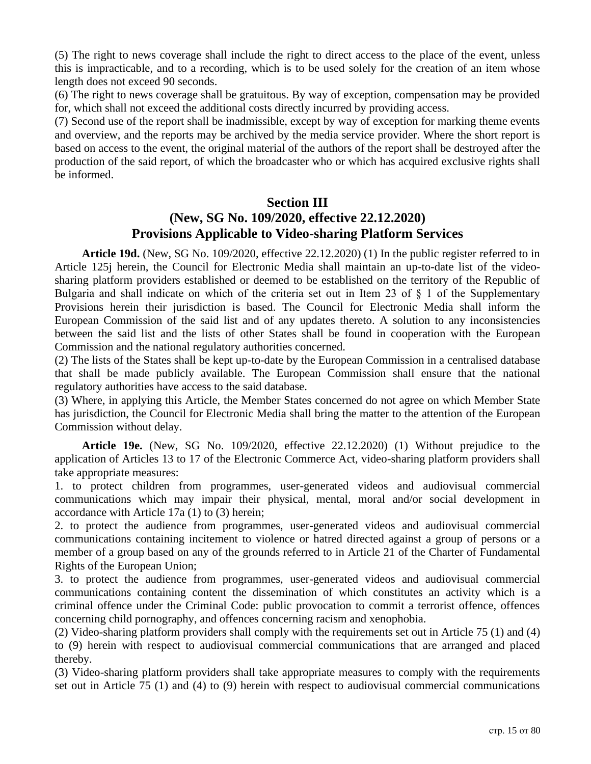(5) The right to news coverage shall include the right to direct access to the place of the event, unless this is impracticable, and to a recording, which is to be used solely for the creation of an item whose length does not exceed 90 seconds.

(6) The right to news coverage shall be gratuitous. By way of exception, compensation may be provided for, which shall not exceed the additional costs directly incurred by providing access.

(7) Second use of the report shall be inadmissible, except by way of exception for marking theme events and overview, and the reports may be archived by the media service provider. Where the short report is based on access to the event, the original material of the authors of the report shall be destroyed after the production of the said report, of which the broadcaster who or which has acquired exclusive rights shall be informed.

#### **Section III**

## **(New, SG No. 109/2020, effective 22.12.2020) Provisions Applicable to Video-sharing Platform Services**

**Article 19d.** (New, SG No. 109/2020, effective 22.12.2020) (1) In the public register referred to in Article 125j herein, the Council for Electronic Media shall maintain an up-to-date list of the videosharing platform providers established or deemed to be established on the territory of the Republic of Bulgaria and shall indicate on which of the criteria set out in Item 23 of § 1 of the Supplementary Provisions herein their jurisdiction is based. The Council for Electronic Media shall inform the European Commission of the said list and of any updates thereto. A solution to any inconsistencies between the said list and the lists of other States shall be found in cooperation with the European Commission and the national regulatory authorities concerned.

(2) The lists of the States shall be kept up-to-date by the European Commission in a centralised database that shall be made publicly available. The European Commission shall ensure that the national regulatory authorities have access to the said database.

(3) Where, in applying this Article, the Member States concerned do not agree on which Member State has jurisdiction, the Council for Electronic Media shall bring the matter to the attention of the European Commission without delay.

**Article 19e.** (New, SG No. 109/2020, effective 22.12.2020) (1) Without prejudice to the application of Articles 13 to 17 of the Electronic Commerce Act, video-sharing platform providers shall take appropriate measures:

1. to protect children from programmes, user-generated videos and audiovisual commercial communications which may impair their physical, mental, moral and/or social development in accordance with Article 17a (1) to (3) herein;

2. to protect the audience from programmes, user-generated videos and audiovisual commercial communications containing incitement to violence or hatred directed against a group of persons or a member of a group based on any of the grounds referred to in Article 21 of the Charter of Fundamental Rights of the European Union;

3. to protect the audience from programmes, user-generated videos and audiovisual commercial communications containing content the dissemination of which constitutes an activity which is a criminal offence under the Criminal Code: public provocation to commit a terrorist offence, offences concerning child pornography, and offences concerning racism and xenophobia.

(2) Video-sharing platform providers shall comply with the requirements set out in Article 75 (1) and (4) to (9) herein with respect to audiovisual commercial communications that are arranged and placed thereby.

(3) Video-sharing platform providers shall take appropriate measures to comply with the requirements set out in Article 75 (1) and (4) to (9) herein with respect to audiovisual commercial communications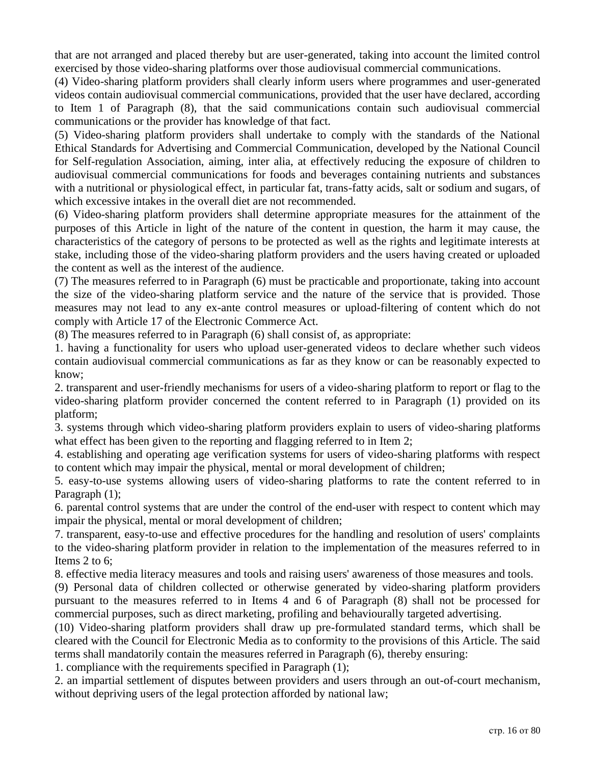that are not arranged and placed thereby but are user-generated, taking into account the limited control exercised by those video-sharing platforms over those audiovisual commercial communications.

(4) Video-sharing platform providers shall clearly inform users where programmes and user-generated videos contain audiovisual commercial communications, provided that the user have declared, according to Item 1 of Paragraph (8), that the said communications contain such audiovisual commercial communications or the provider has knowledge of that fact.

(5) Video-sharing platform providers shall undertake to comply with the standards of the National Ethical Standards for Advertising and Commercial Communication, developed by the National Council for Self-regulation Association, aiming, inter alia, at effectively reducing the exposure of children to audiovisual commercial communications for foods and beverages containing nutrients and substances with a nutritional or physiological effect, in particular fat, trans-fatty acids, salt or sodium and sugars, of which excessive intakes in the overall diet are not recommended.

(6) Video-sharing platform providers shall determine appropriate measures for the attainment of the purposes of this Article in light of the nature of the content in question, the harm it may cause, the characteristics of the category of persons to be protected as well as the rights and legitimate interests at stake, including those of the video-sharing platform providers and the users having created or uploaded the content as well as the interest of the audience.

(7) The measures referred to in Paragraph (6) must be practicable and proportionate, taking into account the size of the video-sharing platform service and the nature of the service that is provided. Those measures may not lead to any ex-ante control measures or upload-filtering of content which do not comply with Article 17 of the Electronic Commerce Act.

(8) The measures referred to in Paragraph (6) shall consist of, as appropriate:

1. having a functionality for users who upload user-generated videos to declare whether such videos contain audiovisual commercial communications as far as they know or can be reasonably expected to know;

2. transparent and user-friendly mechanisms for users of a video-sharing platform to report or flag to the video-sharing platform provider concerned the content referred to in Paragraph (1) provided on its platform;

3. systems through which video-sharing platform providers explain to users of video-sharing platforms what effect has been given to the reporting and flagging referred to in Item 2;

4. establishing and operating age verification systems for users of video-sharing platforms with respect to content which may impair the physical, mental or moral development of children;

5. easy-to-use systems allowing users of video-sharing platforms to rate the content referred to in Paragraph  $(1)$ ;

6. parental control systems that are under the control of the end-user with respect to content which may impair the physical, mental or moral development of children;

7. transparent, easy-to-use and effective procedures for the handling and resolution of users' complaints to the video-sharing platform provider in relation to the implementation of the measures referred to in Items 2 to 6;

8. effective media literacy measures and tools and raising users' awareness of those measures and tools.

(9) Personal data of children collected or otherwise generated by video-sharing platform providers pursuant to the measures referred to in Items 4 and 6 of Paragraph (8) shall not be processed for commercial purposes, such as direct marketing, profiling and behaviourally targeted advertising.

(10) Video-sharing platform providers shall draw up pre-formulated standard terms, which shall be cleared with the Council for Electronic Media as to conformity to the provisions of this Article. The said terms shall mandatorily contain the measures referred in Paragraph (6), thereby ensuring:

1. compliance with the requirements specified in Paragraph (1);

2. an impartial settlement of disputes between providers and users through an out-of-court mechanism, without depriving users of the legal protection afforded by national law;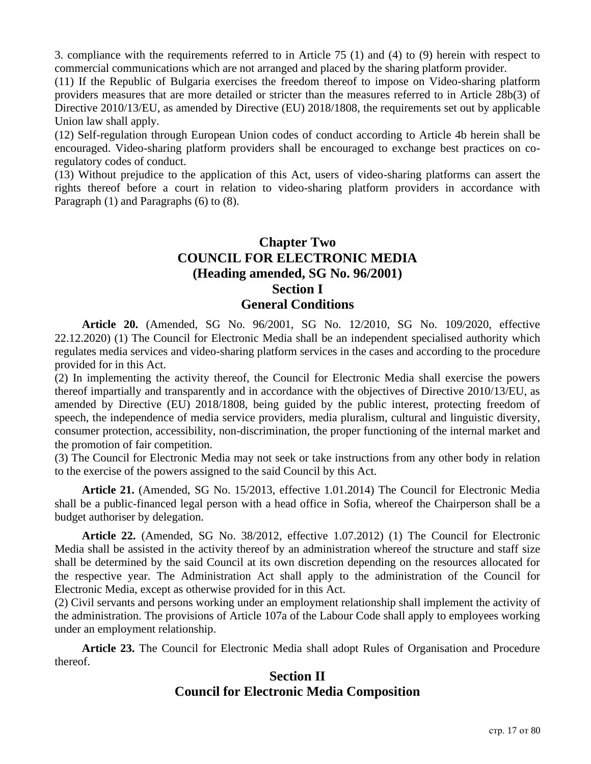3. compliance with the requirements referred to in Article 75 (1) and (4) to (9) herein with respect to commercial communications which are not arranged and placed by the sharing platform provider.

(11) If the Republic of Bulgaria exercises the freedom thereof to impose on Video-sharing platform providers measures that are more detailed or stricter than the measures referred to in Article 28b(3) of Directive 2010/13/EU, as amended by Directive (EU) 2018/1808, the requirements set out by applicable Union law shall apply.

(12) Self-regulation through European Union codes of conduct according to Article 4b herein shall be encouraged. Video-sharing platform providers shall be encouraged to exchange best practices on coregulatory codes of conduct.

(13) Without prejudice to the application of this Act, users of video-sharing platforms can assert the rights thereof before a court in relation to video-sharing platform providers in accordance with Paragraph (1) and Paragraphs (6) to (8).

## **Chapter Two COUNCIL FOR ELECTRONIC MEDIA (Heading amended, SG No. 96/2001) Section I General Conditions**

**Article 20.** (Amended, SG No. 96/2001, SG No. 12/2010, SG No. 109/2020, effective 22.12.2020) (1) The Council for Electronic Media shall be an independent specialised authority which regulates media services and video-sharing platform services in the cases and according to the procedure provided for in this Act.

(2) In implementing the activity thereof, the Council for Electronic Media shall exercise the powers thereof impartially and transparently and in accordance with the objectives of Directive 2010/13/EU, as amended by Directive (EU) 2018/1808, being guided by the public interest, protecting freedom of speech, the independence of media service providers, media pluralism, cultural and linguistic diversity, consumer protection, accessibility, non-discrimination, the proper functioning of the internal market and the promotion of fair competition.

(3) The Council for Electronic Media may not seek or take instructions from any other body in relation to the exercise of the powers assigned to the said Council by this Act.

**Article 21.** (Amended, SG No. 15/2013, effective 1.01.2014) The Council for Electronic Media shall be a public-financed legal person with a head office in Sofia, whereof the Chairperson shall be a budget authoriser by delegation.

**Article 22.** (Amended, SG No. 38/2012, effective 1.07.2012) (1) The Council for Electronic Media shall be assisted in the activity thereof by an administration whereof the structure and staff size shall be determined by the said Council at its own discretion depending on the resources allocated for the respective year. The Administration Act shall apply to the administration of the Council for Electronic Media, except as otherwise provided for in this Act.

(2) Civil servants and persons working under an employment relationship shall implement the activity of the administration. The provisions of Article 107a of the Labour Code shall apply to employees working under an employment relationship.

**Article 23.** The Council for Electronic Media shall adopt Rules of Organisation and Procedure thereof.

## **Section II Council for Electronic Media Composition**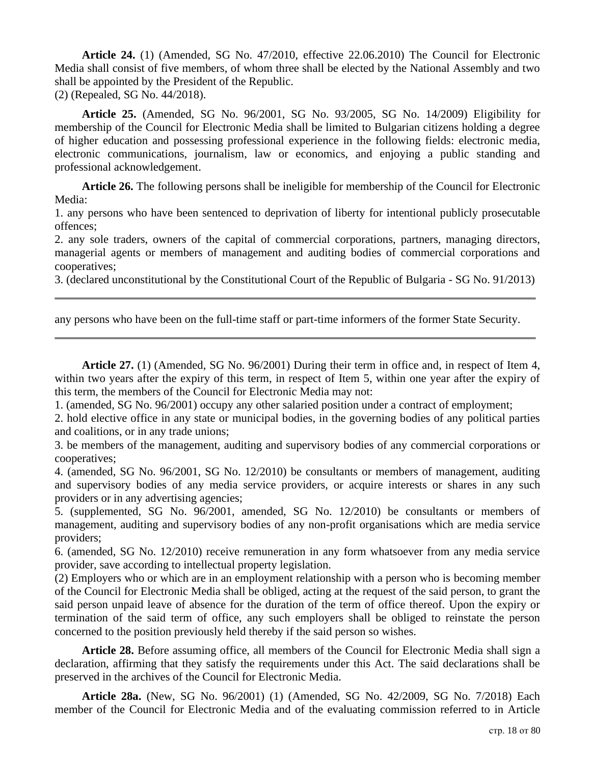**Article 24.** (1) (Amended, SG No. 47/2010, effective 22.06.2010) The Council for Electronic Media shall consist of five members, of whom three shall be elected by the National Assembly and two shall be appointed by the President of the Republic.

(2) (Repealed, SG No. 44/2018).

**Article 25.** (Amended, SG No. 96/2001, SG No. 93/2005, SG No. 14/2009) Eligibility for membership of the Council for Electronic Media shall be limited to Bulgarian citizens holding a degree of higher education and possessing professional experience in the following fields: electronic media, electronic communications, journalism, law or economics, and enjoying a public standing and professional acknowledgement.

**Article 26.** The following persons shall be ineligible for membership of the Council for Electronic Media:

1. any persons who have been sentenced to deprivation of liberty for intentional publicly prosecutable offences;

2. any sole traders, owners of the capital of commercial corporations, partners, managing directors, managerial agents or members of management and auditing bodies of commercial corporations and cooperatives;

3. (declared unconstitutional by the Constitutional Court of the Republic of Bulgaria - SG No. 91/2013)

any persons who have been on the full-time staff or part-time informers of the former State Security.

**Article 27.** (1) (Amended, SG No. 96/2001) During their term in office and, in respect of Item 4, within two years after the expiry of this term, in respect of Item 5, within one year after the expiry of this term, the members of the Council for Electronic Media may not:

1. (amended, SG No. 96/2001) occupy any other salaried position under a contract of employment;

2. hold elective office in any state or municipal bodies, in the governing bodies of any political parties and coalitions, or in any trade unions;

3. be members of the management, auditing and supervisory bodies of any commercial corporations or cooperatives;

4. (amended, SG No. 96/2001, SG No. 12/2010) be consultants or members of management, auditing and supervisory bodies of any media service providers, or acquire interests or shares in any such providers or in any advertising agencies;

5. (supplemented, SG No. 96/2001, amended, SG No. 12/2010) be consultants or members of management, auditing and supervisory bodies of any non-profit organisations which are media service providers;

6. (amended, SG No. 12/2010) receive remuneration in any form whatsoever from any media service provider, save according to intellectual property legislation.

(2) Employers who or which are in an employment relationship with a person who is becoming member of the Council for Electronic Media shall be obliged, acting at the request of the said person, to grant the said person unpaid leave of absence for the duration of the term of office thereof. Upon the expiry or termination of the said term of office, any such employers shall be obliged to reinstate the person concerned to the position previously held thereby if the said person so wishes.

**Article 28.** Before assuming office, all members of the Council for Electronic Media shall sign a declaration, affirming that they satisfy the requirements under this Act. The said declarations shall be preserved in the archives of the Council for Electronic Media.

**Article 28a.** (New, SG No. 96/2001) (1) (Amended, SG No. 42/2009, SG No. 7/2018) Each member of the Council for Electronic Media and of the evaluating commission referred to in Article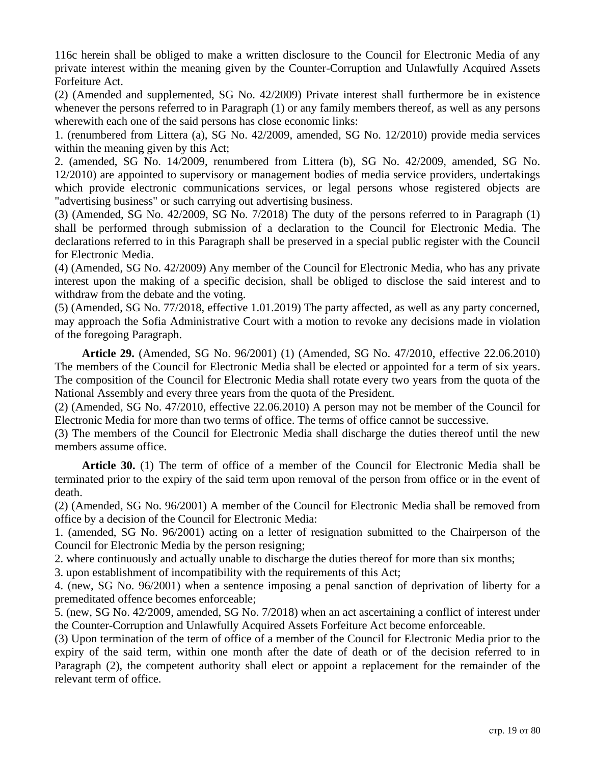116c herein shall be obliged to make a written disclosure to the Council for Electronic Media of any private interest within the meaning given by the Counter-Corruption and Unlawfully Acquired Assets Forfeiture Act.

(2) (Amended and supplemented, SG No. 42/2009) Private interest shall furthermore be in existence whenever the persons referred to in Paragraph (1) or any family members thereof, as well as any persons wherewith each one of the said persons has close economic links:

1. (renumbered from Littera (a), SG No. 42/2009, amended, SG No. 12/2010) provide media services within the meaning given by this Act;

2. (amended, SG No. 14/2009, renumbered from Littera (b), SG No. 42/2009, amended, SG No. 12/2010) are appointed to supervisory or management bodies of media service providers, undertakings which provide electronic communications services, or legal persons whose registered objects are "advertising business" or such carrying out advertising business.

(3) (Amended, SG No. 42/2009, SG No. 7/2018) The duty of the persons referred to in Paragraph (1) shall be performed through submission of a declaration to the Council for Electronic Media. The declarations referred to in this Paragraph shall be preserved in a special public register with the Council for Electronic Media.

(4) (Amended, SG No. 42/2009) Any member of the Council for Electronic Media, who has any private interest upon the making of a specific decision, shall be obliged to disclose the said interest and to withdraw from the debate and the voting.

(5) (Amended, SG No. 77/2018, effective 1.01.2019) The party affected, as well as any party concerned, may approach the Sofia Administrative Court with a motion to revoke any decisions made in violation of the foregoing Paragraph.

**Article 29.** (Amended, SG No. 96/2001) (1) (Amended, SG No. 47/2010, effective 22.06.2010) The members of the Council for Electronic Media shall be elected or appointed for a term of six years. The composition of the Council for Electronic Media shall rotate every two years from the quota of the National Assembly and every three years from the quota of the President.

(2) (Amended, SG No. 47/2010, effective 22.06.2010) A person may not be member of the Council for Electronic Media for more than two terms of office. The terms of office cannot be successive.

(3) The members of the Council for Electronic Media shall discharge the duties thereof until the new members assume office.

**Article 30.** (1) The term of office of a member of the Council for Electronic Media shall be terminated prior to the expiry of the said term upon removal of the person from office or in the event of death.

(2) (Amended, SG No. 96/2001) A member of the Council for Electronic Media shall be removed from office by a decision of the Council for Electronic Media:

1. (amended, SG No. 96/2001) acting on a letter of resignation submitted to the Chairperson of the Council for Electronic Media by the person resigning;

2. where continuously and actually unable to discharge the duties thereof for more than six months;

3. upon establishment of incompatibility with the requirements of this Act;

4. (new, SG No. 96/2001) when a sentence imposing a penal sanction of deprivation of liberty for a premeditated offence becomes enforceable;

5. (new, SG No. 42/2009, amended, SG No. 7/2018) when an act ascertaining a conflict of interest under the Counter-Corruption and Unlawfully Acquired Assets Forfeiture Act become enforceable.

(3) Upon termination of the term of office of a member of the Council for Electronic Media prior to the expiry of the said term, within one month after the date of death or of the decision referred to in Paragraph (2), the competent authority shall elect or appoint a replacement for the remainder of the relevant term of office.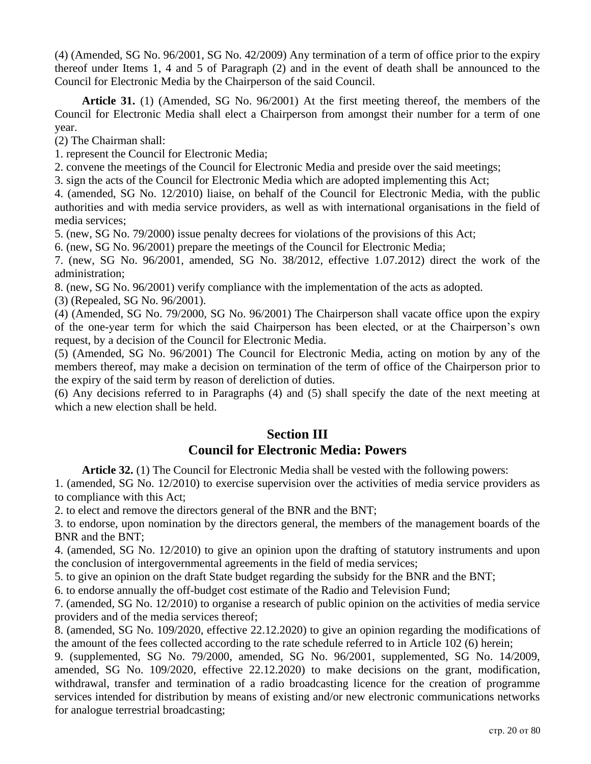(4) (Amended, SG No. 96/2001, SG No. 42/2009) Any termination of a term of office prior to the expiry thereof under Items 1, 4 and 5 of Paragraph (2) and in the event of death shall be announced to the Council for Electronic Media by the Chairperson of the said Council.

**Article 31.** (1) (Amended, SG No. 96/2001) At the first meeting thereof, the members of the Council for Electronic Media shall elect a Chairperson from amongst their number for a term of one year.

(2) The Chairman shall:

1. represent the Council for Electronic Media;

2. convene the meetings of the Council for Electronic Media and preside over the said meetings;

3. sign the acts of the Council for Electronic Media which are adopted implementing this Act;

4. (amended, SG No. 12/2010) liaise, on behalf of the Council for Electronic Media, with the public authorities and with media service providers, as well as with international organisations in the field of media services;

5. (new, SG No. 79/2000) issue penalty decrees for violations of the provisions of this Act;

6. (new, SG No. 96/2001) prepare the meetings of the Council for Electronic Media;

7. (new, SG No. 96/2001, amended, SG No. 38/2012, effective 1.07.2012) direct the work of the administration;

8. (new, SG No. 96/2001) verify compliance with the implementation of the acts as adopted.

(3) (Repealed, SG No. 96/2001).

(4) (Amended, SG No. 79/2000, SG No. 96/2001) The Chairperson shall vacate office upon the expiry of the one-year term for which the said Chairperson has been elected, or at the Chairperson's own request, by a decision of the Council for Electronic Media.

(5) (Amended, SG No. 96/2001) The Council for Electronic Media, acting on motion by any of the members thereof, may make a decision on termination of the term of office of the Chairperson prior to the expiry of the said term by reason of dereliction of duties.

(6) Any decisions referred to in Paragraphs (4) and (5) shall specify the date of the next meeting at which a new election shall be held.

#### **Section III Council for Electronic Media: Powers**

**Article 32.** (1) The Council for Electronic Media shall be vested with the following powers:

1. (amended, SG No. 12/2010) to exercise supervision over the activities of media service providers as to compliance with this Act;

2. to elect and remove the directors general of the BNR and the BNT;

3. to endorse, upon nomination by the directors general, the members of the management boards of the BNR and the BNT;

4. (amended, SG No. 12/2010) to give an opinion upon the drafting of statutory instruments and upon the conclusion of intergovernmental agreements in the field of media services;

5. to give an opinion on the draft State budget regarding the subsidy for the BNR and the BNT;

6. to endorse annually the off-budget cost estimate of the Radio and Television Fund;

7. (amended, SG No. 12/2010) to organise a research of public opinion on the activities of media service providers and of the media services thereof;

8. (amended, SG No. 109/2020, effective 22.12.2020) to give an opinion regarding the modifications of the amount of the fees collected according to the rate schedule referred to in Article 102 (6) herein;

9. (supplemented, SG No. 79/2000, amended, SG No. 96/2001, supplemented, SG No. 14/2009, amended, SG No. 109/2020, effective 22.12.2020) to make decisions on the grant, modification, withdrawal, transfer and termination of a radio broadcasting licence for the creation of programme services intended for distribution by means of existing and/or new electronic communications networks for analogue terrestrial broadcasting;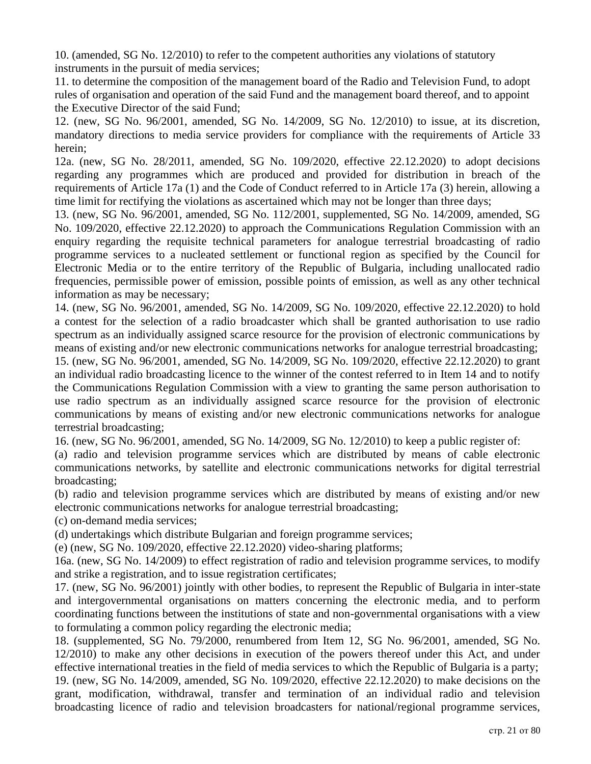10. (amended, SG No. 12/2010) to refer to the competent authorities any violations of statutory instruments in the pursuit of media services;

11. to determine the composition of the management board of the Radio and Television Fund, to adopt rules of organisation and operation of the said Fund and the management board thereof, and to appoint the Executive Director of the said Fund;

12. (new, SG No. 96/2001, amended, SG No. 14/2009, SG No. 12/2010) to issue, at its discretion, mandatory directions to media service providers for compliance with the requirements of Article 33 herein;

12a. (new, SG No. 28/2011, amended, SG No. 109/2020, effective 22.12.2020) to adopt decisions regarding any programmes which are produced and provided for distribution in breach of the requirements of Article 17a (1) and the Code of Conduct referred to in Article 17a (3) herein, allowing a time limit for rectifying the violations as ascertained which may not be longer than three days;

13. (new, SG No. 96/2001, amended, SG No. 112/2001, supplemented, SG No. 14/2009, amended, SG No. 109/2020, effective 22.12.2020) to approach the Communications Regulation Commission with an enquiry regarding the requisite technical parameters for analogue terrestrial broadcasting of radio programme services to a nucleated settlement or functional region as specified by the Council for Electronic Media or to the entire territory of the Republic of Bulgaria, including unallocated radio frequencies, permissible power of emission, possible points of emission, as well as any other technical information as may be necessary;

14. (new, SG No. 96/2001, amended, SG No. 14/2009, SG No. 109/2020, effective 22.12.2020) to hold a contest for the selection of a radio broadcaster which shall be granted authorisation to use radio spectrum as an individually assigned scarce resource for the provision of electronic communications by means of existing and/or new electronic communications networks for analogue terrestrial broadcasting; 15. (new, SG No. 96/2001, amended, SG No. 14/2009, SG No. 109/2020, effective 22.12.2020) to grant an individual radio broadcasting licence to the winner of the contest referred to in Item 14 and to notify the Communications Regulation Commission with a view to granting the same person authorisation to use radio spectrum as an individually assigned scarce resource for the provision of electronic communications by means of existing and/or new electronic communications networks for analogue terrestrial broadcasting;

16. (new, SG No. 96/2001, amended, SG No. 14/2009, SG No. 12/2010) to keep a public register of:

(a) radio and television programme services which are distributed by means of cable electronic communications networks, by satellite and electronic communications networks for digital terrestrial broadcasting;

(b) radio and television programme services which are distributed by means of existing and/or new electronic communications networks for analogue terrestrial broadcasting;

(c) on-demand media services;

(d) undertakings which distribute Bulgarian and foreign programme services;

(e) (new, SG No. 109/2020, effective 22.12.2020) video-sharing platforms;

16a. (new, SG No. 14/2009) to effect registration of radio and television programme services, to modify and strike a registration, and to issue registration certificates;

17. (new, SG No. 96/2001) jointly with other bodies, to represent the Republic of Bulgaria in inter-state and intergovernmental organisations on matters concerning the electronic media, and to perform coordinating functions between the institutions of state and non-governmental organisations with a view to formulating a common policy regarding the electronic media;

18. (supplemented, SG No. 79/2000, renumbered from Item 12, SG No. 96/2001, amended, SG No. 12/2010) to make any other decisions in execution of the powers thereof under this Act, and under effective international treaties in the field of media services to which the Republic of Bulgaria is a party; 19. (new, SG No. 14/2009, amended, SG No. 109/2020, effective 22.12.2020) to make decisions on the grant, modification, withdrawal, transfer and termination of an individual radio and television broadcasting licence of radio and television broadcasters for national/regional programme services,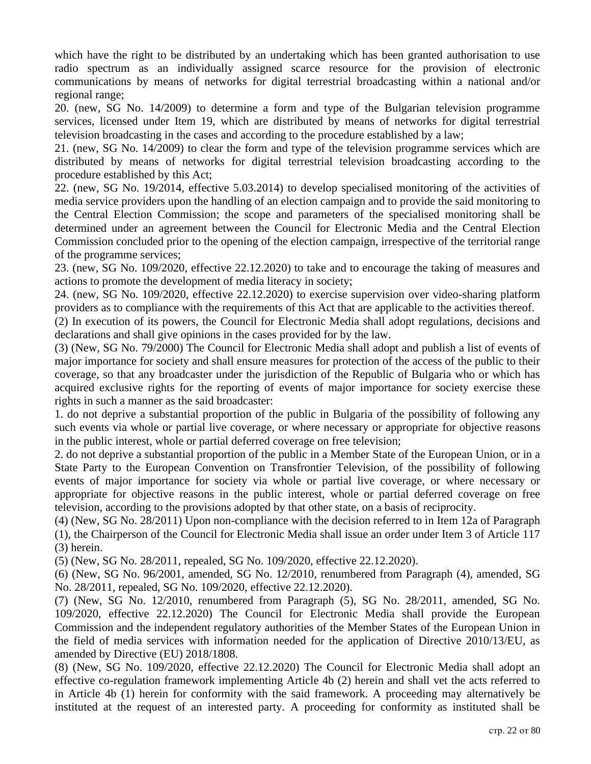which have the right to be distributed by an undertaking which has been granted authorisation to use radio spectrum as an individually assigned scarce resource for the provision of electronic communications by means of networks for digital terrestrial broadcasting within a national and/or regional range;

20. (new, SG No. 14/2009) to determine a form and type of the Bulgarian television programme services, licensed under Item 19, which are distributed by means of networks for digital terrestrial television broadcasting in the cases and according to the procedure established by a law;

21. (new, SG No. 14/2009) to clear the form and type of the television programme services which are distributed by means of networks for digital terrestrial television broadcasting according to the procedure established by this Act;

22. (new, SG No. 19/2014, effective 5.03.2014) to develop specialised monitoring of the activities of media service providers upon the handling of an election campaign and to provide the said monitoring to the Central Election Commission; the scope and parameters of the specialised monitoring shall be determined under an agreement between the Council for Electronic Media and the Central Election Commission concluded prior to the opening of the election campaign, irrespective of the territorial range of the programme services;

23. (new, SG No. 109/2020, effective 22.12.2020) to take and to encourage the taking of measures and actions to promote the development of media literacy in society;

24. (new, SG No. 109/2020, effective 22.12.2020) to exercise supervision over video-sharing platform providers as to compliance with the requirements of this Act that are applicable to the activities thereof.

(2) In execution of its powers, the Council for Electronic Media shall adopt regulations, decisions and declarations and shall give opinions in the cases provided for by the law.

(3) (New, SG No. 79/2000) The Council for Electronic Media shall adopt and publish a list of events of major importance for society and shall ensure measures for protection of the access of the public to their coverage, so that any broadcaster under the jurisdiction of the Republic of Bulgaria who or which has acquired exclusive rights for the reporting of events of major importance for society exercise these rights in such a manner as the said broadcaster:

1. do not deprive a substantial proportion of the public in Bulgaria of the possibility of following any such events via whole or partial live coverage, or where necessary or appropriate for objective reasons in the public interest, whole or partial deferred coverage on free television;

2. do not deprive a substantial proportion of the public in a Member State of the European Union, or in a State Party to the European Convention on Transfrontier Television, of the possibility of following events of major importance for society via whole or partial live coverage, or where necessary or appropriate for objective reasons in the public interest, whole or partial deferred coverage on free television, according to the provisions adopted by that other state, on a basis of reciprocity.

(4) (New, SG No. 28/2011) Upon non-compliance with the decision referred to in Item 12a of Paragraph (1), the Chairperson of the Council for Electronic Media shall issue an order under Item 3 of Article 117 (3) herein.

(5) (New, SG No. 28/2011, repealed, SG No. 109/2020, effective 22.12.2020).

(6) (New, SG No. 96/2001, amended, SG No. 12/2010, renumbered from Paragraph (4), amended, SG No. 28/2011, repealed, SG No. 109/2020, effective 22.12.2020).

(7) (New, SG No. 12/2010, renumbered from Paragraph (5), SG No. 28/2011, amended, SG No. 109/2020, effective 22.12.2020) The Council for Electronic Media shall provide the European Commission and the independent regulatory authorities of the Member States of the European Union in the field of media services with information needed for the application of Directive 2010/13/EU, as amended by Directive (EU) 2018/1808.

(8) (New, SG No. 109/2020, effective 22.12.2020) The Council for Electronic Media shall adopt an effective co-regulation framework implementing Article 4b (2) herein and shall vet the acts referred to in Article 4b (1) herein for conformity with the said framework. A proceeding may alternatively be instituted at the request of an interested party. A proceeding for conformity as instituted shall be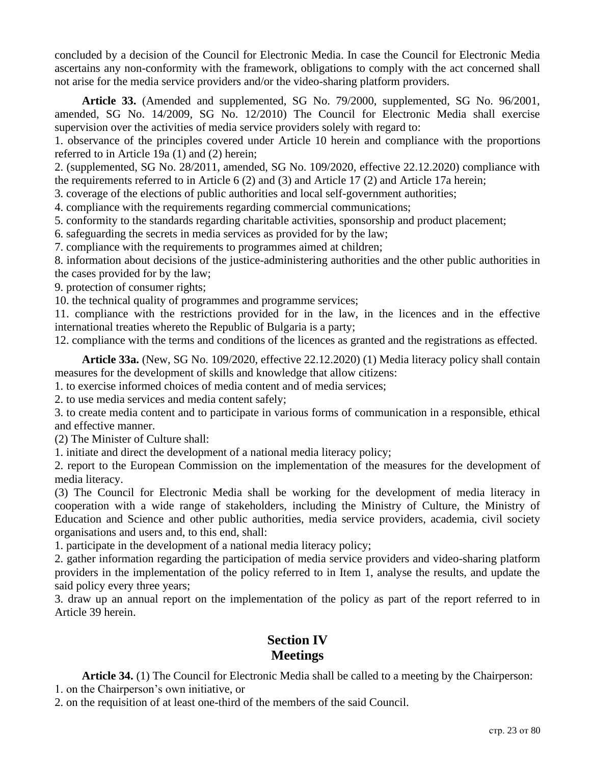concluded by a decision of the Council for Electronic Media. In case the Council for Electronic Media ascertains any non-conformity with the framework, obligations to comply with the act concerned shall not arise for the media service providers and/or the video-sharing platform providers.

**Article 33.** (Amended and supplemented, SG No. 79/2000, supplemented, SG No. 96/2001, amended, SG No. 14/2009, SG No. 12/2010) The Council for Electronic Media shall exercise supervision over the activities of media service providers solely with regard to:

1. observance of the principles covered under Article 10 herein and compliance with the proportions referred to in Article 19a (1) and (2) herein;

2. (supplemented, SG No. 28/2011, amended, SG No. 109/2020, effective 22.12.2020) compliance with the requirements referred to in Article 6 (2) and (3) and Article 17 (2) and Article 17a herein;

3. coverage of the elections of public authorities and local self-government authorities;

4. compliance with the requirements regarding commercial communications;

5. conformity to the standards regarding charitable activities, sponsorship and product placement;

6. safeguarding the secrets in media services as provided for by the law;

7. compliance with the requirements to programmes aimed at children;

8. information about decisions of the justice-administering authorities and the other public authorities in the cases provided for by the law;

9. protection of consumer rights;

10. the technical quality of programmes and programme services;

11. compliance with the restrictions provided for in the law, in the licences and in the effective international treaties whereto the Republic of Bulgaria is a party;

12. compliance with the terms and conditions of the licences as granted and the registrations as effected.

**Article 33a.** (New, SG No. 109/2020, effective 22.12.2020) (1) Media literacy policy shall contain measures for the development of skills and knowledge that allow citizens:

1. to exercise informed choices of media content and of media services;

2. to use media services and media content safely;

3. to create media content and to participate in various forms of communication in a responsible, ethical and effective manner.

(2) The Minister of Culture shall:

1. initiate and direct the development of a national media literacy policy;

2. report to the European Commission on the implementation of the measures for the development of media literacy.

(3) The Council for Electronic Media shall be working for the development of media literacy in cooperation with a wide range of stakeholders, including the Ministry of Culture, the Ministry of Education and Science and other public authorities, media service providers, academia, civil society organisations and users and, to this end, shall:

1. participate in the development of a national media literacy policy;

2. gather information regarding the participation of media service providers and video-sharing platform providers in the implementation of the policy referred to in Item 1, analyse the results, and update the said policy every three years;

3. draw up an annual report on the implementation of the policy as part of the report referred to in Article 39 herein.

## **Section IV Meetings**

**Article 34.** (1) The Council for Electronic Media shall be called to a meeting by the Chairperson: 1. on the Chairperson's own initiative, or

2. on the requisition of at least one-third of the members of the said Council.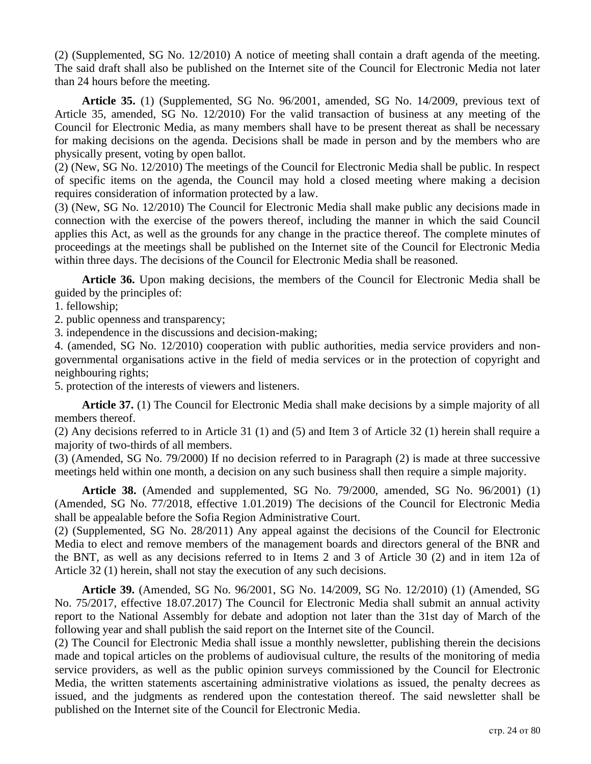(2) (Supplemented, SG No. 12/2010) A notice of meeting shall contain a draft agenda of the meeting. The said draft shall also be published on the Internet site of the Council for Electronic Media not later than 24 hours before the meeting.

**Article 35.** (1) (Supplemented, SG No. 96/2001, amended, SG No. 14/2009, previous text of Article 35, amended, SG No. 12/2010) For the valid transaction of business at any meeting of the Council for Electronic Media, as many members shall have to be present thereat as shall be necessary for making decisions on the agenda. Decisions shall be made in person and by the members who are physically present, voting by open ballot.

(2) (New, SG No. 12/2010) The meetings of the Council for Electronic Media shall be public. In respect of specific items on the agenda, the Council may hold a closed meeting where making a decision requires consideration of information protected by a law.

(3) (New, SG No. 12/2010) The Council for Electronic Media shall make public any decisions made in connection with the exercise of the powers thereof, including the manner in which the said Council applies this Act, as well as the grounds for any change in the practice thereof. The complete minutes of proceedings at the meetings shall be published on the Internet site of the Council for Electronic Media within three days. The decisions of the Council for Electronic Media shall be reasoned.

**Article 36.** Upon making decisions, the members of the Council for Electronic Media shall be guided by the principles of:

1. fellowship;

2. public openness and transparency;

3. independence in the discussions and decision-making;

4. (amended, SG No. 12/2010) cooperation with public authorities, media service providers and nongovernmental organisations active in the field of media services or in the protection of copyright and neighbouring rights;

5. protection of the interests of viewers and listeners.

**Article 37.** (1) The Council for Electronic Media shall make decisions by a simple majority of all members thereof.

(2) Any decisions referred to in Article 31 (1) and (5) and Item 3 of Article 32 (1) herein shall require a majority of two-thirds of all members.

(3) (Amended, SG No. 79/2000) If no decision referred to in Paragraph (2) is made at three successive meetings held within one month, a decision on any such business shall then require a simple majority.

**Article 38.** (Amended and supplemented, SG No. 79/2000, amended, SG No. 96/2001) (1) (Amended, SG No. 77/2018, effective 1.01.2019) The decisions of the Council for Electronic Media shall be appealable before the Sofia Region Administrative Court.

(2) (Supplemented, SG No. 28/2011) Any appeal against the decisions of the Council for Electronic Media to elect and remove members of the management boards and directors general of the BNR and the BNT, as well as any decisions referred to in Items 2 and 3 of Article 30 (2) and in item 12a of Article 32 (1) herein, shall not stay the execution of any such decisions.

**Article 39.** (Amended, SG No. 96/2001, SG No. 14/2009, SG No. 12/2010) (1) (Amended, SG No. 75/2017, effective 18.07.2017) The Council for Electronic Media shall submit an annual activity report to the National Assembly for debate and adoption not later than the 31st day of March of the following year and shall publish the said report on the Internet site of the Council.

(2) The Council for Electronic Media shall issue a monthly newsletter, publishing therein the decisions made and topical articles on the problems of audiovisual culture, the results of the monitoring of media service providers, as well as the public opinion surveys commissioned by the Council for Electronic Media, the written statements ascertaining administrative violations as issued, the penalty decrees as issued, and the judgments as rendered upon the contestation thereof. The said newsletter shall be published on the Internet site of the Council for Electronic Media.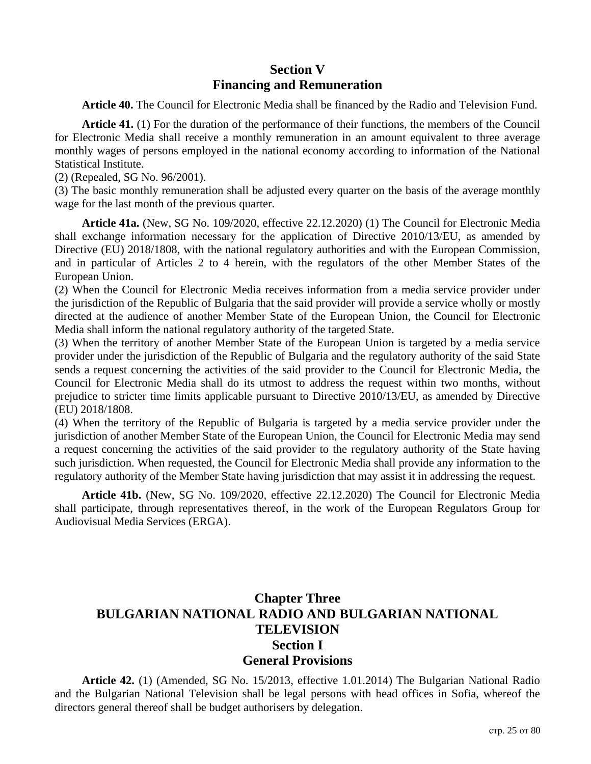## **Section V Financing and Remuneration**

**Article 40.** The Council for Electronic Media shall be financed by the Radio and Television Fund.

**Article 41.** (1) For the duration of the performance of their functions, the members of the Council for Electronic Media shall receive a monthly remuneration in an amount equivalent to three average monthly wages of persons employed in the national economy according to information of the National Statistical Institute.

(2) (Repealed, SG No. 96/2001).

(3) The basic monthly remuneration shall be adjusted every quarter on the basis of the average monthly wage for the last month of the previous quarter.

**Article 41a.** (New, SG No. 109/2020, effective 22.12.2020) (1) The Council for Electronic Media shall exchange information necessary for the application of Directive 2010/13/EU, as amended by Directive (EU) 2018/1808, with the national regulatory authorities and with the European Commission, and in particular of Articles 2 to 4 herein, with the regulators of the other Member States of the European Union.

(2) When the Council for Electronic Media receives information from a media service provider under the jurisdiction of the Republic of Bulgaria that the said provider will provide a service wholly or mostly directed at the audience of another Member State of the European Union, the Council for Electronic Media shall inform the national regulatory authority of the targeted State.

(3) When the territory of another Member State of the European Union is targeted by a media service provider under the jurisdiction of the Republic of Bulgaria and the regulatory authority of the said State sends a request concerning the activities of the said provider to the Council for Electronic Media, the Council for Electronic Media shall do its utmost to address the request within two months, without prejudice to stricter time limits applicable pursuant to Directive 2010/13/EU, as amended by Directive (EU) 2018/1808.

(4) When the territory of the Republic of Bulgaria is targeted by a media service provider under the jurisdiction of another Member State of the European Union, the Council for Electronic Media may send a request concerning the activities of the said provider to the regulatory authority of the State having such jurisdiction. When requested, the Council for Electronic Media shall provide any information to the regulatory authority of the Member State having jurisdiction that may assist it in addressing the request.

**Article 41b.** (New, SG No. 109/2020, effective 22.12.2020) The Council for Electronic Media shall participate, through representatives thereof, in the work of the European Regulators Group for Audiovisual Media Services (ERGA).

# **Chapter Three BULGARIAN NATIONAL RADIO AND BULGARIAN NATIONAL TELEVISION Section I General Provisions**

**Article 42.** (1) (Amended, SG No. 15/2013, effective 1.01.2014) The Bulgarian National Radio and the Bulgarian National Television shall be legal persons with head offices in Sofia, whereof the directors general thereof shall be budget authorisers by delegation.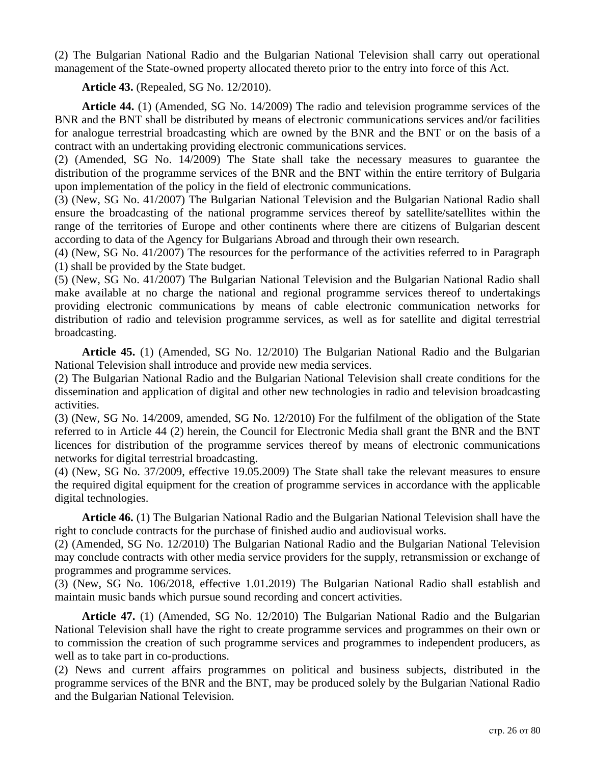(2) The Bulgarian National Radio and the Bulgarian National Television shall carry out operational management of the State-owned property allocated thereto prior to the entry into force of this Act.

**Article 43.** (Repealed, SG No. 12/2010).

**Article 44.** (1) (Amended, SG No. 14/2009) The radio and television programme services of the BNR and the BNT shall be distributed by means of electronic communications services and/or facilities for analogue terrestrial broadcasting which are owned by the BNR and the BNT or on the basis of a contract with an undertaking providing electronic communications services.

(2) (Amended, SG No. 14/2009) The State shall take the necessary measures to guarantee the distribution of the programme services of the BNR and the BNT within the entire territory of Bulgaria upon implementation of the policy in the field of electronic communications.

(3) (New, SG No. 41/2007) The Bulgarian National Television and the Bulgarian National Radio shall ensure the broadcasting of the national programme services thereof by satellite/satellites within the range of the territories of Europe and other continents where there are citizens of Bulgarian descent according to data of the Agency for Bulgarians Abroad and through their own research.

(4) (New, SG No. 41/2007) The resources for the performance of the activities referred to in Paragraph (1) shall be provided by the State budget.

(5) (New, SG No. 41/2007) The Bulgarian National Television and the Bulgarian National Radio shall make available at no charge the national and regional programme services thereof to undertakings providing electronic communications by means of cable electronic communication networks for distribution of radio and television programme services, as well as for satellite and digital terrestrial broadcasting.

**Article 45.** (1) (Amended, SG No. 12/2010) The Bulgarian National Radio and the Bulgarian National Television shall introduce and provide new media services.

(2) The Bulgarian National Radio and the Bulgarian National Television shall create conditions for the dissemination and application of digital and other new technologies in radio and television broadcasting activities.

(3) (New, SG No. 14/2009, amended, SG No. 12/2010) For the fulfilment of the obligation of the State referred to in Article 44 (2) herein, the Council for Electronic Media shall grant the BNR and the BNT licences for distribution of the programme services thereof by means of electronic communications networks for digital terrestrial broadcasting.

(4) (New, SG No. 37/2009, effective 19.05.2009) The State shall take the relevant measures to ensure the required digital equipment for the creation of programme services in accordance with the applicable digital technologies.

**Article 46.** (1) The Bulgarian National Radio and the Bulgarian National Television shall have the right to conclude contracts for the purchase of finished audio and audiovisual works.

(2) (Amended, SG No. 12/2010) The Bulgarian National Radio and the Bulgarian National Television may conclude contracts with other media service providers for the supply, retransmission or exchange of programmes and programme services.

(3) (New, SG No. 106/2018, effective 1.01.2019) The Bulgarian National Radio shall establish and maintain music bands which pursue sound recording and concert activities.

**Article 47.** (1) (Amended, SG No. 12/2010) The Bulgarian National Radio and the Bulgarian National Television shall have the right to create programme services and programmes on their own or to commission the creation of such programme services and programmes to independent producers, as well as to take part in co-productions.

(2) News and current affairs programmes on political and business subjects, distributed in the programme services of the BNR and the BNT, may be produced solely by the Bulgarian National Radio and the Bulgarian National Television.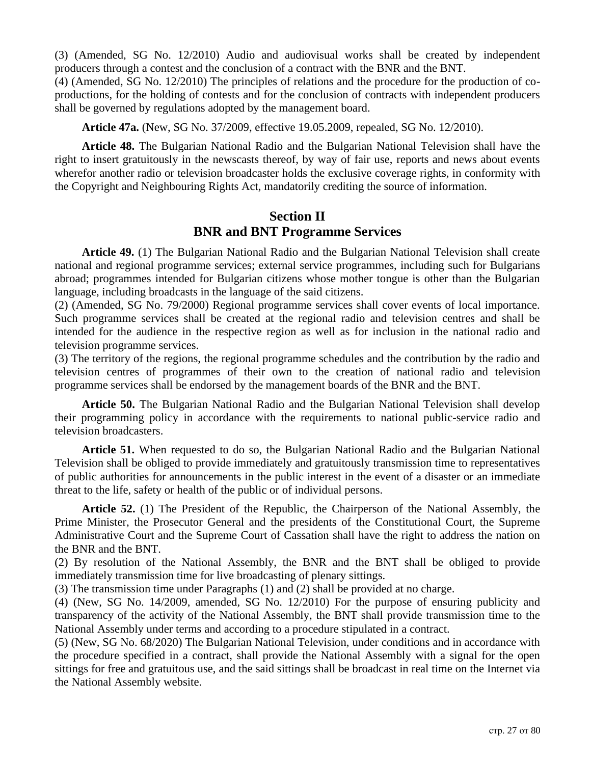(3) (Amended, SG No. 12/2010) Audio and audiovisual works shall be created by independent producers through a contest and the conclusion of a contract with the BNR and the BNT.

(4) (Amended, SG No. 12/2010) The principles of relations and the procedure for the production of coproductions, for the holding of contests and for the conclusion of contracts with independent producers shall be governed by regulations adopted by the management board.

**Article 47a.** (New, SG No. 37/2009, effective 19.05.2009, repealed, SG No. 12/2010).

**Article 48.** The Bulgarian National Radio and the Bulgarian National Television shall have the right to insert gratuitously in the newscasts thereof, by way of fair use, reports and news about events wherefor another radio or television broadcaster holds the exclusive coverage rights, in conformity with the Copyright and Neighbouring Rights Act, mandatorily crediting the source of information.

## **Section II BNR and BNT Programme Services**

**Article 49.** (1) The Bulgarian National Radio and the Bulgarian National Television shall create national and regional programme services; external service programmes, including such for Bulgarians abroad; programmes intended for Bulgarian citizens whose mother tongue is other than the Bulgarian language, including broadcasts in the language of the said citizens.

(2) (Amended, SG No. 79/2000) Regional programme services shall cover events of local importance. Such programme services shall be created at the regional radio and television centres and shall be intended for the audience in the respective region as well as for inclusion in the national radio and television programme services.

(3) The territory of the regions, the regional programme schedules and the contribution by the radio and television centres of programmes of their own to the creation of national radio and television programme services shall be endorsed by the management boards of the BNR and the BNT.

**Article 50.** The Bulgarian National Radio and the Bulgarian National Television shall develop their programming policy in accordance with the requirements to national public-service radio and television broadcasters.

**Article 51.** When requested to do so, the Bulgarian National Radio and the Bulgarian National Television shall be obliged to provide immediately and gratuitously transmission time to representatives of public authorities for announcements in the public interest in the event of a disaster or an immediate threat to the life, safety or health of the public or of individual persons.

**Article 52.** (1) The President of the Republic, the Chairperson of the National Assembly, the Prime Minister, the Prosecutor General and the presidents of the Constitutional Court, the Supreme Administrative Court and the Supreme Court of Cassation shall have the right to address the nation on the BNR and the BNT.

(2) By resolution of the National Assembly, the BNR and the BNT shall be obliged to provide immediately transmission time for live broadcasting of plenary sittings.

(3) The transmission time under Paragraphs (1) and (2) shall be provided at no charge.

(4) (New, SG No. 14/2009, amended, SG No. 12/2010) For the purpose of ensuring publicity and transparency of the activity of the National Assembly, the BNT shall provide transmission time to the National Assembly under terms and according to a procedure stipulated in a contract.

(5) (New, SG No. 68/2020) The Bulgarian National Television, under conditions and in accordance with the procedure specified in a contract, shall provide the National Assembly with a signal for the open sittings for free and gratuitous use, and the said sittings shall be broadcast in real time on the Internet via the National Assembly website.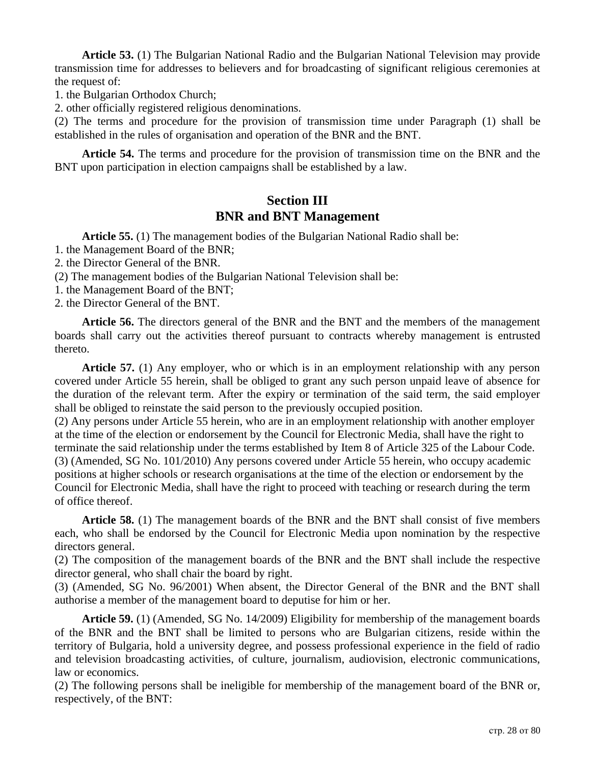**Article 53.** (1) The Bulgarian National Radio and the Bulgarian National Television may provide transmission time for addresses to believers and for broadcasting of significant religious ceremonies at the request of:

1. the Bulgarian Orthodox Church;

2. other officially registered religious denominations.

(2) The terms and procedure for the provision of transmission time under Paragraph (1) shall be established in the rules of organisation and operation of the BNR and the BNT.

**Article 54.** The terms and procedure for the provision of transmission time on the BNR and the BNT upon participation in election campaigns shall be established by a law.

### **Section III BNR and BNT Management**

**Article 55.** (1) The management bodies of the Bulgarian National Radio shall be:

- 1. the Management Board of the BNR;
- 2. the Director General of the BNR.

(2) The management bodies of the Bulgarian National Television shall be:

- 1. the Management Board of the BNT;
- 2. the Director General of the BNT.

**Article 56.** The directors general of the BNR and the BNT and the members of the management boards shall carry out the activities thereof pursuant to contracts whereby management is entrusted thereto.

**Article 57.** (1) Any employer, who or which is in an employment relationship with any person covered under Article 55 herein, shall be obliged to grant any such person unpaid leave of absence for the duration of the relevant term. After the expiry or termination of the said term, the said employer shall be obliged to reinstate the said person to the previously occupied position.

(2) Any persons under Article 55 herein, who are in an employment relationship with another employer at the time of the election or endorsement by the Council for Electronic Media, shall have the right to terminate the said relationship under the terms established by Item 8 of Article 325 of the Labour Code. (3) (Amended, SG No. 101/2010) Any persons covered under Article 55 herein, who occupy academic positions at higher schools or research organisations at the time of the election or endorsement by the Council for Electronic Media, shall have the right to proceed with teaching or research during the term of office thereof.

**Article 58.** (1) The management boards of the BNR and the BNT shall consist of five members each, who shall be endorsed by the Council for Electronic Media upon nomination by the respective directors general.

(2) The composition of the management boards of the BNR and the BNT shall include the respective director general, who shall chair the board by right.

(3) (Amended, SG No. 96/2001) When absent, the Director General of the BNR and the BNT shall authorise a member of the management board to deputise for him or her.

**Article 59.** (1) (Amended, SG No. 14/2009) Eligibility for membership of the management boards of the BNR and the BNT shall be limited to persons who are Bulgarian citizens, reside within the territory of Bulgaria, hold a university degree, and possess professional experience in the field of radio and television broadcasting activities, of culture, journalism, audiovision, electronic communications, law or economics.

(2) The following persons shall be ineligible for membership of the management board of the BNR or, respectively, of the BNT: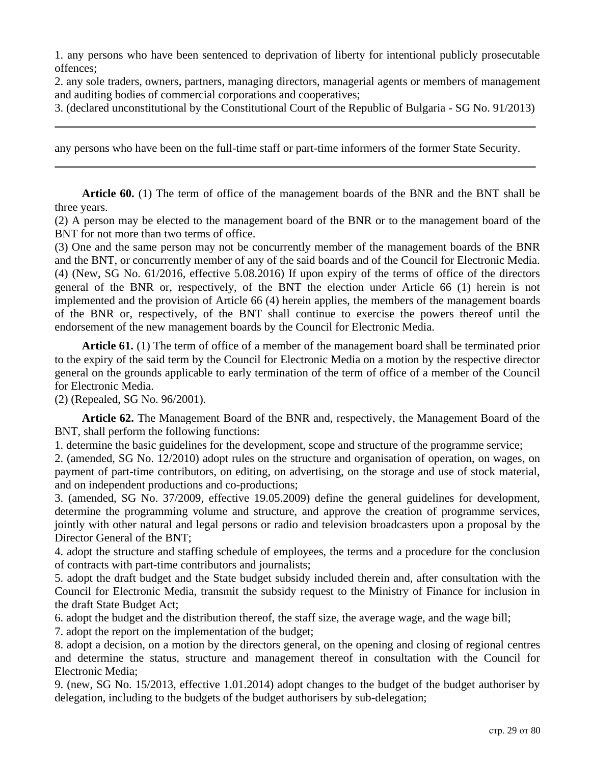1. any persons who have been sentenced to deprivation of liberty for intentional publicly prosecutable offences;

2. any sole traders, owners, partners, managing directors, managerial agents or members of management and auditing bodies of commercial corporations and cooperatives;

3. (declared unconstitutional by the Constitutional Court of the Republic of Bulgaria - SG No. 91/2013)

any persons who have been on the full-time staff or part-time informers of the former State Security.

**Article 60.** (1) The term of office of the management boards of the BNR and the BNT shall be three years.

(2) A person may be elected to the management board of the BNR or to the management board of the BNT for not more than two terms of office.

(3) One and the same person may not be concurrently member of the management boards of the BNR and the BNT, or concurrently member of any of the said boards and of the Council for Electronic Media. (4) (New, SG No. 61/2016, effective 5.08.2016) If upon expiry of the terms of office of the directors general of the BNR or, respectively, of the BNT the election under Article 66 (1) herein is not implemented and the provision of Article 66 (4) herein applies, the members of the management boards of the BNR or, respectively, of the BNT shall continue to exercise the powers thereof until the endorsement of the new management boards by the Council for Electronic Media.

**Article 61.** (1) The term of office of a member of the management board shall be terminated prior to the expiry of the said term by the Council for Electronic Media on a motion by the respective director general on the grounds applicable to early termination of the term of office of a member of the Council for Electronic Media.

(2) (Repealed, SG No. 96/2001).

**Article 62.** The Management Board of the BNR and, respectively, the Management Board of the BNT, shall perform the following functions:

1. determine the basic guidelines for the development, scope and structure of the programme service;

2. (amended, SG No. 12/2010) adopt rules on the structure and organisation of operation, on wages, on payment of part-time contributors, on editing, on advertising, on the storage and use of stock material, and on independent productions and co-productions;

3. (amended, SG No. 37/2009, effective 19.05.2009) define the general guidelines for development, determine the programming volume and structure, and approve the creation of programme services, jointly with other natural and legal persons or radio and television broadcasters upon a proposal by the Director General of the BNT;

4. adopt the structure and staffing schedule of employees, the terms and a procedure for the conclusion of contracts with part-time contributors and journalists;

5. adopt the draft budget and the State budget subsidy included therein and, after consultation with the Council for Electronic Media, transmit the subsidy request to the Ministry of Finance for inclusion in the draft State Budget Act;

6. adopt the budget and the distribution thereof, the staff size, the average wage, and the wage bill;

7. adopt the report on the implementation of the budget;

8. adopt a decision, on a motion by the directors general, on the opening and closing of regional centres and determine the status, structure and management thereof in consultation with the Council for Electronic Media;

9. (new, SG No. 15/2013, effective 1.01.2014) adopt changes to the budget of the budget authoriser by delegation, including to the budgets of the budget authorisers by sub-delegation;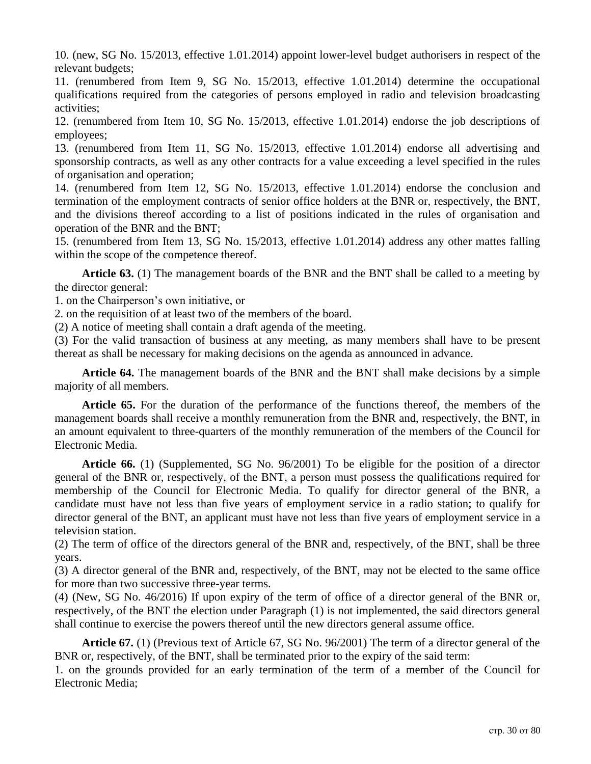10. (new, SG No. 15/2013, effective 1.01.2014) appoint lower-level budget authorisers in respect of the relevant budgets;

11. (renumbered from Item 9, SG No. 15/2013, effective 1.01.2014) determine the occupational qualifications required from the categories of persons employed in radio and television broadcasting activities;

12. (renumbered from Item 10, SG No. 15/2013, effective 1.01.2014) endorse the job descriptions of employees;

13. (renumbered from Item 11, SG No. 15/2013, effective 1.01.2014) endorse all advertising and sponsorship contracts, as well as any other contracts for a value exceeding a level specified in the rules of organisation and operation;

14. (renumbered from Item 12, SG No. 15/2013, effective 1.01.2014) endorse the conclusion and termination of the employment contracts of senior office holders at the BNR or, respectively, the BNT, and the divisions thereof according to a list of positions indicated in the rules of organisation and operation of the BNR and the BNT;

15. (renumbered from Item 13, SG No. 15/2013, effective 1.01.2014) address any other mattes falling within the scope of the competence thereof.

**Article 63.** (1) The management boards of the BNR and the BNT shall be called to a meeting by the director general:

1. on the Chairperson's own initiative, or

2. on the requisition of at least two of the members of the board.

(2) A notice of meeting shall contain a draft agenda of the meeting.

(3) For the valid transaction of business at any meeting, as many members shall have to be present thereat as shall be necessary for making decisions on the agenda as announced in advance.

**Article 64.** The management boards of the BNR and the BNT shall make decisions by a simple majority of all members.

**Article 65.** For the duration of the performance of the functions thereof, the members of the management boards shall receive a monthly remuneration from the BNR and, respectively, the BNT, in an amount equivalent to three-quarters of the monthly remuneration of the members of the Council for Electronic Media.

**Article 66.** (1) (Supplemented, SG No. 96/2001) To be eligible for the position of a director general of the BNR or, respectively, of the BNT, a person must possess the qualifications required for membership of the Council for Electronic Media. To qualify for director general of the BNR, a candidate must have not less than five years of employment service in a radio station; to qualify for director general of the BNT, an applicant must have not less than five years of employment service in a television station.

(2) The term of office of the directors general of the BNR and, respectively, of the BNT, shall be three years.

(3) A director general of the BNR and, respectively, of the BNT, may not be elected to the same office for more than two successive three-year terms.

(4) (New, SG No. 46/2016) If upon expiry of the term of office of a director general of the BNR or, respectively, of the BNT the election under Paragraph (1) is not implemented, the said directors general shall continue to exercise the powers thereof until the new directors general assume office.

**Article 67.** (1) (Previous text of Article 67, SG No. 96/2001) The term of a director general of the BNR or, respectively, of the BNT, shall be terminated prior to the expiry of the said term:

1. on the grounds provided for an early termination of the term of a member of the Council for Electronic Media;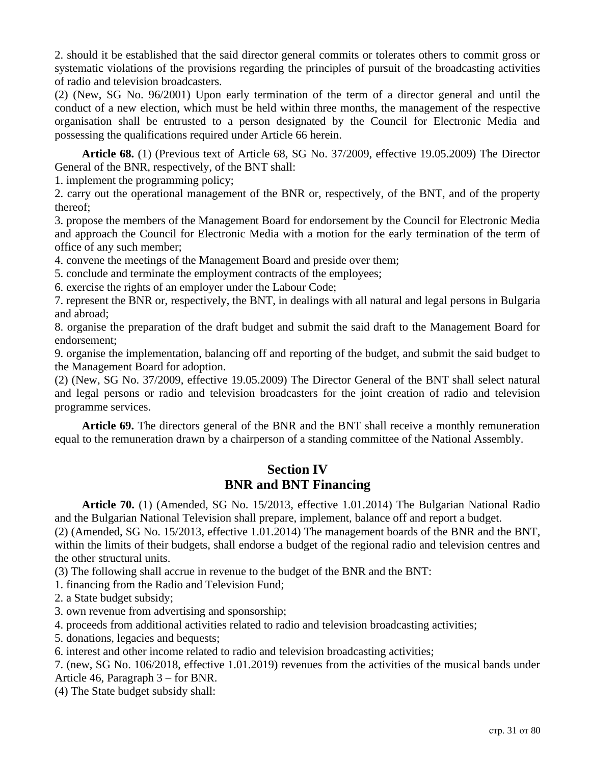2. should it be established that the said director general commits or tolerates others to commit gross or systematic violations of the provisions regarding the principles of pursuit of the broadcasting activities of radio and television broadcasters.

(2) (New, SG No. 96/2001) Upon early termination of the term of a director general and until the conduct of a new election, which must be held within three months, the management of the respective organisation shall be entrusted to a person designated by the Council for Electronic Media and possessing the qualifications required under Article 66 herein.

**Article 68.** (1) (Previous text of Article 68, SG No. 37/2009, effective 19.05.2009) The Director General of the BNR, respectively, of the BNT shall:

1. implement the programming policy;

2. carry out the operational management of the BNR or, respectively, of the BNT, and of the property thereof;

3. propose the members of the Management Board for endorsement by the Council for Electronic Media and approach the Council for Electronic Media with a motion for the early termination of the term of office of any such member;

4. convene the meetings of the Management Board and preside over them;

5. conclude and terminate the employment contracts of the employees;

6. exercise the rights of an employer under the Labour Code;

7. represent the BNR or, respectively, the BNT, in dealings with all natural and legal persons in Bulgaria and abroad;

8. organise the preparation of the draft budget and submit the said draft to the Management Board for endorsement;

9. organise the implementation, balancing off and reporting of the budget, and submit the said budget to the Management Board for adoption.

(2) (New, SG No. 37/2009, effective 19.05.2009) The Director General of the BNT shall select natural and legal persons or radio and television broadcasters for the joint creation of radio and television programme services.

**Article 69.** The directors general of the BNR and the BNT shall receive a monthly remuneration equal to the remuneration drawn by a chairperson of a standing committee of the National Assembly.

### **Section IV BNR and BNT Financing**

**Article 70.** (1) (Amended, SG No. 15/2013, effective 1.01.2014) The Bulgarian National Radio and the Bulgarian National Television shall prepare, implement, balance off and report a budget.

(2) (Amended, SG No. 15/2013, effective 1.01.2014) The management boards of the BNR and the BNT, within the limits of their budgets, shall endorse a budget of the regional radio and television centres and the other structural units.

(3) The following shall accrue in revenue to the budget of the BNR and the BNT:

1. financing from the Radio and Television Fund;

2. a State budget subsidy;

3. own revenue from advertising and sponsorship;

4. proceeds from additional activities related to radio and television broadcasting activities;

5. donations, legacies and bequests;

6. interest and other income related to radio and television broadcasting activities;

7. (new, SG No. 106/2018, effective 1.01.2019) revenues from the activities of the musical bands under Article 46, Paragraph 3 – for BNR.

(4) The State budget subsidy shall: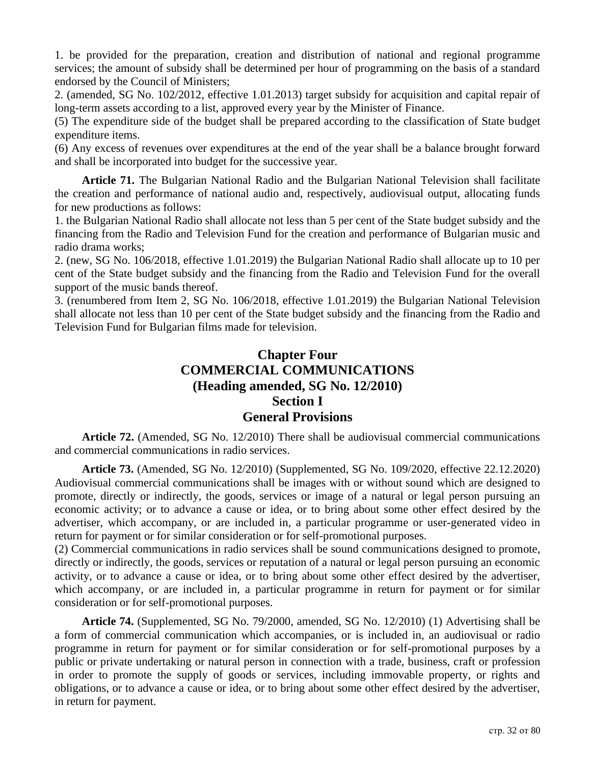1. be provided for the preparation, creation and distribution of national and regional programme services; the amount of subsidy shall be determined per hour of programming on the basis of a standard endorsed by the Council of Ministers;

2. (amended, SG No. 102/2012, effective 1.01.2013) target subsidy for acquisition and capital repair of long-term assets according to a list, approved every year by the Minister of Finance.

(5) The expenditure side of the budget shall be prepared according to the classification of State budget expenditure items.

(6) Any excess of revenues over expenditures at the end of the year shall be a balance brought forward and shall be incorporated into budget for the successive year.

**Article 71.** The Bulgarian National Radio and the Bulgarian National Television shall facilitate the creation and performance of national audio and, respectively, audiovisual output, allocating funds for new productions as follows:

1. the Bulgarian National Radio shall allocate not less than 5 per cent of the State budget subsidy and the financing from the Radio and Television Fund for the creation and performance of Bulgarian music and radio drama works;

2. (new, SG No. 106/2018, effective 1.01.2019) the Bulgarian National Radio shall allocate up to 10 per cent of the State budget subsidy and the financing from the Radio and Television Fund for the overall support of the music bands thereof.

3. (renumbered from Item 2, SG No. 106/2018, effective 1.01.2019) the Bulgarian National Television shall allocate not less than 10 per cent of the State budget subsidy and the financing from the Radio and Television Fund for Bulgarian films made for television.

## **Chapter Four COMMERCIAL COMMUNICATIONS (Heading amended, SG No. 12/2010) Section I General Provisions**

**Article 72.** (Amended, SG No. 12/2010) There shall be audiovisual commercial communications and commercial communications in radio services.

**Article 73.** (Amended, SG No. 12/2010) (Supplemented, SG No. 109/2020, effective 22.12.2020) Audiovisual commercial communications shall be images with or without sound which are designed to promote, directly or indirectly, the goods, services or image of a natural or legal person pursuing an economic activity; or to advance a cause or idea, or to bring about some other effect desired by the advertiser, which accompany, or are included in, a particular programme or user-generated video in return for payment or for similar consideration or for self-promotional purposes.

(2) Commercial communications in radio services shall be sound communications designed to promote, directly or indirectly, the goods, services or reputation of a natural or legal person pursuing an economic activity, or to advance a cause or idea, or to bring about some other effect desired by the advertiser, which accompany, or are included in, a particular programme in return for payment or for similar consideration or for self-promotional purposes.

**Article 74.** (Supplemented, SG No. 79/2000, amended, SG No. 12/2010) (1) Advertising shall be a form of commercial communication which accompanies, or is included in, an audiovisual or radio programme in return for payment or for similar consideration or for self-promotional purposes by a public or private undertaking or natural person in connection with a trade, business, craft or profession in order to promote the supply of goods or services, including immovable property, or rights and obligations, or to advance a cause or idea, or to bring about some other effect desired by the advertiser, in return for payment.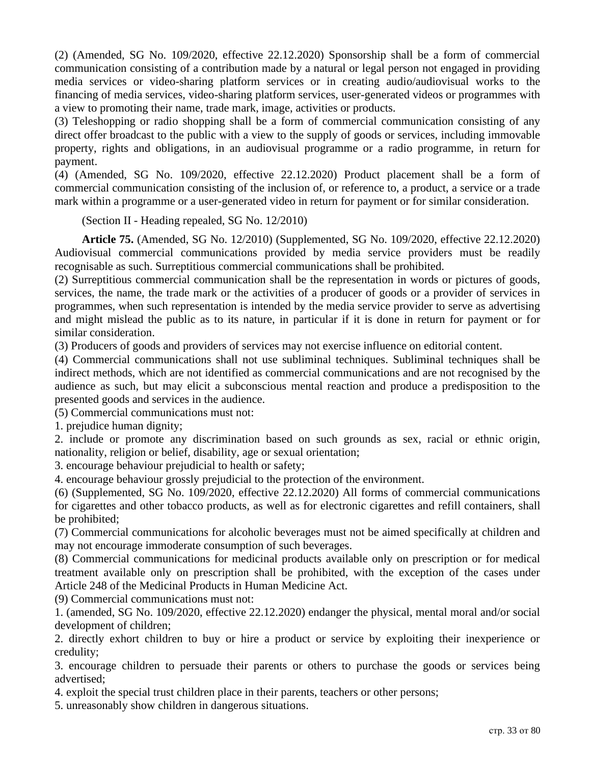(2) (Amended, SG No. 109/2020, effective 22.12.2020) Sponsorship shall be a form of commercial communication consisting of a contribution made by a natural or legal person not engaged in providing media services or video-sharing platform services or in creating audio/audiovisual works to the financing of media services, video-sharing platform services, user-generated videos or programmes with a view to promoting their name, trade mark, image, activities or products.

(3) Teleshopping or radio shopping shall be a form of commercial communication consisting of any direct offer broadcast to the public with a view to the supply of goods or services, including immovable property, rights and obligations, in an audiovisual programme or a radio programme, in return for payment.

(4) (Amended, SG No. 109/2020, effective 22.12.2020) Product placement shall be a form of commercial communication consisting of the inclusion of, or reference to, a product, a service or a trade mark within a programme or a user-generated video in return for payment or for similar consideration.

(Section II - Heading repealed, SG No. 12/2010)

**Article 75.** (Amended, SG No. 12/2010) (Supplemented, SG No. 109/2020, effective 22.12.2020) Audiovisual commercial communications provided by media service providers must be readily recognisable as such. Surreptitious commercial communications shall be prohibited.

(2) Surreptitious commercial communication shall be the representation in words or pictures of goods, services, the name, the trade mark or the activities of a producer of goods or a provider of services in programmes, when such representation is intended by the media service provider to serve as advertising and might mislead the public as to its nature, in particular if it is done in return for payment or for similar consideration.

(3) Producers of goods and providers of services may not exercise influence on editorial content.

(4) Commercial communications shall not use subliminal techniques. Subliminal techniques shall be indirect methods, which are not identified as commercial communications and are not recognised by the audience as such, but may elicit a subconscious mental reaction and produce a predisposition to the presented goods and services in the audience.

(5) Commercial communications must not:

1. prejudice human dignity;

2. include or promote any discrimination based on such grounds as sex, racial or ethnic origin, nationality, religion or belief, disability, age or sexual orientation;

3. encourage behaviour prejudicial to health or safety;

4. encourage behaviour grossly prejudicial to the protection of the environment.

(6) (Supplemented, SG No. 109/2020, effective 22.12.2020) All forms of commercial communications for cigarettes and other tobacco products, as well as for electronic cigarettes and refill containers, shall be prohibited;

(7) Commercial communications for alcoholic beverages must not be aimed specifically at children and may not encourage immoderate consumption of such beverages.

(8) Commercial communications for medicinal products available only on prescription or for medical treatment available only on prescription shall be prohibited, with the exception of the cases under Article 248 of the Medicinal Products in Human Medicine Act.

(9) Commercial communications must not:

1. (amended, SG No. 109/2020, effective 22.12.2020) endanger the physical, mental moral and/or social development of children;

2. directly exhort children to buy or hire a product or service by exploiting their inexperience or credulity;

3. encourage children to persuade their parents or others to purchase the goods or services being advertised;

4. exploit the special trust children place in their parents, teachers or other persons;

5. unreasonably show children in dangerous situations.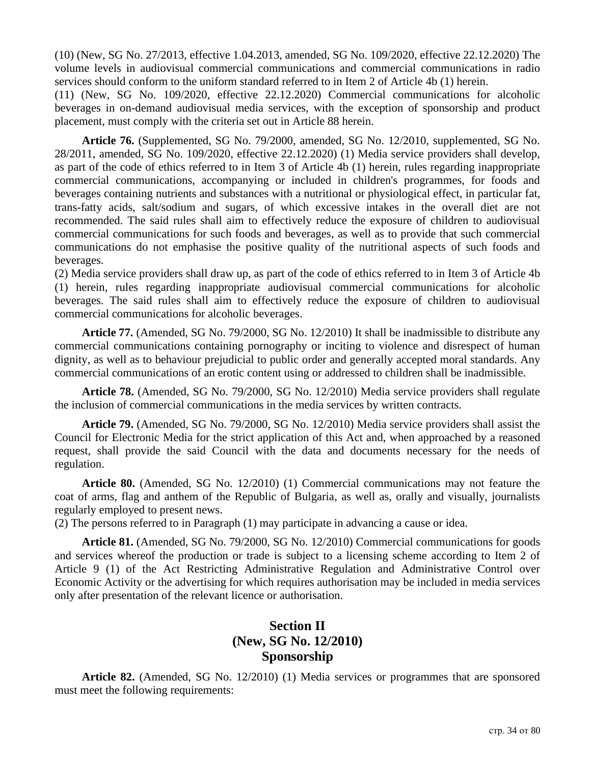(10) (New, SG No. 27/2013, effective 1.04.2013, amended, SG No. 109/2020, effective 22.12.2020) The volume levels in audiovisual commercial communications and commercial communications in radio services should conform to the uniform standard referred to in Item 2 of Article 4b (1) herein.

(11) (New, SG No. 109/2020, effective 22.12.2020) Commercial communications for alcoholic beverages in on-demand audiovisual media services, with the exception of sponsorship and product placement, must comply with the criteria set out in Article 88 herein.

**Article 76.** (Supplemented, SG No. 79/2000, amended, SG No. 12/2010, supplemented, SG No. 28/2011, amended, SG No. 109/2020, effective 22.12.2020) (1) Media service providers shall develop, as part of the code of ethics referred to in Item 3 of Article 4b (1) herein, rules regarding inappropriate commercial communications, accompanying or included in children's programmes, for foods and beverages containing nutrients and substances with a nutritional or physiological effect, in particular fat, trans-fatty acids, salt/sodium and sugars, of which excessive intakes in the overall diet are not recommended. The said rules shall aim to effectively reduce the exposure of children to audiovisual commercial communications for such foods and beverages, as well as to provide that such commercial communications do not emphasise the positive quality of the nutritional aspects of such foods and beverages.

(2) Media service providers shall draw up, as part of the code of ethics referred to in Item 3 of Article 4b (1) herein, rules regarding inappropriate audiovisual commercial communications for alcoholic beverages. The said rules shall aim to effectively reduce the exposure of children to audiovisual commercial communications for alcoholic beverages.

**Article 77.** (Amended, SG No. 79/2000, SG No. 12/2010) It shall be inadmissible to distribute any commercial communications containing pornography or inciting to violence and disrespect of human dignity, as well as to behaviour prejudicial to public order and generally accepted moral standards. Any commercial communications of an erotic content using or addressed to children shall be inadmissible.

**Article 78.** (Amended, SG No. 79/2000, SG No. 12/2010) Media service providers shall regulate the inclusion of commercial communications in the media services by written contracts.

**Article 79.** (Amended, SG No. 79/2000, SG No. 12/2010) Media service providers shall assist the Council for Electronic Media for the strict application of this Act and, when approached by a reasoned request, shall provide the said Council with the data and documents necessary for the needs of regulation.

**Article 80.** (Amended, SG No. 12/2010) (1) Commercial communications may not feature the coat of arms, flag and anthem of the Republic of Bulgaria, as well as, orally and visually, journalists regularly employed to present news.

(2) The persons referred to in Paragraph (1) may participate in advancing a cause or idea.

**Article 81.** (Amended, SG No. 79/2000, SG No. 12/2010) Commercial communications for goods and services whereof the production or trade is subject to a licensing scheme according to Item 2 of Article 9 (1) of the Act Restricting Administrative Regulation and Administrative Control over Economic Activity or the advertising for which requires authorisation may be included in media services only after presentation of the relevant licence or authorisation.

# **Section II (New, SG No. 12/2010) Sponsorship**

**Article 82.** (Amended, SG No. 12/2010) (1) Media services or programmes that are sponsored must meet the following requirements: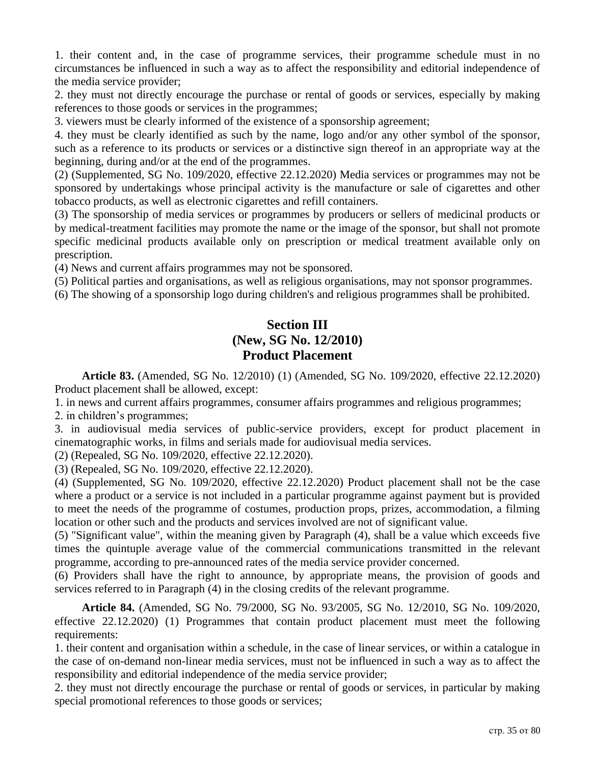1. their content and, in the case of programme services, their programme schedule must in no circumstances be influenced in such a way as to affect the responsibility and editorial independence of the media service provider;

2. they must not directly encourage the purchase or rental of goods or services, especially by making references to those goods or services in the programmes;

3. viewers must be clearly informed of the existence of a sponsorship agreement;

4. they must be clearly identified as such by the name, logo and/or any other symbol of the sponsor, such as a reference to its products or services or a distinctive sign thereof in an appropriate way at the beginning, during and/or at the end of the programmes.

(2) (Supplemented, SG No. 109/2020, effective 22.12.2020) Media services or programmes may not be sponsored by undertakings whose principal activity is the manufacture or sale of cigarettes and other tobacco products, as well as electronic cigarettes and refill containers.

(3) The sponsorship of media services or programmes by producers or sellers of medicinal products or by medical-treatment facilities may promote the name or the image of the sponsor, but shall not promote specific medicinal products available only on prescription or medical treatment available only on prescription.

(4) News and current affairs programmes may not be sponsored.

(5) Political parties and organisations, as well as religious organisations, may not sponsor programmes.

(6) The showing of a sponsorship logo during children's and religious programmes shall be prohibited.

## **Section III (New, SG No. 12/2010) Product Placement**

**Article 83.** (Amended, SG No. 12/2010) (1) (Amended, SG No. 109/2020, effective 22.12.2020) Product placement shall be allowed, except:

1. in news and current affairs programmes, consumer affairs programmes and religious programmes;

2. in children's programmes;

3. in audiovisual media services of public-service providers, except for product placement in cinematographic works, in films and serials made for audiovisual media services.

(2) (Repealed, SG No. 109/2020, effective 22.12.2020).

(3) (Repealed, SG No. 109/2020, effective 22.12.2020).

(4) (Supplemented, SG No. 109/2020, effective 22.12.2020) Product placement shall not be the case where a product or a service is not included in a particular programme against payment but is provided to meet the needs of the programme of costumes, production props, prizes, accommodation, a filming location or other such and the products and services involved are not of significant value.

(5) "Significant value", within the meaning given by Paragraph (4), shall be a value which exceeds five times the quintuple average value of the commercial communications transmitted in the relevant programme, according to pre-announced rates of the media service provider concerned.

(6) Providers shall have the right to announce, by appropriate means, the provision of goods and services referred to in Paragraph (4) in the closing credits of the relevant programme.

**Article 84.** (Amended, SG No. 79/2000, SG No. 93/2005, SG No. 12/2010, SG No. 109/2020, effective 22.12.2020) (1) Programmes that contain product placement must meet the following requirements:

1. their content and organisation within a schedule, in the case of linear services, or within a catalogue in the case of on-demand non-linear media services, must not be influenced in such a way as to affect the responsibility and editorial independence of the media service provider;

2. they must not directly encourage the purchase or rental of goods or services, in particular by making special promotional references to those goods or services;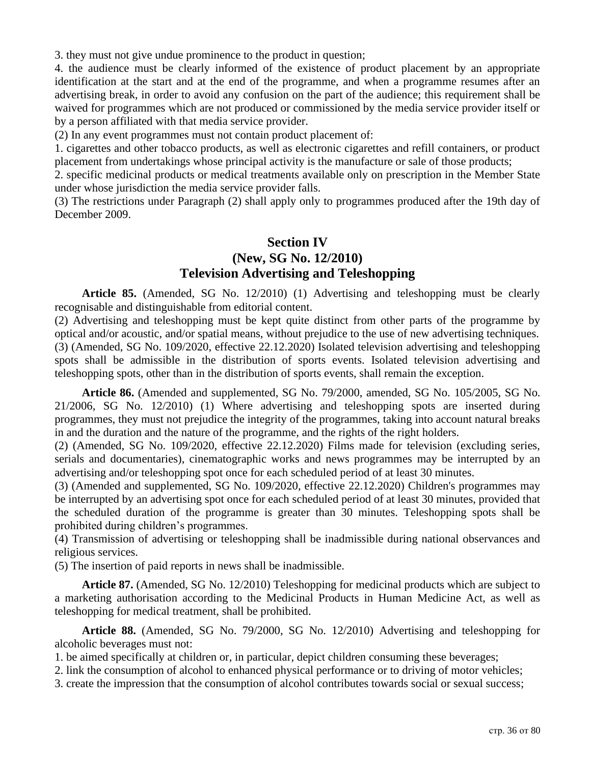3. they must not give undue prominence to the product in question;

4. the audience must be clearly informed of the existence of product placement by an appropriate identification at the start and at the end of the programme, and when a programme resumes after an advertising break, in order to avoid any confusion on the part of the audience; this requirement shall be waived for programmes which are not produced or commissioned by the media service provider itself or by a person affiliated with that media service provider.

(2) In any event programmes must not contain product placement of:

1. cigarettes and other tobacco products, as well as electronic cigarettes and refill containers, or product placement from undertakings whose principal activity is the manufacture or sale of those products;

2. specific medicinal products or medical treatments available only on prescription in the Member State under whose jurisdiction the media service provider falls.

(3) The restrictions under Paragraph (2) shall apply only to programmes produced after the 19th day of December 2009.

#### **Section IV (New, SG No. 12/2010) Television Advertising and Teleshopping**

**Article 85.** (Amended, SG No. 12/2010) (1) Advertising and teleshopping must be clearly recognisable and distinguishable from editorial content.

(2) Advertising and teleshopping must be kept quite distinct from other parts of the programme by optical and/or acoustic, and/or spatial means, without prejudice to the use of new advertising techniques. (3) (Amended, SG No. 109/2020, effective 22.12.2020) Isolated television advertising and teleshopping spots shall be admissible in the distribution of sports events. Isolated television advertising and teleshopping spots, other than in the distribution of sports events, shall remain the exception.

**Article 86.** (Amended and supplemented, SG No. 79/2000, amended, SG No. 105/2005, SG No. 21/2006, SG No. 12/2010) (1) Where advertising and teleshopping spots are inserted during programmes, they must not prejudice the integrity of the programmes, taking into account natural breaks in and the duration and the nature of the programme, and the rights of the right holders.

(2) (Amended, SG No. 109/2020, effective 22.12.2020) Films made for television (excluding series, serials and documentaries), cinematographic works and news programmes may be interrupted by an advertising and/or teleshopping spot once for each scheduled period of at least 30 minutes.

(3) (Amended and supplemented, SG No. 109/2020, effective 22.12.2020) Children's programmes may be interrupted by an advertising spot once for each scheduled period of at least 30 minutes, provided that the scheduled duration of the programme is greater than 30 minutes. Teleshopping spots shall be prohibited during children's programmes.

(4) Transmission of advertising or teleshopping shall be inadmissible during national observances and religious services.

(5) The insertion of paid reports in news shall be inadmissible.

**Article 87.** (Amended, SG No. 12/2010) Teleshopping for medicinal products which are subject to a marketing authorisation according to the Medicinal Products in Human Medicine Act, as well as teleshopping for medical treatment, shall be prohibited.

**Article 88.** (Amended, SG No. 79/2000, SG No. 12/2010) Advertising and teleshopping for alcoholic beverages must not:

1. be aimed specifically at children or, in particular, depict children consuming these beverages;

2. link the consumption of alcohol to enhanced physical performance or to driving of motor vehicles;

3. create the impression that the consumption of alcohol contributes towards social or sexual success;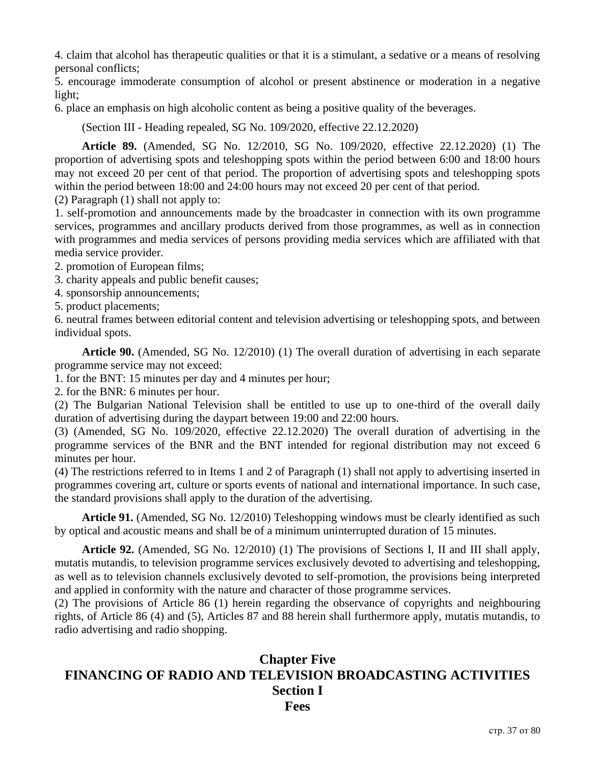4. claim that alcohol has therapeutic qualities or that it is a stimulant, a sedative or a means of resolving personal conflicts;

5. encourage immoderate consumption of alcohol or present abstinence or moderation in a negative light;

6. place an emphasis on high alcoholic content as being a positive quality of the beverages.

(Section III - Heading repealed, SG No. 109/2020, effective 22.12.2020)

**Article 89.** (Amended, SG No. 12/2010, SG No. 109/2020, effective 22.12.2020) (1) The proportion of advertising spots and teleshopping spots within the period between 6:00 and 18:00 hours may not exceed 20 per cent of that period. The proportion of advertising spots and teleshopping spots within the period between 18:00 and 24:00 hours may not exceed 20 per cent of that period.

(2) Paragraph (1) shall not apply to:

1. self-promotion and announcements made by the broadcaster in connection with its own programme services, programmes and ancillary products derived from those programmes, as well as in connection with programmes and media services of persons providing media services which are affiliated with that media service provider.

2. promotion of European films;

3. charity appeals and public benefit causes;

4. sponsorship announcements;

5. product placements;

6. neutral frames between editorial content and television advertising or teleshopping spots, and between individual spots.

**Article 90.** (Amended, SG No. 12/2010) (1) The overall duration of advertising in each separate programme service may not exceed:

1. for the BNT: 15 minutes per day and 4 minutes per hour;

2. for the BNR: 6 minutes per hour.

(2) The Bulgarian National Television shall be entitled to use up to one-third of the overall daily duration of advertising during the daypart between 19:00 and 22:00 hours.

(3) (Amended, SG No. 109/2020, effective 22.12.2020) The overall duration of advertising in the programme services of the BNR and the BNT intended for regional distribution may not exceed 6 minutes per hour.

(4) The restrictions referred to in Items 1 and 2 of Paragraph (1) shall not apply to advertising inserted in programmes covering art, culture or sports events of national and international importance. In such case, the standard provisions shall apply to the duration of the advertising.

**Article 91.** (Amended, SG No. 12/2010) Teleshopping windows must be clearly identified as such by optical and acoustic means and shall be of a minimum uninterrupted duration of 15 minutes.

**Article 92.** (Amended, SG No. 12/2010) (1) The provisions of Sections I, II and III shall apply, mutatis mutandis, to television programme services exclusively devoted to advertising and teleshopping, as well as to television channels exclusively devoted to self-promotion, the provisions being interpreted and applied in conformity with the nature and character of those programme services.

(2) The provisions of Article 86 (1) herein regarding the observance of copyrights and neighbouring rights, of Article 86 (4) and (5), Articles 87 and 88 herein shall furthermore apply, mutatis mutandis, to radio advertising and radio shopping.

## **Chapter Five FINANCING OF RADIO AND TELEVISION BROADCASTING ACTIVITIES Section I Fees**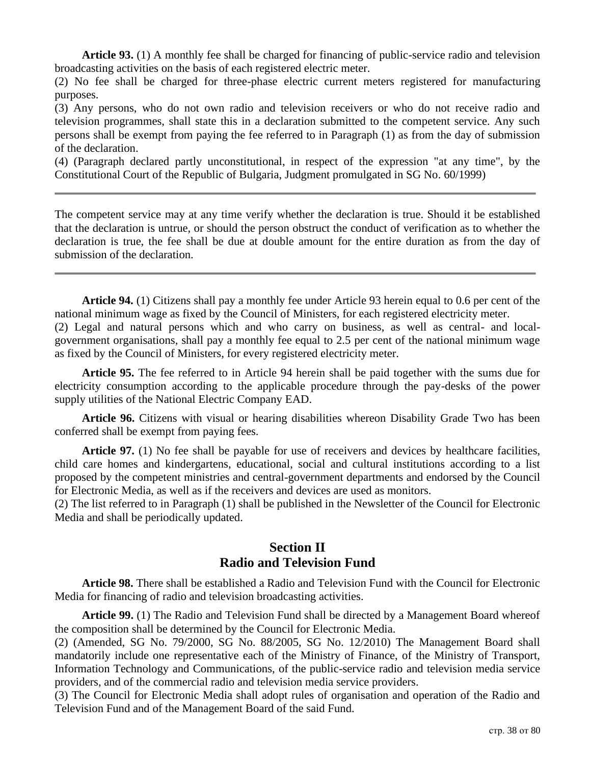**Article 93.** (1) A monthly fee shall be charged for financing of public-service radio and television broadcasting activities on the basis of each registered electric meter.

(2) No fee shall be charged for three-phase electric current meters registered for manufacturing purposes.

(3) Any persons, who do not own radio and television receivers or who do not receive radio and television programmes, shall state this in a declaration submitted to the competent service. Any such persons shall be exempt from paying the fee referred to in Paragraph (1) as from the day of submission of the declaration.

(4) (Paragraph declared partly unconstitutional, in respect of the expression "at any time", by the Constitutional Court of the Republic of Bulgaria, Judgment promulgated in SG No. 60/1999)

The competent service may at any time verify whether the declaration is true. Should it be established that the declaration is untrue, or should the person obstruct the conduct of verification as to whether the declaration is true, the fee shall be due at double amount for the entire duration as from the day of submission of the declaration.

**Article 94.** (1) Citizens shall pay a monthly fee under Article 93 herein equal to 0.6 per cent of the national minimum wage as fixed by the Council of Ministers, for each registered electricity meter. (2) Legal and natural persons which and who carry on business, as well as central- and local-

government organisations, shall pay a monthly fee equal to 2.5 per cent of the national minimum wage as fixed by the Council of Ministers, for every registered electricity meter.

**Article 95.** The fee referred to in Article 94 herein shall be paid together with the sums due for electricity consumption according to the applicable procedure through the pay-desks of the power supply utilities of the National Electric Company EAD.

**Article 96.** Citizens with visual or hearing disabilities whereon Disability Grade Two has been conferred shall be exempt from paying fees.

Article 97. (1) No fee shall be payable for use of receivers and devices by healthcare facilities, child care homes and kindergartens, educational, social and cultural institutions according to a list proposed by the competent ministries and central-government departments and endorsed by the Council for Electronic Media, as well as if the receivers and devices are used as monitors.

(2) The list referred to in Paragraph (1) shall be published in the Newsletter of the Council for Electronic Media and shall be periodically updated.

### **Section II Radio and Television Fund**

**Article 98.** There shall be established a Radio and Television Fund with the Council for Electronic Media for financing of radio and television broadcasting activities.

**Article 99.** (1) The Radio and Television Fund shall be directed by a Management Board whereof the composition shall be determined by the Council for Electronic Media.

(2) (Amended, SG No. 79/2000, SG No. 88/2005, SG No. 12/2010) The Management Board shall mandatorily include one representative each of the Ministry of Finance, of the Ministry of Transport, Information Technology and Communications, of the public-service radio and television media service providers, and of the commercial radio and television media service providers.

(3) The Council for Electronic Media shall adopt rules of organisation and operation of the Radio and Television Fund and of the Management Board of the said Fund.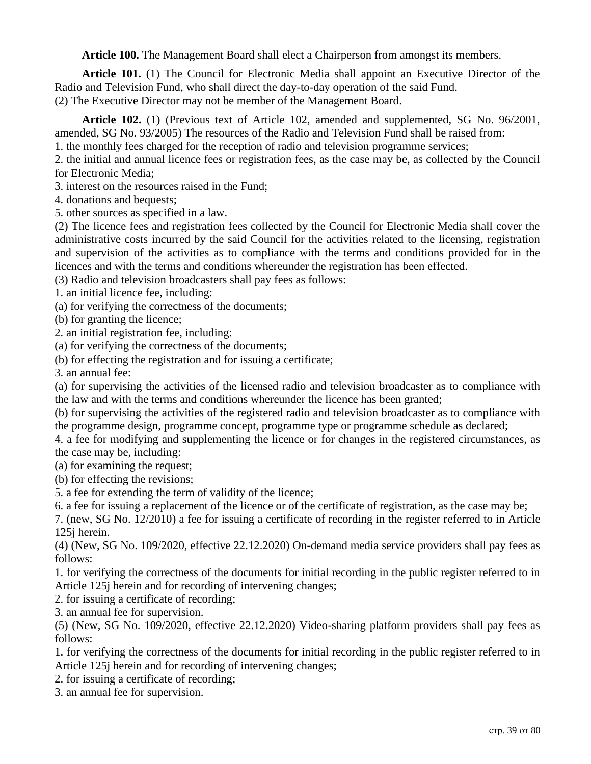**Article 100.** The Management Board shall elect a Chairperson from amongst its members.

**Article 101.** (1) The Council for Electronic Media shall appoint an Executive Director of the Radio and Television Fund, who shall direct the day-to-day operation of the said Fund. (2) The Executive Director may not be member of the Management Board.

**Article 102.** (1) (Previous text of Article 102, amended and supplemented, SG No. 96/2001, amended, SG No. 93/2005) The resources of the Radio and Television Fund shall be raised from:

1. the monthly fees charged for the reception of radio and television programme services;

2. the initial and annual licence fees or registration fees, as the case may be, as collected by the Council for Electronic Media;

3. interest on the resources raised in the Fund;

4. donations and bequests;

5. other sources as specified in a law.

(2) The licence fees and registration fees collected by the Council for Electronic Media shall cover the administrative costs incurred by the said Council for the activities related to the licensing, registration and supervision of the activities as to compliance with the terms and conditions provided for in the licences and with the terms and conditions whereunder the registration has been effected.

(3) Radio and television broadcasters shall pay fees as follows:

1. an initial licence fee, including:

(a) for verifying the correctness of the documents;

(b) for granting the licence;

2. an initial registration fee, including:

(a) for verifying the correctness of the documents;

(b) for effecting the registration and for issuing a certificate;

3. an annual fee:

(a) for supervising the activities of the licensed radio and television broadcaster as to compliance with the law and with the terms and conditions whereunder the licence has been granted;

(b) for supervising the activities of the registered radio and television broadcaster as to compliance with the programme design, programme concept, programme type or programme schedule as declared;

4. a fee for modifying and supplementing the licence or for changes in the registered circumstances, as the case may be, including:

(a) for examining the request;

(b) for effecting the revisions;

5. a fee for extending the term of validity of the licence;

6. a fee for issuing a replacement of the licence or of the certificate of registration, as the case may be;

7. (new, SG No. 12/2010) a fee for issuing a certificate of recording in the register referred to in Article 125j herein.

(4) (New, SG No. 109/2020, effective 22.12.2020) On-demand media service providers shall pay fees as follows:

1. for verifying the correctness of the documents for initial recording in the public register referred to in Article 125j herein and for recording of intervening changes;

2. for issuing a certificate of recording;

3. an annual fee for supervision.

(5) (New, SG No. 109/2020, effective 22.12.2020) Video-sharing platform providers shall pay fees as follows:

1. for verifying the correctness of the documents for initial recording in the public register referred to in Article 125j herein and for recording of intervening changes;

2. for issuing a certificate of recording;

3. an annual fee for supervision.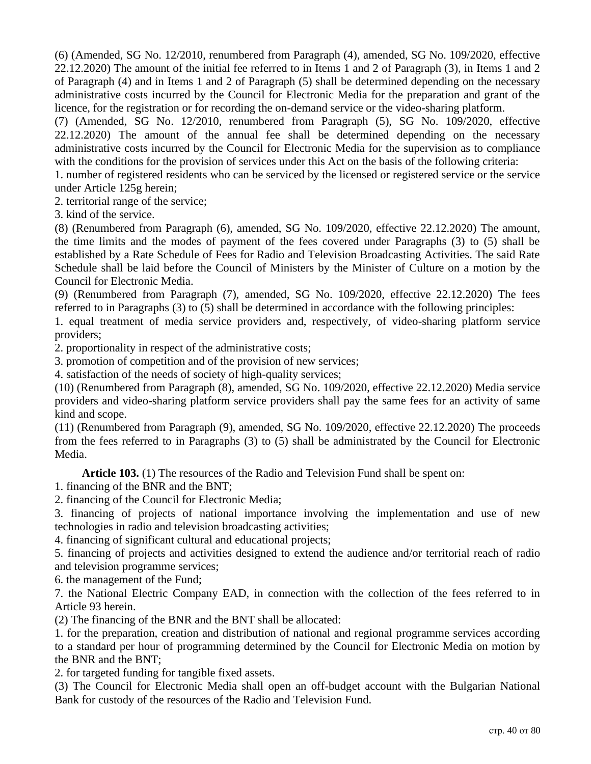(6) (Amended, SG No. 12/2010, renumbered from Paragraph (4), amended, SG No. 109/2020, effective 22.12.2020) The amount of the initial fee referred to in Items 1 and 2 of Paragraph (3), in Items 1 and 2 of Paragraph (4) and in Items 1 and 2 of Paragraph (5) shall be determined depending on the necessary administrative costs incurred by the Council for Electronic Media for the preparation and grant of the licence, for the registration or for recording the on-demand service or the video-sharing platform.

(7) (Amended, SG No. 12/2010, renumbered from Paragraph (5), SG No. 109/2020, effective 22.12.2020) The amount of the annual fee shall be determined depending on the necessary administrative costs incurred by the Council for Electronic Media for the supervision as to compliance with the conditions for the provision of services under this Act on the basis of the following criteria:

1. number of registered residents who can be serviced by the licensed or registered service or the service under Article 125g herein;

2. territorial range of the service;

3. kind of the service.

(8) (Renumbered from Paragraph (6), amended, SG No. 109/2020, effective 22.12.2020) The amount, the time limits and the modes of payment of the fees covered under Paragraphs (3) to (5) shall be established by a Rate Schedule of Fees for Radio and Television Broadcasting Activities. The said Rate Schedule shall be laid before the Council of Ministers by the Minister of Culture on a motion by the Council for Electronic Media.

(9) (Renumbered from Paragraph (7), amended, SG No. 109/2020, effective 22.12.2020) The fees referred to in Paragraphs (3) to (5) shall be determined in accordance with the following principles:

1. equal treatment of media service providers and, respectively, of video-sharing platform service providers;

2. proportionality in respect of the administrative costs;

3. promotion of competition and of the provision of new services;

4. satisfaction of the needs of society of high-quality services;

(10) (Renumbered from Paragraph (8), amended, SG No. 109/2020, effective 22.12.2020) Media service providers and video-sharing platform service providers shall pay the same fees for an activity of same kind and scope.

(11) (Renumbered from Paragraph (9), amended, SG No. 109/2020, effective 22.12.2020) The proceeds from the fees referred to in Paragraphs (3) to (5) shall be administrated by the Council for Electronic Media.

**Article 103.** (1) The resources of the Radio and Television Fund shall be spent on:

1. financing of the BNR and the BNT;

2. financing of the Council for Electronic Media;

3. financing of projects of national importance involving the implementation and use of new technologies in radio and television broadcasting activities;

4. financing of significant cultural and educational projects;

5. financing of projects and activities designed to extend the audience and/or territorial reach of radio and television programme services;

6. the management of the Fund;

7. the National Electric Company EAD, in connection with the collection of the fees referred to in Article 93 herein.

(2) The financing of the BNR and the BNT shall be allocated:

1. for the preparation, creation and distribution of national and regional programme services according to a standard per hour of programming determined by the Council for Electronic Media on motion by the BNR and the BNT;

2. for targeted funding for tangible fixed assets.

(3) The Council for Electronic Media shall open an off-budget account with the Bulgarian National Bank for custody of the resources of the Radio and Television Fund.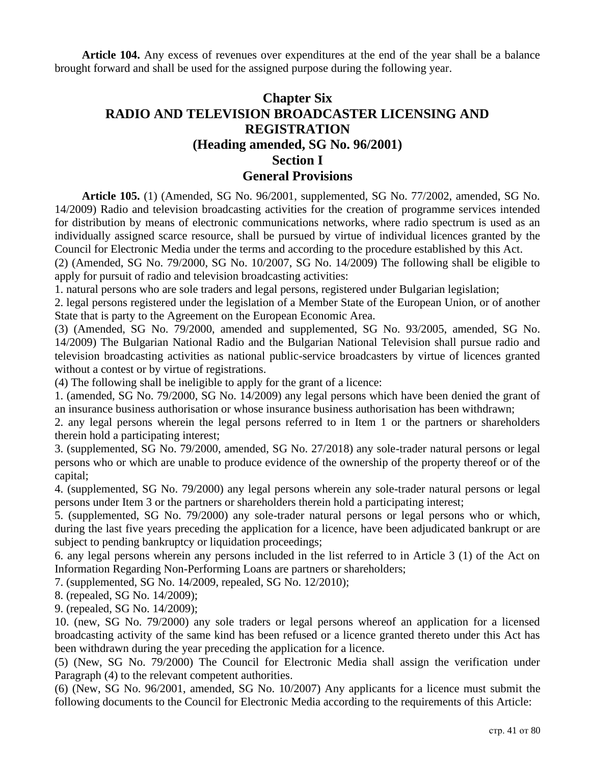**Article 104.** Any excess of revenues over expenditures at the end of the year shall be a balance brought forward and shall be used for the assigned purpose during the following year.

# **Chapter Six RADIO AND TELEVISION BROADCASTER LICENSING AND REGISTRATION (Heading amended, SG No. 96/2001) Section I General Provisions**

**Article 105.** (1) (Amended, SG No. 96/2001, supplemented, SG No. 77/2002, amended, SG No. 14/2009) Radio and television broadcasting activities for the creation of programme services intended for distribution by means of electronic communications networks, where radio spectrum is used as an individually assigned scarce resource, shall be pursued by virtue of individual licences granted by the Council for Electronic Media under the terms and according to the procedure established by this Act.

(2) (Amended, SG No. 79/2000, SG No. 10/2007, SG No. 14/2009) The following shall be eligible to apply for pursuit of radio and television broadcasting activities:

1. natural persons who are sole traders and legal persons, registered under Bulgarian legislation;

2. legal persons registered under the legislation of a Member State of the European Union, or of another State that is party to the Agreement on the European Economic Area.

(3) (Amended, SG No. 79/2000, amended and supplemented, SG No. 93/2005, amended, SG No. 14/2009) The Bulgarian National Radio and the Bulgarian National Television shall pursue radio and television broadcasting activities as national public-service broadcasters by virtue of licences granted without a contest or by virtue of registrations.

(4) The following shall be ineligible to apply for the grant of a licence:

1. (amended, SG No. 79/2000, SG No. 14/2009) any legal persons which have been denied the grant of an insurance business authorisation or whose insurance business authorisation has been withdrawn;

2. any legal persons wherein the legal persons referred to in Item 1 or the partners or shareholders therein hold a participating interest;

3. (supplemented, SG No. 79/2000, amended, SG No. 27/2018) any sole-trader natural persons or legal persons who or which are unable to produce evidence of the ownership of the property thereof or of the capital;

4. (supplemented, SG No. 79/2000) any legal persons wherein any sole-trader natural persons or legal persons under Item 3 or the partners or shareholders therein hold a participating interest;

5. (supplemented, SG No. 79/2000) any sole-trader natural persons or legal persons who or which, during the last five years preceding the application for a licence, have been adjudicated bankrupt or are subject to pending bankruptcy or liquidation proceedings;

6. any legal persons wherein any persons included in the list referred to in Article 3 (1) of the Act on Information Regarding Non-Performing Loans are partners or shareholders;

7. (supplemented, SG No. 14/2009, repealed, SG No. 12/2010);

8. (repealed, SG No. 14/2009);

9. (repealed, SG No. 14/2009);

10. (new, SG No. 79/2000) any sole traders or legal persons whereof an application for a licensed broadcasting activity of the same kind has been refused or a licence granted thereto under this Act has been withdrawn during the year preceding the application for a licence.

(5) (New, SG No. 79/2000) The Council for Electronic Media shall assign the verification under Paragraph (4) to the relevant competent authorities.

(6) (New, SG No. 96/2001, amended, SG No. 10/2007) Any applicants for a licence must submit the following documents to the Council for Electronic Media according to the requirements of this Article: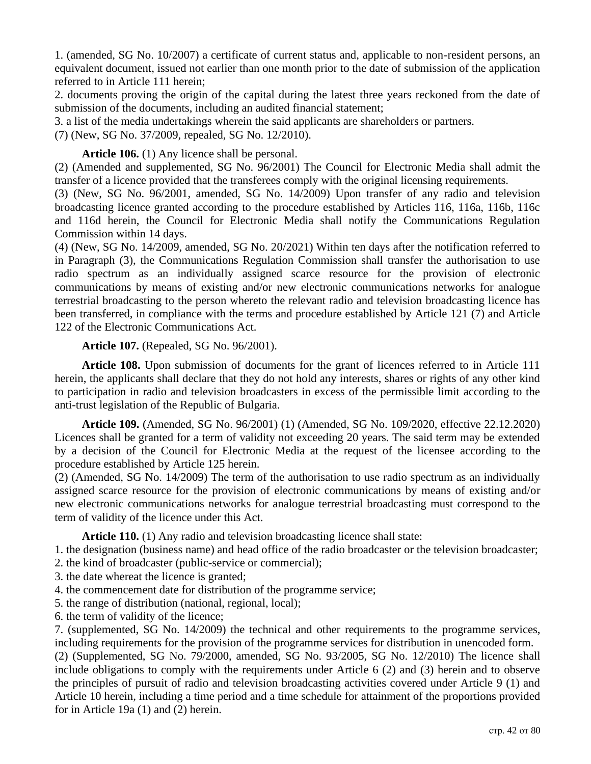1. (amended, SG No. 10/2007) a certificate of current status and, applicable to non-resident persons, an equivalent document, issued not earlier than one month prior to the date of submission of the application referred to in Article 111 herein;

2. documents proving the origin of the capital during the latest three years reckoned from the date of submission of the documents, including an audited financial statement;

3. a list of the media undertakings wherein the said applicants are shareholders or partners.

(7) (New, SG No. 37/2009, repealed, SG No. 12/2010).

### **Article 106.** (1) Any licence shall be personal.

(2) (Amended and supplemented, SG No. 96/2001) The Council for Electronic Media shall admit the transfer of a licence provided that the transferees comply with the original licensing requirements.

(3) (New, SG No. 96/2001, amended, SG No. 14/2009) Upon transfer of any radio and television broadcasting licence granted according to the procedure established by Articles 116, 116a, 116b, 116c and 116d herein, the Council for Electronic Media shall notify the Communications Regulation Commission within 14 days.

(4) (New, SG No. 14/2009, amended, SG No. 20/2021) Within ten days after the notification referred to in Paragraph (3), the Communications Regulation Commission shall transfer the authorisation to use radio spectrum as an individually assigned scarce resource for the provision of electronic communications by means of existing and/or new electronic communications networks for analogue terrestrial broadcasting to the person whereto the relevant radio and television broadcasting licence has been transferred, in compliance with the terms and procedure established by Article 121 (7) and Article 122 of the Electronic Communications Act.

#### **Article 107.** (Repealed, SG No. 96/2001).

**Article 108.** Upon submission of documents for the grant of licences referred to in Article 111 herein, the applicants shall declare that they do not hold any interests, shares or rights of any other kind to participation in radio and television broadcasters in excess of the permissible limit according to the anti-trust legislation of the Republic of Bulgaria.

**Article 109.** (Amended, SG No. 96/2001) (1) (Amended, SG No. 109/2020, effective 22.12.2020) Licences shall be granted for a term of validity not exceeding 20 years. The said term may be extended by a decision of the Council for Electronic Media at the request of the licensee according to the procedure established by Article 125 herein.

(2) (Amended, SG No. 14/2009) The term of the authorisation to use radio spectrum as an individually assigned scarce resource for the provision of electronic communications by means of existing and/or new electronic communications networks for analogue terrestrial broadcasting must correspond to the term of validity of the licence under this Act.

**Article 110.** (1) Any radio and television broadcasting licence shall state:

1. the designation (business name) and head office of the radio broadcaster or the television broadcaster;

2. the kind of broadcaster (public-service or commercial);

3. the date whereat the licence is granted;

4. the commencement date for distribution of the programme service;

5. the range of distribution (national, regional, local);

6. the term of validity of the licence;

7. (supplemented, SG No. 14/2009) the technical and other requirements to the programme services, including requirements for the provision of the programme services for distribution in unencoded form.

(2) (Supplemented, SG No. 79/2000, amended, SG No. 93/2005, SG No. 12/2010) The licence shall include obligations to comply with the requirements under Article 6 (2) and (3) herein and to observe the principles of pursuit of radio and television broadcasting activities covered under Article 9 (1) and Article 10 herein, including a time period and a time schedule for attainment of the proportions provided for in Article 19a (1) and (2) herein.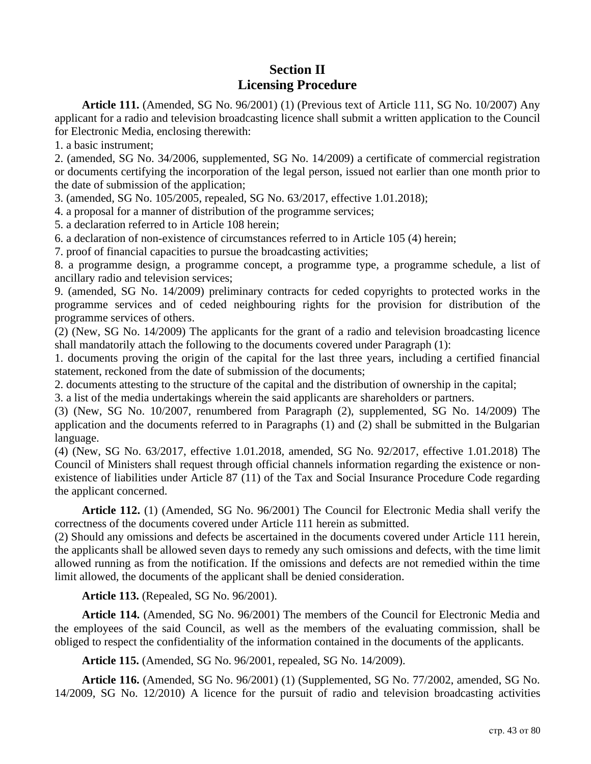# **Section II Licensing Procedure**

**Article 111.** (Amended, SG No. 96/2001) (1) (Previous text of Article 111, SG No. 10/2007) Any applicant for a radio and television broadcasting licence shall submit a written application to the Council for Electronic Media, enclosing therewith:

1. a basic instrument;

2. (amended, SG No. 34/2006, supplemented, SG No. 14/2009) a certificate of commercial registration or documents certifying the incorporation of the legal person, issued not earlier than one month prior to the date of submission of the application;

3. (amended, SG No. 105/2005, repealed, SG No. 63/2017, effective 1.01.2018);

4. a proposal for a manner of distribution of the programme services;

5. a declaration referred to in Article 108 herein;

6. a declaration of non-existence of circumstances referred to in Article 105 (4) herein;

7. proof of financial capacities to pursue the broadcasting activities;

8. a programme design, a programme concept, a programme type, a programme schedule, a list of ancillary radio and television services;

9. (amended, SG No. 14/2009) preliminary contracts for ceded copyrights to protected works in the programme services and of ceded neighbouring rights for the provision for distribution of the programme services of others.

(2) (New, SG No. 14/2009) The applicants for the grant of a radio and television broadcasting licence shall mandatorily attach the following to the documents covered under Paragraph (1):

1. documents proving the origin of the capital for the last three years, including a certified financial statement, reckoned from the date of submission of the documents;

2. documents attesting to the structure of the capital and the distribution of ownership in the capital;

3. a list of the media undertakings wherein the said applicants are shareholders or partners.

(3) (New, SG No. 10/2007, renumbered from Paragraph (2), supplemented, SG No. 14/2009) The application and the documents referred to in Paragraphs (1) and (2) shall be submitted in the Bulgarian language.

(4) (New, SG No. 63/2017, effective 1.01.2018, amended, SG No. 92/2017, effective 1.01.2018) The Council of Ministers shall request through official channels information regarding the existence or nonexistence of liabilities under Article 87 (11) of the Tax and Social Insurance Procedure Code regarding the applicant concerned.

**Article 112.** (1) (Amended, SG No. 96/2001) The Council for Electronic Media shall verify the correctness of the documents covered under Article 111 herein as submitted.

(2) Should any omissions and defects be ascertained in the documents covered under Article 111 herein, the applicants shall be allowed seven days to remedy any such omissions and defects, with the time limit allowed running as from the notification. If the omissions and defects are not remedied within the time limit allowed, the documents of the applicant shall be denied consideration.

**Article 113.** (Repealed, SG No. 96/2001).

**Article 114.** (Amended, SG No. 96/2001) The members of the Council for Electronic Media and the employees of the said Council, as well as the members of the evaluating commission, shall be obliged to respect the confidentiality of the information contained in the documents of the applicants.

**Article 115.** (Amended, SG No. 96/2001, repealed, SG No. 14/2009).

**Article 116.** (Amended, SG No. 96/2001) (1) (Supplemented, SG No. 77/2002, amended, SG No. 14/2009, SG No. 12/2010) A licence for the pursuit of radio and television broadcasting activities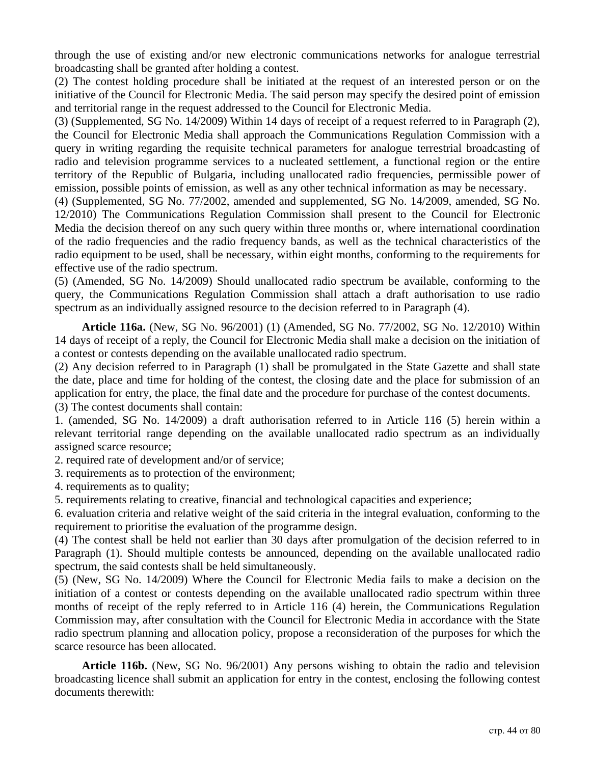through the use of existing and/or new electronic communications networks for analogue terrestrial broadcasting shall be granted after holding a contest.

(2) The contest holding procedure shall be initiated at the request of an interested person or on the initiative of the Council for Electronic Media. The said person may specify the desired point of emission and territorial range in the request addressed to the Council for Electronic Media.

(3) (Supplemented, SG No. 14/2009) Within 14 days of receipt of a request referred to in Paragraph (2), the Council for Electronic Media shall approach the Communications Regulation Commission with a query in writing regarding the requisite technical parameters for analogue terrestrial broadcasting of radio and television programme services to a nucleated settlement, a functional region or the entire territory of the Republic of Bulgaria, including unallocated radio frequencies, permissible power of emission, possible points of emission, as well as any other technical information as may be necessary.

(4) (Supplemented, SG No. 77/2002, amended and supplemented, SG No. 14/2009, amended, SG No. 12/2010) The Communications Regulation Commission shall present to the Council for Electronic Media the decision thereof on any such query within three months or, where international coordination of the radio frequencies and the radio frequency bands, as well as the technical characteristics of the radio equipment to be used, shall be necessary, within eight months, conforming to the requirements for effective use of the radio spectrum.

(5) (Amended, SG No. 14/2009) Should unallocated radio spectrum be available, conforming to the query, the Communications Regulation Commission shall attach a draft authorisation to use radio spectrum as an individually assigned resource to the decision referred to in Paragraph (4).

**Article 116a.** (New, SG No. 96/2001) (1) (Amended, SG No. 77/2002, SG No. 12/2010) Within 14 days of receipt of a reply, the Council for Electronic Media shall make a decision on the initiation of a contest or contests depending on the available unallocated radio spectrum.

(2) Any decision referred to in Paragraph (1) shall be promulgated in the State Gazette and shall state the date, place and time for holding of the contest, the closing date and the place for submission of an application for entry, the place, the final date and the procedure for purchase of the contest documents.

(3) The contest documents shall contain:

1. (amended, SG No. 14/2009) a draft authorisation referred to in Article 116 (5) herein within a relevant territorial range depending on the available unallocated radio spectrum as an individually assigned scarce resource;

2. required rate of development and/or of service;

3. requirements as to protection of the environment;

4. requirements as to quality;

5. requirements relating to creative, financial and technological capacities and experience;

6. evaluation criteria and relative weight of the said criteria in the integral evaluation, conforming to the requirement to prioritise the evaluation of the programme design.

(4) The contest shall be held not earlier than 30 days after promulgation of the decision referred to in Paragraph (1). Should multiple contests be announced, depending on the available unallocated radio spectrum, the said contests shall be held simultaneously.

(5) (New, SG No. 14/2009) Where the Council for Electronic Media fails to make a decision on the initiation of a contest or contests depending on the available unallocated radio spectrum within three months of receipt of the reply referred to in Article 116 (4) herein, the Communications Regulation Commission may, after consultation with the Council for Electronic Media in accordance with the State radio spectrum planning and allocation policy, propose a reconsideration of the purposes for which the scarce resource has been allocated.

**Article 116b.** (New, SG No. 96/2001) Any persons wishing to obtain the radio and television broadcasting licence shall submit an application for entry in the contest, enclosing the following contest documents therewith: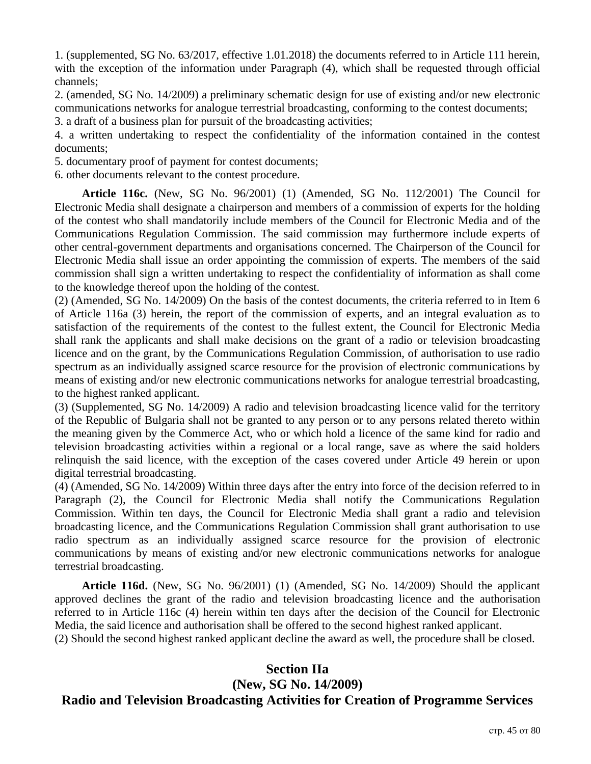1. (supplemented, SG No. 63/2017, effective 1.01.2018) the documents referred to in Article 111 herein, with the exception of the information under Paragraph (4), which shall be requested through official channels;

2. (amended, SG No. 14/2009) a preliminary schematic design for use of existing and/or new electronic communications networks for analogue terrestrial broadcasting, conforming to the contest documents;

3. a draft of a business plan for pursuit of the broadcasting activities;

4. a written undertaking to respect the confidentiality of the information contained in the contest documents;

5. documentary proof of payment for contest documents;

6. other documents relevant to the contest procedure.

**Article 116c.** (New, SG No. 96/2001) (1) (Amended, SG No. 112/2001) The Council for Electronic Media shall designate a chairperson and members of a commission of experts for the holding of the contest who shall mandatorily include members of the Council for Electronic Media and of the Communications Regulation Commission. The said commission may furthermore include experts of other central-government departments and organisations concerned. The Chairperson of the Council for Electronic Media shall issue an order appointing the commission of experts. The members of the said commission shall sign a written undertaking to respect the confidentiality of information as shall come to the knowledge thereof upon the holding of the contest.

(2) (Amended, SG No. 14/2009) On the basis of the contest documents, the criteria referred to in Item 6 of Article 116a (3) herein, the report of the commission of experts, and an integral evaluation as to satisfaction of the requirements of the contest to the fullest extent, the Council for Electronic Media shall rank the applicants and shall make decisions on the grant of a radio or television broadcasting licence and on the grant, by the Communications Regulation Commission, of authorisation to use radio spectrum as an individually assigned scarce resource for the provision of electronic communications by means of existing and/or new electronic communications networks for analogue terrestrial broadcasting, to the highest ranked applicant.

(3) (Supplemented, SG No. 14/2009) A radio and television broadcasting licence valid for the territory of the Republic of Bulgaria shall not be granted to any person or to any persons related thereto within the meaning given by the Commerce Act, who or which hold a licence of the same kind for radio and television broadcasting activities within a regional or a local range, save as where the said holders relinquish the said licence, with the exception of the cases covered under Article 49 herein or upon digital terrestrial broadcasting.

(4) (Amended, SG No. 14/2009) Within three days after the entry into force of the decision referred to in Paragraph (2), the Council for Electronic Media shall notify the Communications Regulation Commission. Within ten days, the Council for Electronic Media shall grant a radio and television broadcasting licence, and the Communications Regulation Commission shall grant authorisation to use radio spectrum as an individually assigned scarce resource for the provision of electronic communications by means of existing and/or new electronic communications networks for analogue terrestrial broadcasting.

**Article 116d.** (New, SG No. 96/2001) (1) (Amended, SG No. 14/2009) Should the applicant approved declines the grant of the radio and television broadcasting licence and the authorisation referred to in Article 116c (4) herein within ten days after the decision of the Council for Electronic Media, the said licence and authorisation shall be offered to the second highest ranked applicant.

(2) Should the second highest ranked applicant decline the award as well, the procedure shall be closed.

#### **Section IIa (New, SG No. 14/2009)**

## **Radio and Television Broadcasting Activities for Creation of Programme Services**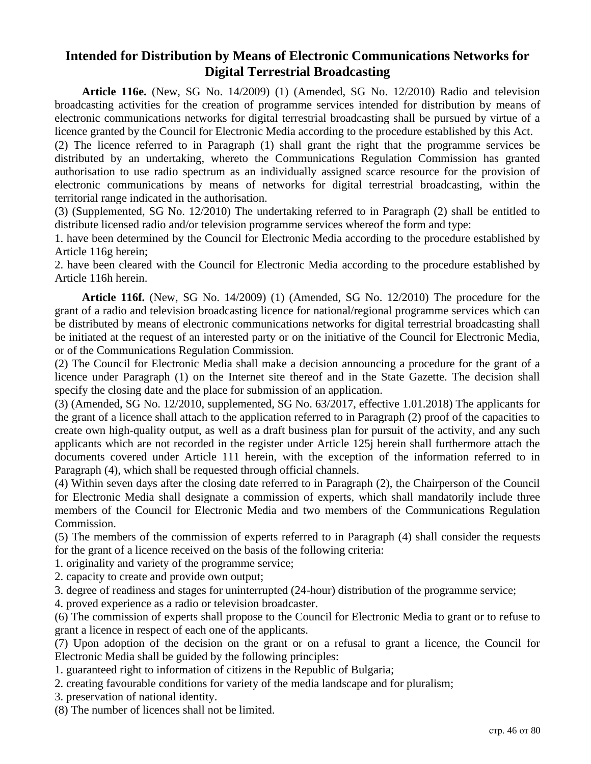## **Intended for Distribution by Means of Electronic Communications Networks for Digital Terrestrial Broadcasting**

**Article 116e.** (New, SG No. 14/2009) (1) (Amended, SG No. 12/2010) Radio and television broadcasting activities for the creation of programme services intended for distribution by means of electronic communications networks for digital terrestrial broadcasting shall be pursued by virtue of a licence granted by the Council for Electronic Media according to the procedure established by this Act.

(2) The licence referred to in Paragraph (1) shall grant the right that the programme services be distributed by an undertaking, whereto the Communications Regulation Commission has granted authorisation to use radio spectrum as an individually assigned scarce resource for the provision of electronic communications by means of networks for digital terrestrial broadcasting, within the territorial range indicated in the authorisation.

(3) (Supplemented, SG No. 12/2010) The undertaking referred to in Paragraph (2) shall be entitled to distribute licensed radio and/or television programme services whereof the form and type:

1. have been determined by the Council for Electronic Media according to the procedure established by Article 116g herein;

2. have been cleared with the Council for Electronic Media according to the procedure established by Article 116h herein.

**Article 116f.** (New, SG No. 14/2009) (1) (Amended, SG No. 12/2010) The procedure for the grant of a radio and television broadcasting licence for national/regional programme services which can be distributed by means of electronic communications networks for digital terrestrial broadcasting shall be initiated at the request of an interested party or on the initiative of the Council for Electronic Media, or of the Communications Regulation Commission.

(2) The Council for Electronic Media shall make a decision announcing a procedure for the grant of a licence under Paragraph (1) on the Internet site thereof and in the State Gazette. The decision shall specify the closing date and the place for submission of an application.

(3) (Amended, SG No. 12/2010, supplemented, SG No. 63/2017, effective 1.01.2018) The applicants for the grant of a licence shall attach to the application referred to in Paragraph (2) proof of the capacities to create own high-quality output, as well as a draft business plan for pursuit of the activity, and any such applicants which are not recorded in the register under Article 125j herein shall furthermore attach the documents covered under Article 111 herein, with the exception of the information referred to in Paragraph (4), which shall be requested through official channels.

(4) Within seven days after the closing date referred to in Paragraph (2), the Chairperson of the Council for Electronic Media shall designate a commission of experts, which shall mandatorily include three members of the Council for Electronic Media and two members of the Communications Regulation Commission.

(5) The members of the commission of experts referred to in Paragraph (4) shall consider the requests for the grant of a licence received on the basis of the following criteria:

1. originality and variety of the programme service;

2. capacity to create and provide own output;

3. degree of readiness and stages for uninterrupted (24-hour) distribution of the programme service;

4. proved experience as a radio or television broadcaster.

(6) The commission of experts shall propose to the Council for Electronic Media to grant or to refuse to grant a licence in respect of each one of the applicants.

(7) Upon adoption of the decision on the grant or on a refusal to grant a licence, the Council for Electronic Media shall be guided by the following principles:

1. guaranteed right to information of citizens in the Republic of Bulgaria;

2. creating favourable conditions for variety of the media landscape and for pluralism;

3. preservation of national identity.

(8) The number of licences shall not be limited.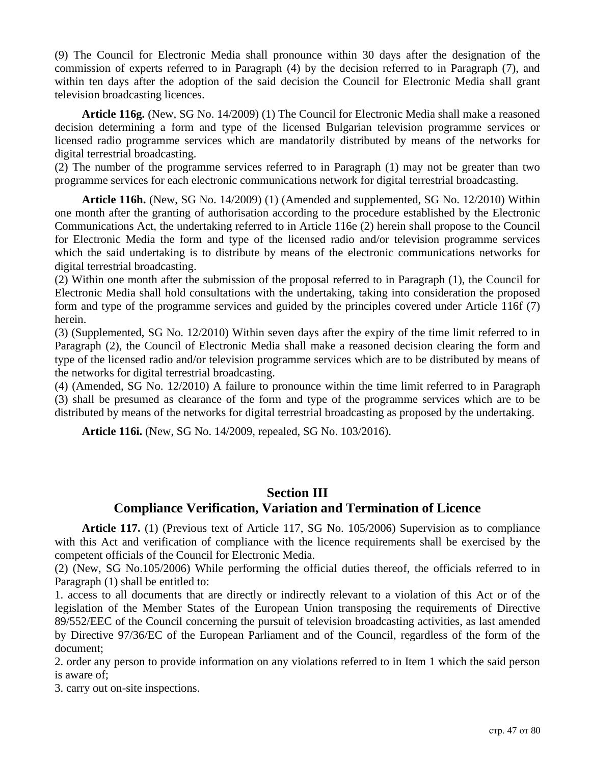(9) The Council for Electronic Media shall pronounce within 30 days after the designation of the commission of experts referred to in Paragraph (4) by the decision referred to in Paragraph (7), and within ten days after the adoption of the said decision the Council for Electronic Media shall grant television broadcasting licences.

**Article 116g.** (New, SG No. 14/2009) (1) The Council for Electronic Media shall make a reasoned decision determining a form and type of the licensed Bulgarian television programme services or licensed radio programme services which are mandatorily distributed by means of the networks for digital terrestrial broadcasting.

(2) The number of the programme services referred to in Paragraph (1) may not be greater than two programme services for each electronic communications network for digital terrestrial broadcasting.

**Article 116h.** (New, SG No. 14/2009) (1) (Amended and supplemented, SG No. 12/2010) Within one month after the granting of authorisation according to the procedure established by the Electronic Communications Act, the undertaking referred to in Article 116e (2) herein shall propose to the Council for Electronic Media the form and type of the licensed radio and/or television programme services which the said undertaking is to distribute by means of the electronic communications networks for digital terrestrial broadcasting.

(2) Within one month after the submission of the proposal referred to in Paragraph (1), the Council for Electronic Media shall hold consultations with the undertaking, taking into consideration the proposed form and type of the programme services and guided by the principles covered under Article 116f (7) herein.

(3) (Supplemented, SG No. 12/2010) Within seven days after the expiry of the time limit referred to in Paragraph (2), the Council of Electronic Media shall make a reasoned decision clearing the form and type of the licensed radio and/or television programme services which are to be distributed by means of the networks for digital terrestrial broadcasting.

(4) (Amended, SG No. 12/2010) A failure to pronounce within the time limit referred to in Paragraph (3) shall be presumed as clearance of the form and type of the programme services which are to be distributed by means of the networks for digital terrestrial broadcasting as proposed by the undertaking.

**Article 116i.** (New, SG No. 14/2009, repealed, SG No. 103/2016).

## **Section III Compliance Verification, Variation and Termination of Licence**

**Article 117.** (1) (Previous text of Article 117, SG No. 105/2006) Supervision as to compliance with this Act and verification of compliance with the licence requirements shall be exercised by the competent officials of the Council for Electronic Media.

(2) (New, SG No.105/2006) While performing the official duties thereof, the officials referred to in Paragraph (1) shall be entitled to:

1. access to all documents that are directly or indirectly relevant to a violation of this Act or of the legislation of the Member States of the European Union transposing the requirements of Directive 89/552/EEC of the Council concerning the pursuit of television broadcasting activities, as last amended by Directive 97/36/EC of the European Parliament and of the Council, regardless of the form of the document;

2. order any person to provide information on any violations referred to in Item 1 which the said person is aware of;

3. carry out on-site inspections.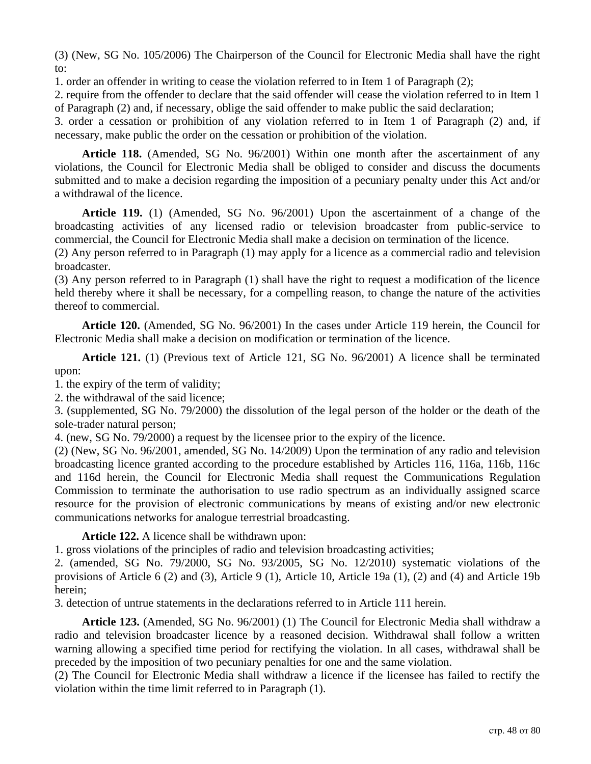(3) (New, SG No. 105/2006) The Chairperson of the Council for Electronic Media shall have the right to:

1. order an offender in writing to cease the violation referred to in Item 1 of Paragraph (2);

2. require from the offender to declare that the said offender will cease the violation referred to in Item 1 of Paragraph (2) and, if necessary, oblige the said offender to make public the said declaration;

3. order a cessation or prohibition of any violation referred to in Item 1 of Paragraph (2) and, if necessary, make public the order on the cessation or prohibition of the violation.

**Article 118.** (Amended, SG No. 96/2001) Within one month after the ascertainment of any violations, the Council for Electronic Media shall be obliged to consider and discuss the documents submitted and to make a decision regarding the imposition of a pecuniary penalty under this Act and/or a withdrawal of the licence.

**Article 119.** (1) (Amended, SG No. 96/2001) Upon the ascertainment of a change of the broadcasting activities of any licensed radio or television broadcaster from public-service to commercial, the Council for Electronic Media shall make a decision on termination of the licence.

(2) Any person referred to in Paragraph (1) may apply for a licence as a commercial radio and television broadcaster.

(3) Any person referred to in Paragraph (1) shall have the right to request a modification of the licence held thereby where it shall be necessary, for a compelling reason, to change the nature of the activities thereof to commercial.

**Article 120.** (Amended, SG No. 96/2001) In the cases under Article 119 herein, the Council for Electronic Media shall make a decision on modification or termination of the licence.

**Article 121.** (1) (Previous text of Article 121, SG No. 96/2001) A licence shall be terminated upon:

1. the expiry of the term of validity;

2. the withdrawal of the said licence;

3. (supplemented, SG No. 79/2000) the dissolution of the legal person of the holder or the death of the sole-trader natural person;

4. (new, SG No. 79/2000) a request by the licensee prior to the expiry of the licence.

(2) (New, SG No. 96/2001, amended, SG No. 14/2009) Upon the termination of any radio and television broadcasting licence granted according to the procedure established by Articles 116, 116a, 116b, 116c and 116d herein, the Council for Electronic Media shall request the Communications Regulation Commission to terminate the authorisation to use radio spectrum as an individually assigned scarce resource for the provision of electronic communications by means of existing and/or new electronic communications networks for analogue terrestrial broadcasting.

**Article 122.** A licence shall be withdrawn upon:

1. gross violations of the principles of radio and television broadcasting activities;

2. (amended, SG No. 79/2000, SG No. 93/2005, SG No. 12/2010) systematic violations of the provisions of Article 6 (2) and (3), Article 9 (1), Article 10, Article 19a (1), (2) and (4) and Article 19b herein;

3. detection of untrue statements in the declarations referred to in Article 111 herein.

**Article 123.** (Amended, SG No. 96/2001) (1) The Council for Electronic Media shall withdraw a radio and television broadcaster licence by a reasoned decision. Withdrawal shall follow a written warning allowing a specified time period for rectifying the violation. In all cases, withdrawal shall be preceded by the imposition of two pecuniary penalties for one and the same violation.

(2) The Council for Electronic Media shall withdraw a licence if the licensee has failed to rectify the violation within the time limit referred to in Paragraph (1).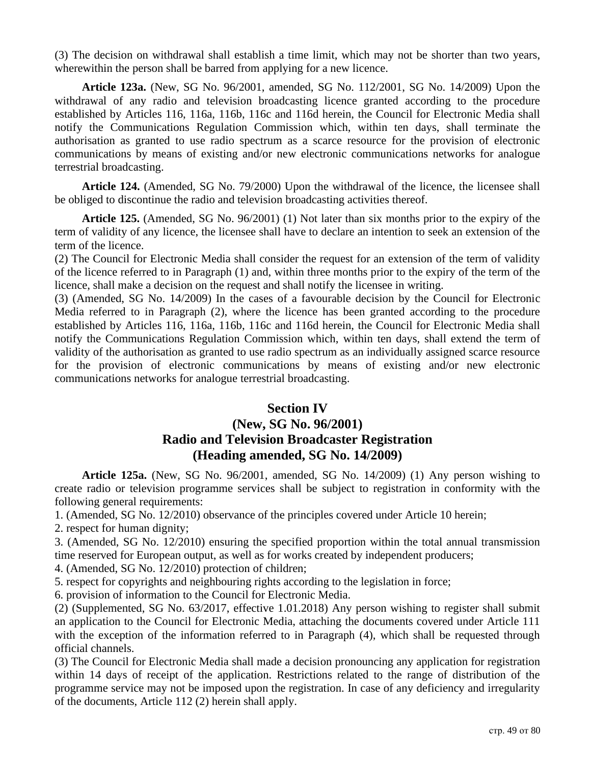(3) The decision on withdrawal shall establish a time limit, which may not be shorter than two years, wherewithin the person shall be barred from applying for a new licence.

**Article 123a.** (New, SG No. 96/2001, amended, SG No. 112/2001, SG No. 14/2009) Upon the withdrawal of any radio and television broadcasting licence granted according to the procedure established by Articles 116, 116a, 116b, 116c and 116d herein, the Council for Electronic Media shall notify the Communications Regulation Commission which, within ten days, shall terminate the authorisation as granted to use radio spectrum as a scarce resource for the provision of electronic communications by means of existing and/or new electronic communications networks for analogue terrestrial broadcasting.

**Article 124.** (Amended, SG No. 79/2000) Upon the withdrawal of the licence, the licensee shall be obliged to discontinue the radio and television broadcasting activities thereof.

**Article 125.** (Amended, SG No. 96/2001) (1) Not later than six months prior to the expiry of the term of validity of any licence, the licensee shall have to declare an intention to seek an extension of the term of the licence.

(2) The Council for Electronic Media shall consider the request for an extension of the term of validity of the licence referred to in Paragraph (1) and, within three months prior to the expiry of the term of the licence, shall make a decision on the request and shall notify the licensee in writing.

(3) (Amended, SG No. 14/2009) In the cases of a favourable decision by the Council for Electronic Media referred to in Paragraph (2), where the licence has been granted according to the procedure established by Articles 116, 116a, 116b, 116c and 116d herein, the Council for Electronic Media shall notify the Communications Regulation Commission which, within ten days, shall extend the term of validity of the authorisation as granted to use radio spectrum as an individually assigned scarce resource for the provision of electronic communications by means of existing and/or new electronic communications networks for analogue terrestrial broadcasting.

### **Section IV**

# **(New, SG No. 96/2001) Radio and Television Broadcaster Registration (Heading amended, SG No. 14/2009)**

**Article 125a.** (New, SG No. 96/2001, amended, SG No. 14/2009) (1) Any person wishing to create radio or television programme services shall be subject to registration in conformity with the following general requirements:

1. (Amended, SG No. 12/2010) observance of the principles covered under Article 10 herein;

2. respect for human dignity;

3. (Amended, SG No. 12/2010) ensuring the specified proportion within the total annual transmission time reserved for European output, as well as for works created by independent producers;

4. (Amended, SG No. 12/2010) protection of children;

5. respect for copyrights and neighbouring rights according to the legislation in force;

6. provision of information to the Council for Electronic Media.

(2) (Supplemented, SG No. 63/2017, effective 1.01.2018) Any person wishing to register shall submit an application to the Council for Electronic Media, attaching the documents covered under Article 111 with the exception of the information referred to in Paragraph  $(4)$ , which shall be requested through official channels.

(3) The Council for Electronic Media shall made a decision pronouncing any application for registration within 14 days of receipt of the application. Restrictions related to the range of distribution of the programme service may not be imposed upon the registration. In case of any deficiency and irregularity of the documents, Article 112 (2) herein shall apply.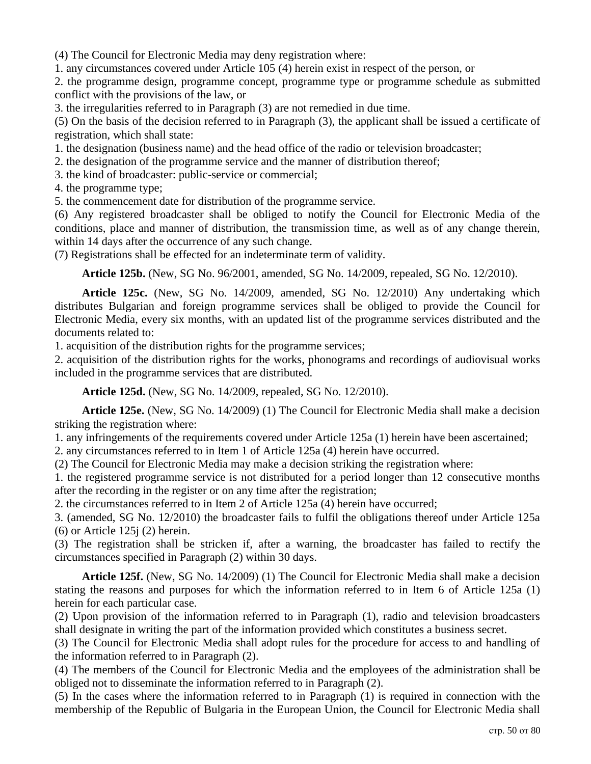(4) The Council for Electronic Media may deny registration where:

1. any circumstances covered under Article 105 (4) herein exist in respect of the person, or

2. the programme design, programme concept, programme type or programme schedule as submitted conflict with the provisions of the law, or

3. the irregularities referred to in Paragraph (3) are not remedied in due time.

(5) On the basis of the decision referred to in Paragraph (3), the applicant shall be issued a certificate of registration, which shall state:

1. the designation (business name) and the head office of the radio or television broadcaster;

2. the designation of the programme service and the manner of distribution thereof;

3. the kind of broadcaster: public-service or commercial;

4. the programme type;

5. the commencement date for distribution of the programme service.

(6) Any registered broadcaster shall be obliged to notify the Council for Electronic Media of the conditions, place and manner of distribution, the transmission time, as well as of any change therein, within 14 days after the occurrence of any such change.

(7) Registrations shall be effected for an indeterminate term of validity.

**Article 125b.** (New, SG No. 96/2001, amended, SG No. 14/2009, repealed, SG No. 12/2010).

**Article 125c.** (New, SG No. 14/2009, amended, SG No. 12/2010) Any undertaking which distributes Bulgarian and foreign programme services shall be obliged to provide the Council for Electronic Media, every six months, with an updated list of the programme services distributed and the documents related to:

1. acquisition of the distribution rights for the programme services;

2. acquisition of the distribution rights for the works, phonograms and recordings of audiovisual works included in the programme services that are distributed.

**Article 125d.** (New, SG No. 14/2009, repealed, SG No. 12/2010).

**Article 125e.** (New, SG No. 14/2009) (1) The Council for Electronic Media shall make a decision striking the registration where:

1. any infringements of the requirements covered under Article 125a (1) herein have been ascertained;

2. any circumstances referred to in Item 1 of Article 125a (4) herein have occurred.

(2) The Council for Electronic Media may make a decision striking the registration where:

1. the registered programme service is not distributed for a period longer than 12 consecutive months after the recording in the register or on any time after the registration;

2. the circumstances referred to in Item 2 of Article 125a (4) herein have occurred;

3. (amended, SG No. 12/2010) the broadcaster fails to fulfil the obligations thereof under Article 125a (6) or Article 125j (2) herein.

(3) The registration shall be stricken if, after a warning, the broadcaster has failed to rectify the circumstances specified in Paragraph (2) within 30 days.

**Article 125f.** (New, SG No. 14/2009) (1) The Council for Electronic Media shall make a decision stating the reasons and purposes for which the information referred to in Item 6 of Article 125a (1) herein for each particular case.

(2) Upon provision of the information referred to in Paragraph (1), radio and television broadcasters shall designate in writing the part of the information provided which constitutes a business secret.

(3) The Council for Electronic Media shall adopt rules for the procedure for access to and handling of the information referred to in Paragraph (2).

(4) The members of the Council for Electronic Media and the employees of the administration shall be obliged not to disseminate the information referred to in Paragraph (2).

(5) In the cases where the information referred to in Paragraph (1) is required in connection with the membership of the Republic of Bulgaria in the European Union, the Council for Electronic Media shall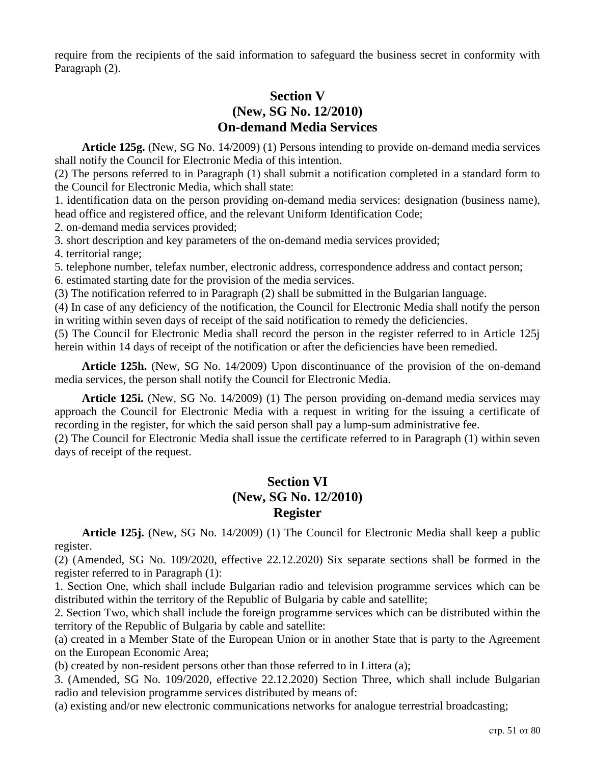require from the recipients of the said information to safeguard the business secret in conformity with Paragraph (2).

# **Section V (New, SG No. 12/2010) On-demand Media Services**

**Article 125g.** (New, SG No. 14/2009) (1) Persons intending to provide on-demand media services shall notify the Council for Electronic Media of this intention.

(2) The persons referred to in Paragraph (1) shall submit a notification completed in a standard form to the Council for Electronic Media, which shall state:

1. identification data on the person providing on-demand media services: designation (business name), head office and registered office, and the relevant Uniform Identification Code;

2. on-demand media services provided;

3. short description and key parameters of the on-demand media services provided;

4. territorial range;

5. telephone number, telefax number, electronic address, correspondence address and contact person;

6. estimated starting date for the provision of the media services.

(3) The notification referred to in Paragraph (2) shall be submitted in the Bulgarian language.

(4) In case of any deficiency of the notification, the Council for Electronic Media shall notify the person in writing within seven days of receipt of the said notification to remedy the deficiencies.

(5) The Council for Electronic Media shall record the person in the register referred to in Article 125j herein within 14 days of receipt of the notification or after the deficiencies have been remedied.

**Article 125h.** (New, SG No. 14/2009) Upon discontinuance of the provision of the on-demand media services, the person shall notify the Council for Electronic Media.

**Article 125i.** (New, SG No. 14/2009) (1) The person providing on-demand media services may approach the Council for Electronic Media with a request in writing for the issuing a certificate of recording in the register, for which the said person shall pay a lump-sum administrative fee.

(2) The Council for Electronic Media shall issue the certificate referred to in Paragraph (1) within seven days of receipt of the request.

# **Section VI (New, SG No. 12/2010) Register**

**Article 125j.** (New, SG No. 14/2009) (1) The Council for Electronic Media shall keep a public register.

(2) (Amended, SG No. 109/2020, effective 22.12.2020) Six separate sections shall be formed in the register referred to in Paragraph (1):

1. Section One, which shall include Bulgarian radio and television programme services which can be distributed within the territory of the Republic of Bulgaria by cable and satellite;

2. Section Two, which shall include the foreign programme services which can be distributed within the territory of the Republic of Bulgaria by cable and satellite:

(a) created in a Member State of the European Union or in another State that is party to the Agreement on the European Economic Area;

(b) created by non-resident persons other than those referred to in Littera (a);

3. (Amended, SG No. 109/2020, effective 22.12.2020) Section Three, which shall include Bulgarian radio and television programme services distributed by means of:

(a) existing and/or new electronic communications networks for analogue terrestrial broadcasting;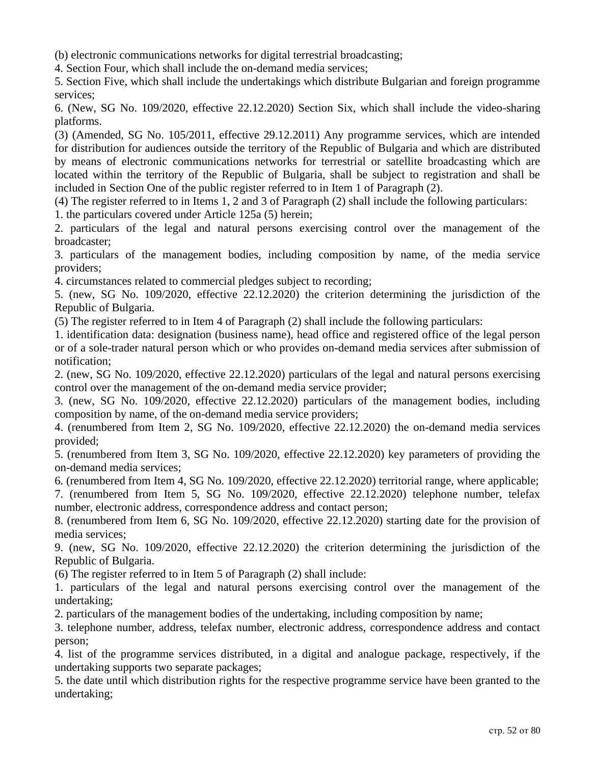(b) electronic communications networks for digital terrestrial broadcasting;

4. Section Four, which shall include the on-demand media services;

5. Section Five, which shall include the undertakings which distribute Bulgarian and foreign programme services;

6. (New, SG No. 109/2020, effective 22.12.2020) Section Six, which shall include the video-sharing platforms.

(3) (Amended, SG No. 105/2011, effective 29.12.2011) Any programme services, which are intended for distribution for audiences outside the territory of the Republic of Bulgaria and which are distributed by means of electronic communications networks for terrestrial or satellite broadcasting which are located within the territory of the Republic of Bulgaria, shall be subject to registration and shall be included in Section One of the public register referred to in Item 1 of Paragraph (2).

(4) The register referred to in Items 1, 2 and 3 of Paragraph (2) shall include the following particulars:

1. the particulars covered under Article 125a (5) herein;

2. particulars of the legal and natural persons exercising control over the management of the broadcaster;

3. particulars of the management bodies, including composition by name, of the media service providers;

4. circumstances related to commercial pledges subject to recording;

5. (new, SG No. 109/2020, effective 22.12.2020) the criterion determining the jurisdiction of the Republic of Bulgaria.

(5) The register referred to in Item 4 of Paragraph (2) shall include the following particulars:

1. identification data: designation (business name), head office and registered office of the legal person or of a sole-trader natural person which or who provides on-demand media services after submission of notification;

2. (new, SG No. 109/2020, effective 22.12.2020) particulars of the legal and natural persons exercising control over the management of the on-demand media service provider;

3. (new, SG No. 109/2020, effective 22.12.2020) particulars of the management bodies, including composition by name, of the on-demand media service providers;

4. (renumbered from Item 2, SG No. 109/2020, effective 22.12.2020) the on-demand media services provided;

5. (renumbered from Item 3, SG No. 109/2020, effective 22.12.2020) key parameters of providing the on-demand media services;

6. (renumbered from Item 4, SG No. 109/2020, effective 22.12.2020) territorial range, where applicable;

7. (renumbered from Item 5, SG No. 109/2020, effective 22.12.2020) telephone number, telefax number, electronic address, correspondence address and contact person;

8. (renumbered from Item 6, SG No. 109/2020, effective 22.12.2020) starting date for the provision of media services;

9. (new, SG No. 109/2020, effective 22.12.2020) the criterion determining the jurisdiction of the Republic of Bulgaria.

(6) The register referred to in Item 5 of Paragraph (2) shall include:

1. particulars of the legal and natural persons exercising control over the management of the undertaking;

2. particulars of the management bodies of the undertaking, including composition by name;

3. telephone number, address, telefax number, electronic address, correspondence address and contact person;

4. list of the programme services distributed, in a digital and analogue package, respectively, if the undertaking supports two separate packages;

5. the date until which distribution rights for the respective programme service have been granted to the undertaking;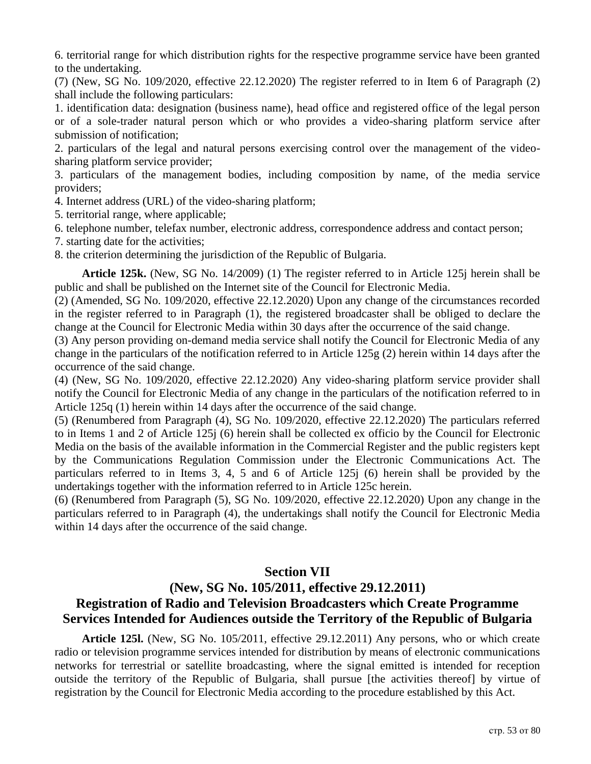6. territorial range for which distribution rights for the respective programme service have been granted to the undertaking.

(7) (New, SG No. 109/2020, effective 22.12.2020) The register referred to in Item 6 of Paragraph (2) shall include the following particulars:

1. identification data: designation (business name), head office and registered office of the legal person or of a sole-trader natural person which or who provides a video-sharing platform service after submission of notification;

2. particulars of the legal and natural persons exercising control over the management of the videosharing platform service provider;

3. particulars of the management bodies, including composition by name, of the media service providers;

4. Internet address (URL) of the video-sharing platform;

5. territorial range, where applicable;

6. telephone number, telefax number, electronic address, correspondence address and contact person;

7. starting date for the activities;

8. the criterion determining the jurisdiction of the Republic of Bulgaria.

**Article 125k.** (New, SG No. 14/2009) (1) The register referred to in Article 125j herein shall be public and shall be published on the Internet site of the Council for Electronic Media.

(2) (Amended, SG No. 109/2020, effective 22.12.2020) Upon any change of the circumstances recorded in the register referred to in Paragraph (1), the registered broadcaster shall be obliged to declare the change at the Council for Electronic Media within 30 days after the occurrence of the said change.

(3) Any person providing on-demand media service shall notify the Council for Electronic Media of any change in the particulars of the notification referred to in Article 125g (2) herein within 14 days after the occurrence of the said change.

(4) (New, SG No. 109/2020, effective 22.12.2020) Any video-sharing platform service provider shall notify the Council for Electronic Media of any change in the particulars of the notification referred to in Article 125q (1) herein within 14 days after the occurrence of the said change.

(5) (Renumbered from Paragraph (4), SG No. 109/2020, effective 22.12.2020) The particulars referred to in Items 1 and 2 of Article 125j (6) herein shall be collected ex officio by the Council for Electronic Media on the basis of the available information in the Commercial Register and the public registers kept by the Communications Regulation Commission under the Electronic Communications Act. The particulars referred to in Items 3, 4, 5 and 6 of Article 125j (6) herein shall be provided by the undertakings together with the information referred to in Article 125c herein.

(6) (Renumbered from Paragraph (5), SG No. 109/2020, effective 22.12.2020) Upon any change in the particulars referred to in Paragraph (4), the undertakings shall notify the Council for Electronic Media within 14 days after the occurrence of the said change.

## **Section VII**

# **(New, SG No. 105/2011, effective 29.12.2011) Registration of Radio and Television Broadcasters which Create Programme Services Intended for Audiences outside the Territory of the Republic of Bulgaria**

**Article 125l.** (New, SG No. 105/2011, effective 29.12.2011) Any persons, who or which create radio or television programme services intended for distribution by means of electronic communications networks for terrestrial or satellite broadcasting, where the signal emitted is intended for reception outside the territory of the Republic of Bulgaria, shall pursue [the activities thereof] by virtue of registration by the Council for Electronic Media according to the procedure established by this Act.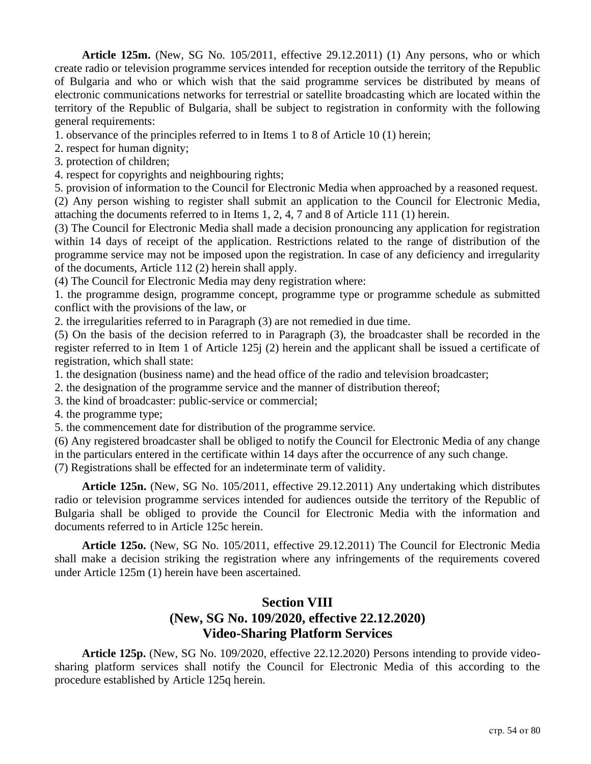**Article 125m.** (New, SG No. 105/2011, effective 29.12.2011) (1) Any persons, who or which create radio or television programme services intended for reception outside the territory of the Republic of Bulgaria and who or which wish that the said programme services be distributed by means of electronic communications networks for terrestrial or satellite broadcasting which are located within the territory of the Republic of Bulgaria, shall be subject to registration in conformity with the following general requirements:

1. observance of the principles referred to in Items 1 to 8 of Article 10 (1) herein;

2. respect for human dignity;

3. protection of children;

4. respect for copyrights and neighbouring rights;

5. provision of information to the Council for Electronic Media when approached by a reasoned request. (2) Any person wishing to register shall submit an application to the Council for Electronic Media, attaching the documents referred to in Items 1, 2, 4, 7 and 8 of Article 111 (1) herein.

(3) The Council for Electronic Media shall made a decision pronouncing any application for registration within 14 days of receipt of the application. Restrictions related to the range of distribution of the programme service may not be imposed upon the registration. In case of any deficiency and irregularity of the documents, Article 112 (2) herein shall apply.

(4) The Council for Electronic Media may deny registration where:

1. the programme design, programme concept, programme type or programme schedule as submitted conflict with the provisions of the law, or

2. the irregularities referred to in Paragraph (3) are not remedied in due time.

(5) On the basis of the decision referred to in Paragraph (3), the broadcaster shall be recorded in the register referred to in Item 1 of Article 125j (2) herein and the applicant shall be issued a certificate of registration, which shall state:

1. the designation (business name) and the head office of the radio and television broadcaster;

2. the designation of the programme service and the manner of distribution thereof;

3. the kind of broadcaster: public-service or commercial;

4. the programme type;

5. the commencement date for distribution of the programme service.

(6) Any registered broadcaster shall be obliged to notify the Council for Electronic Media of any change in the particulars entered in the certificate within 14 days after the occurrence of any such change.

(7) Registrations shall be effected for an indeterminate term of validity.

**Article 125n.** (New, SG No. 105/2011, effective 29.12.2011) Any undertaking which distributes radio or television programme services intended for audiences outside the territory of the Republic of Bulgaria shall be obliged to provide the Council for Electronic Media with the information and documents referred to in Article 125c herein.

**Article 125o.** (New, SG No. 105/2011, effective 29.12.2011) The Council for Electronic Media shall make a decision striking the registration where any infringements of the requirements covered under Article 125m (1) herein have been ascertained.

# **Section VIII (New, SG No. 109/2020, effective 22.12.2020) Video-Sharing Platform Services**

**Article 125p.** (New, SG No. 109/2020, effective 22.12.2020) Persons intending to provide videosharing platform services shall notify the Council for Electronic Media of this according to the procedure established by Article 125q herein.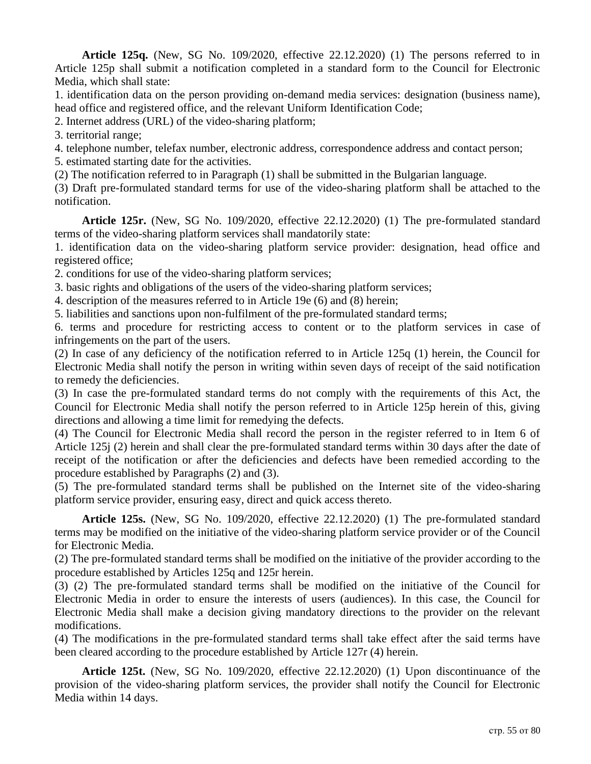**Article 125q.** (New, SG No. 109/2020, effective 22.12.2020) (1) The persons referred to in Article 125p shall submit a notification completed in a standard form to the Council for Electronic Media, which shall state:

1. identification data on the person providing on-demand media services: designation (business name), head office and registered office, and the relevant Uniform Identification Code;

2. Internet address (URL) of the video-sharing platform;

3. territorial range;

4. telephone number, telefax number, electronic address, correspondence address and contact person;

5. estimated starting date for the activities.

(2) The notification referred to in Paragraph (1) shall be submitted in the Bulgarian language.

(3) Draft pre-formulated standard terms for use of the video-sharing platform shall be attached to the notification.

**Article 125r.** (New, SG No. 109/2020, effective 22.12.2020) (1) The pre-formulated standard terms of the video-sharing platform services shall mandatorily state:

1. identification data on the video-sharing platform service provider: designation, head office and registered office;

2. conditions for use of the video-sharing platform services;

3. basic rights and obligations of the users of the video-sharing platform services;

4. description of the measures referred to in Article 19e (6) and (8) herein;

5. liabilities and sanctions upon non-fulfilment of the pre-formulated standard terms;

6. terms and procedure for restricting access to content or to the platform services in case of infringements on the part of the users.

(2) In case of any deficiency of the notification referred to in Article 125q (1) herein, the Council for Electronic Media shall notify the person in writing within seven days of receipt of the said notification to remedy the deficiencies.

(3) In case the pre-formulated standard terms do not comply with the requirements of this Act, the Council for Electronic Media shall notify the person referred to in Article 125p herein of this, giving directions and allowing a time limit for remedying the defects.

(4) The Council for Electronic Media shall record the person in the register referred to in Item 6 of Article 125j (2) herein and shall clear the pre-formulated standard terms within 30 days after the date of receipt of the notification or after the deficiencies and defects have been remedied according to the procedure established by Paragraphs (2) and (3).

(5) The pre-formulated standard terms shall be published on the Internet site of the video-sharing platform service provider, ensuring easy, direct and quick access thereto.

**Article 125s.** (New, SG No. 109/2020, effective 22.12.2020) (1) The pre-formulated standard terms may be modified on the initiative of the video-sharing platform service provider or of the Council for Electronic Media.

(2) The pre-formulated standard terms shall be modified on the initiative of the provider according to the procedure established by Articles 125q and 125r herein.

(3) (2) The pre-formulated standard terms shall be modified on the initiative of the Council for Electronic Media in order to ensure the interests of users (audiences). In this case, the Council for Electronic Media shall make a decision giving mandatory directions to the provider on the relevant modifications.

(4) The modifications in the pre-formulated standard terms shall take effect after the said terms have been cleared according to the procedure established by Article 127r (4) herein.

**Article 125t.** (New, SG No. 109/2020, effective 22.12.2020) (1) Upon discontinuance of the provision of the video-sharing platform services, the provider shall notify the Council for Electronic Media within 14 days.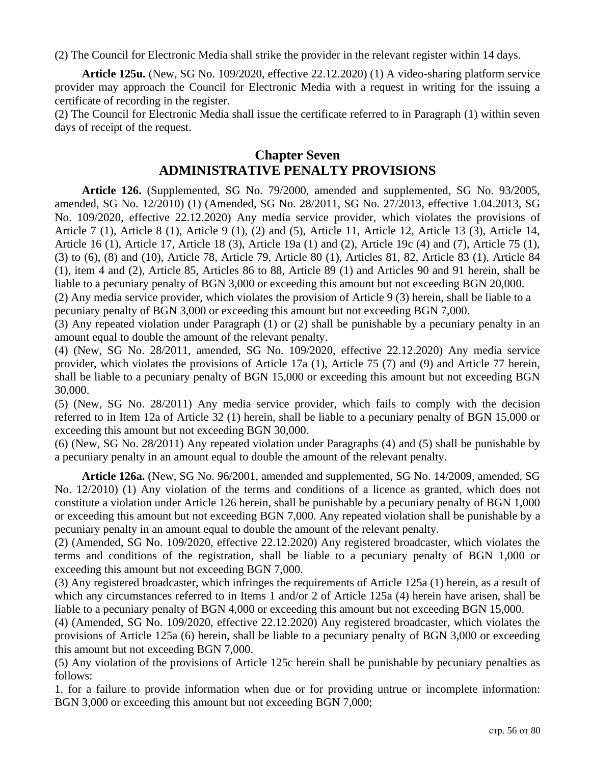(2) The Council for Electronic Media shall strike the provider in the relevant register within 14 days.

**Article 125u.** (New, SG No. 109/2020, effective 22.12.2020) (1) A video-sharing platform service provider may approach the Council for Electronic Media with a request in writing for the issuing a certificate of recording in the register.

(2) The Council for Electronic Media shall issue the certificate referred to in Paragraph (1) within seven days of receipt of the request.

### **Chapter Seven ADMINISTRATIVE PENALTY PROVISIONS**

**Article 126.** (Supplemented, SG No. 79/2000, amended and supplemented, SG No. 93/2005, amended, SG No. 12/2010) (1) (Amended, SG No. 28/2011, SG No. 27/2013, effective 1.04.2013, SG No. 109/2020, effective 22.12.2020) Any media service provider, which violates the provisions of Article 7 (1), Article 8 (1), Article 9 (1), (2) and (5), Article 11, Article 12, Article 13 (3), Article 14, Article 16 (1), Article 17, Article 18 (3), Article 19a (1) and (2), Article 19c (4) and (7), Article 75 (1), (3) to (6), (8) and (10), Article 78, Article 79, Article 80 (1), Articles 81, 82, Article 83 (1), Article 84 (1), item 4 and (2), Article 85, Articles 86 to 88, Article 89 (1) and Articles 90 and 91 herein, shall be liable to a pecuniary penalty of BGN 3,000 or exceeding this amount but not exceeding BGN 20,000.

(2) Any media service provider, which violates the provision of Article 9 (3) herein, shall be liable to a pecuniary penalty of BGN 3,000 or exceeding this amount but not exceeding BGN 7,000.

(3) Any repeated violation under Paragraph (1) or (2) shall be punishable by a pecuniary penalty in an amount equal to double the amount of the relevant penalty.

(4) (New, SG No. 28/2011, amended, SG No. 109/2020, effective 22.12.2020) Any media service provider, which violates the provisions of Article 17a (1), Article 75 (7) and (9) and Article 77 herein, shall be liable to a pecuniary penalty of BGN 15,000 or exceeding this amount but not exceeding BGN 30,000.

(5) (New, SG No. 28/2011) Any media service provider, which fails to comply with the decision referred to in Item 12a of Article 32 (1) herein, shall be liable to a pecuniary penalty of BGN 15,000 or exceeding this amount but not exceeding BGN 30,000.

(6) (New, SG No. 28/2011) Any repeated violation under Paragraphs (4) and (5) shall be punishable by a pecuniary penalty in an amount equal to double the amount of the relevant penalty.

**Article 126a.** (New, SG No. 96/2001, amended and supplemented, SG No. 14/2009, amended, SG No. 12/2010) (1) Any violation of the terms and conditions of a licence as granted, which does not constitute a violation under Article 126 herein, shall be punishable by a pecuniary penalty of BGN 1,000 or exceeding this amount but not exceeding BGN 7,000. Any repeated violation shall be punishable by a pecuniary penalty in an amount equal to double the amount of the relevant penalty.

(2) (Amended, SG No. 109/2020, effective 22.12.2020) Any registered broadcaster, which violates the terms and conditions of the registration, shall be liable to a pecuniary penalty of BGN 1,000 or exceeding this amount but not exceeding BGN 7,000.

(3) Any registered broadcaster, which infringes the requirements of Article 125a (1) herein, as a result of which any circumstances referred to in Items 1 and/or 2 of Article 125a (4) herein have arisen, shall be liable to a pecuniary penalty of BGN 4,000 or exceeding this amount but not exceeding BGN 15,000.

(4) (Amended, SG No. 109/2020, effective 22.12.2020) Any registered broadcaster, which violates the provisions of Article 125a (6) herein, shall be liable to a pecuniary penalty of BGN 3,000 or exceeding this amount but not exceeding BGN 7,000.

(5) Any violation of the provisions of Article 125c herein shall be punishable by pecuniary penalties as follows:

1. for a failure to provide information when due or for providing untrue or incomplete information: BGN 3,000 or exceeding this amount but not exceeding BGN 7,000;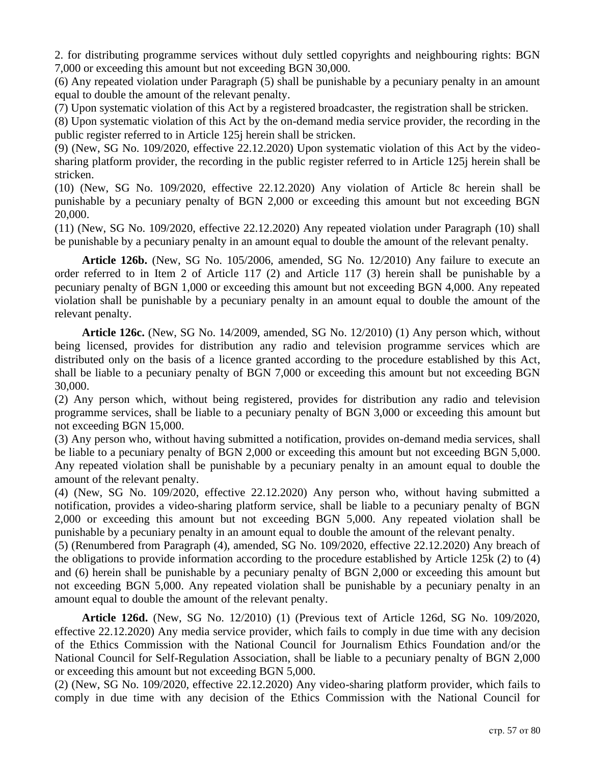2. for distributing programme services without duly settled copyrights and neighbouring rights: BGN 7,000 or exceeding this amount but not exceeding BGN 30,000.

(6) Any repeated violation under Paragraph (5) shall be punishable by a pecuniary penalty in an amount equal to double the amount of the relevant penalty.

(7) Upon systematic violation of this Act by a registered broadcaster, the registration shall be stricken.

(8) Upon systematic violation of this Act by the on-demand media service provider, the recording in the public register referred to in Article 125j herein shall be stricken.

(9) (New, SG No. 109/2020, effective 22.12.2020) Upon systematic violation of this Act by the videosharing platform provider, the recording in the public register referred to in Article 125j herein shall be stricken.

(10) (New, SG No. 109/2020, effective 22.12.2020) Any violation of Article 8c herein shall be punishable by a pecuniary penalty of BGN 2,000 or exceeding this amount but not exceeding BGN 20,000.

(11) (New, SG No. 109/2020, effective 22.12.2020) Any repeated violation under Paragraph (10) shall be punishable by a pecuniary penalty in an amount equal to double the amount of the relevant penalty.

**Article 126b.** (New, SG No. 105/2006, amended, SG No. 12/2010) Any failure to execute an order referred to in Item 2 of Article 117 (2) and Article 117 (3) herein shall be punishable by a pecuniary penalty of BGN 1,000 or exceeding this amount but not exceeding BGN 4,000. Any repeated violation shall be punishable by a pecuniary penalty in an amount equal to double the amount of the relevant penalty.

**Article 126c.** (New, SG No. 14/2009, amended, SG No. 12/2010) (1) Any person which, without being licensed, provides for distribution any radio and television programme services which are distributed only on the basis of a licence granted according to the procedure established by this Act, shall be liable to a pecuniary penalty of BGN 7,000 or exceeding this amount but not exceeding BGN 30,000.

(2) Any person which, without being registered, provides for distribution any radio and television programme services, shall be liable to a pecuniary penalty of BGN 3,000 or exceeding this amount but not exceeding BGN 15,000.

(3) Any person who, without having submitted a notification, provides on-demand media services, shall be liable to a pecuniary penalty of BGN 2,000 or exceeding this amount but not exceeding BGN 5,000. Any repeated violation shall be punishable by a pecuniary penalty in an amount equal to double the amount of the relevant penalty.

(4) (New, SG No. 109/2020, effective 22.12.2020) Any person who, without having submitted a notification, provides a video-sharing platform service, shall be liable to a pecuniary penalty of BGN 2,000 or exceeding this amount but not exceeding BGN 5,000. Any repeated violation shall be punishable by a pecuniary penalty in an amount equal to double the amount of the relevant penalty.

(5) (Renumbered from Paragraph (4), amended, SG No. 109/2020, effective 22.12.2020) Any breach of the obligations to provide information according to the procedure established by Article 125k (2) to (4) and (6) herein shall be punishable by a pecuniary penalty of BGN 2,000 or exceeding this amount but not exceeding BGN 5,000. Any repeated violation shall be punishable by a pecuniary penalty in an amount equal to double the amount of the relevant penalty.

**Article 126d.** (New, SG No. 12/2010) (1) (Previous text of Article 126d, SG No. 109/2020, effective 22.12.2020) Any media service provider, which fails to comply in due time with any decision of the Ethics Commission with the National Council for Journalism Ethics Foundation and/or the National Council for Self-Regulation Association, shall be liable to a pecuniary penalty of BGN 2,000 or exceeding this amount but not exceeding BGN 5,000.

(2) (New, SG No. 109/2020, effective 22.12.2020) Any video-sharing platform provider, which fails to comply in due time with any decision of the Ethics Commission with the National Council for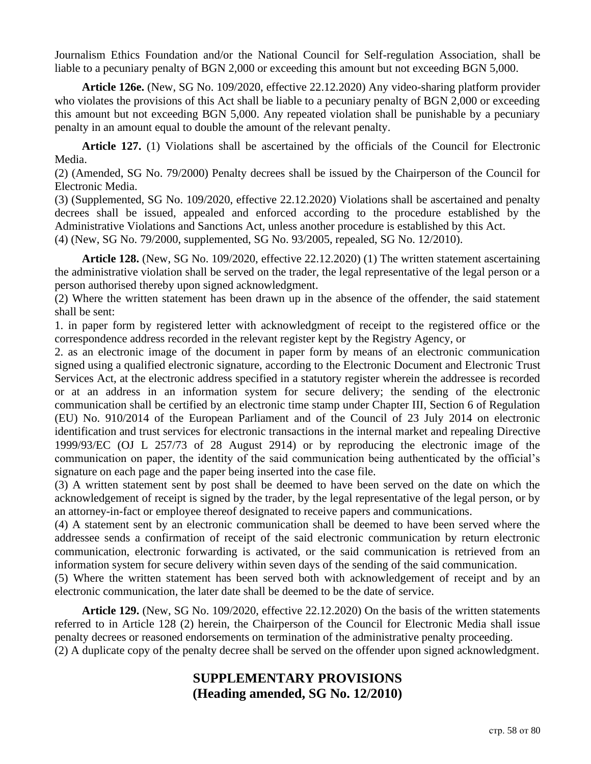Journalism Ethics Foundation and/or the National Council for Self-regulation Association, shall be liable to a pecuniary penalty of BGN 2,000 or exceeding this amount but not exceeding BGN 5,000.

**Article 126e.** (New, SG No. 109/2020, effective 22.12.2020) Any video-sharing platform provider who violates the provisions of this Act shall be liable to a pecuniary penalty of BGN 2,000 or exceeding this amount but not exceeding BGN 5,000. Any repeated violation shall be punishable by a pecuniary penalty in an amount equal to double the amount of the relevant penalty.

**Article 127.** (1) Violations shall be ascertained by the officials of the Council for Electronic Media.

(2) (Amended, SG No. 79/2000) Penalty decrees shall be issued by the Chairperson of the Council for Electronic Media.

(3) (Supplemented, SG No. 109/2020, effective 22.12.2020) Violations shall be ascertained and penalty decrees shall be issued, appealed and enforced according to the procedure established by the Administrative Violations and Sanctions Act, unless another procedure is established by this Act. (4) (New, SG No. 79/2000, supplemented, SG No. 93/2005, repealed, SG No. 12/2010).

**Article 128.** (New, SG No. 109/2020, effective 22.12.2020) (1) The written statement ascertaining the administrative violation shall be served on the trader, the legal representative of the legal person or a person authorised thereby upon signed acknowledgment.

(2) Where the written statement has been drawn up in the absence of the offender, the said statement shall be sent:

1. in paper form by registered letter with acknowledgment of receipt to the registered office or the correspondence address recorded in the relevant register kept by the Registry Agency, or

2. as an electronic image of the document in paper form by means of an electronic communication signed using a qualified electronic signature, according to the Electronic Document and Electronic Trust Services Act, at the electronic address specified in a statutory register wherein the addressee is recorded or at an address in an information system for secure delivery; the sending of the electronic communication shall be certified by an electronic time stamp under Chapter III, Section 6 of Regulation (EU) No. 910/2014 of the European Parliament and of the Council of 23 July 2014 on electronic identification and trust services for electronic transactions in the internal market and repealing Directive 1999/93/EC (OJ L 257/73 of 28 August 2914) or by reproducing the electronic image of the communication on paper, the identity of the said communication being authenticated by the official's signature on each page and the paper being inserted into the case file.

(3) A written statement sent by post shall be deemed to have been served on the date on which the acknowledgement of receipt is signed by the trader, by the legal representative of the legal person, or by an attorney-in-fact or employee thereof designated to receive papers and communications.

(4) A statement sent by an electronic communication shall be deemed to have been served where the addressee sends a confirmation of receipt of the said electronic communication by return electronic communication, electronic forwarding is activated, or the said communication is retrieved from an information system for secure delivery within seven days of the sending of the said communication.

(5) Where the written statement has been served both with acknowledgement of receipt and by an electronic communication, the later date shall be deemed to be the date of service.

**Article 129.** (New, SG No. 109/2020, effective 22.12.2020) On the basis of the written statements referred to in Article 128 (2) herein, the Chairperson of the Council for Electronic Media shall issue penalty decrees or reasoned endorsements on termination of the administrative penalty proceeding. (2) A duplicate copy of the penalty decree shall be served on the offender upon signed acknowledgment.

# **SUPPLEMENTARY PROVISIONS (Heading amended, SG No. 12/2010)**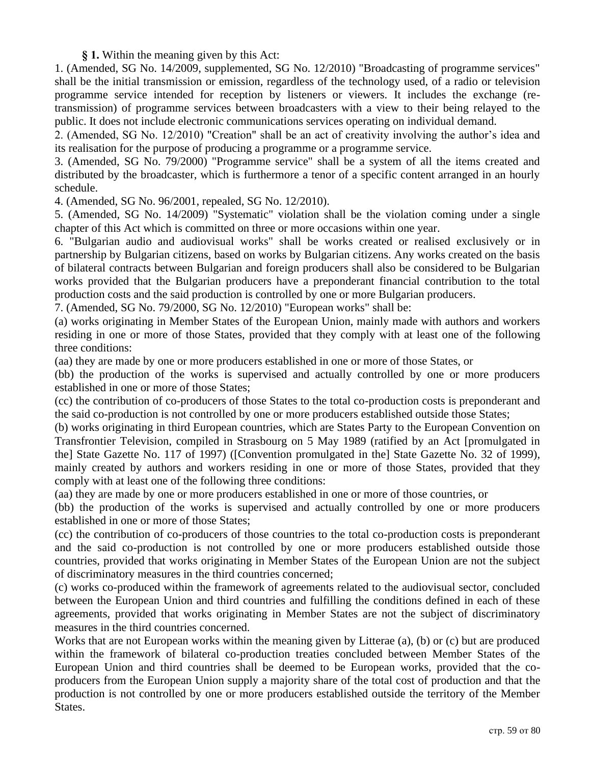#### **§ 1.** Within the meaning given by this Act:

1. (Amended, SG No. 14/2009, supplemented, SG No. 12/2010) "Broadcasting of programme services" shall be the initial transmission or emission, regardless of the technology used, of a radio or television programme service intended for reception by listeners or viewers. It includes the exchange (retransmission) of programme services between broadcasters with a view to their being relayed to the public. It does not include electronic communications services operating on individual demand.

2. (Amended, SG No. 12/2010) "Creation" shall be an act of creativity involving the author's idea and its realisation for the purpose of producing a programme or a programme service.

3. (Amended, SG No. 79/2000) "Programme service" shall be a system of all the items created and distributed by the broadcaster, which is furthermore a tenor of a specific content arranged in an hourly schedule.

4. (Amended, SG No. 96/2001, repealed, SG No. 12/2010).

5. (Amended, SG No. 14/2009) "Systematic" violation shall be the violation coming under a single chapter of this Act which is committed on three or more occasions within one year.

6. "Bulgarian audio and audiovisual works" shall be works created or realised exclusively or in partnership by Bulgarian citizens, based on works by Bulgarian citizens. Any works created on the basis of bilateral contracts between Bulgarian and foreign producers shall also be considered to be Bulgarian works provided that the Bulgarian producers have a preponderant financial contribution to the total production costs and the said production is controlled by one or more Bulgarian producers.

7. (Amended, SG No. 79/2000, SG No. 12/2010) "European works" shall be:

(a) works originating in Member States of the European Union, mainly made with authors and workers residing in one or more of those States, provided that they comply with at least one of the following three conditions:

(aa) they are made by one or more producers established in one or more of those States, or

(bb) the production of the works is supervised and actually controlled by one or more producers established in one or more of those States;

(cc) the contribution of co-producers of those States to the total co-production costs is preponderant and the said co-production is not controlled by one or more producers established outside those States;

(b) works originating in third European countries, which are States Party to the European Convention on Transfrontier Television, compiled in Strasbourg on 5 May 1989 (ratified by an Act [promulgated in the] State Gazette No. 117 of 1997) ([Convention promulgated in the] State Gazette No. 32 of 1999), mainly created by authors and workers residing in one or more of those States, provided that they comply with at least one of the following three conditions:

(aa) they are made by one or more producers established in one or more of those countries, or

(bb) the production of the works is supervised and actually controlled by one or more producers established in one or more of those States;

(cc) the contribution of co-producers of those countries to the total co-production costs is preponderant and the said co-production is not controlled by one or more producers established outside those countries, provided that works originating in Member States of the European Union are not the subject of discriminatory measures in the third countries concerned;

(c) works co-produced within the framework of agreements related to the audiovisual sector, concluded between the European Union and third countries and fulfilling the conditions defined in each of these agreements, provided that works originating in Member States are not the subject of discriminatory measures in the third countries concerned.

Works that are not European works within the meaning given by Litterae (a), (b) or (c) but are produced within the framework of bilateral co-production treaties concluded between Member States of the European Union and third countries shall be deemed to be European works, provided that the coproducers from the European Union supply a majority share of the total cost of production and that the production is not controlled by one or more producers established outside the territory of the Member States.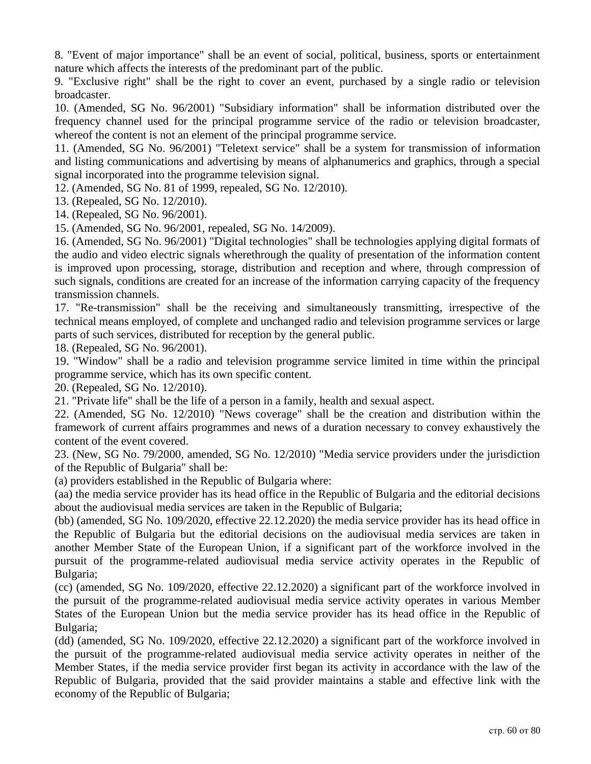8. "Event of major importance" shall be an event of social, political, business, sports or entertainment nature which affects the interests of the predominant part of the public.

9. "Exclusive right" shall be the right to cover an event, purchased by a single radio or television broadcaster.

10. (Amended, SG No. 96/2001) "Subsidiary information" shall be information distributed over the frequency channel used for the principal programme service of the radio or television broadcaster, whereof the content is not an element of the principal programme service.

11. (Amended, SG No. 96/2001) "Teletext service" shall be a system for transmission of information and listing communications and advertising by means of alphanumerics and graphics, through a special signal incorporated into the programme television signal.

12. (Amended, SG No. 81 of 1999, repealed, SG No. 12/2010).

13. (Repealed, SG No. 12/2010).

14. (Repealed, SG No. 96/2001).

15. (Amended, SG No. 96/2001, repealed, SG No. 14/2009).

16. (Amended, SG No. 96/2001) "Digital technologies" shall be technologies applying digital formats of the audio and video electric signals wherethrough the quality of presentation of the information content is improved upon processing, storage, distribution and reception and where, through compression of such signals, conditions are created for an increase of the information carrying capacity of the frequency transmission channels.

17. "Re-transmission" shall be the receiving and simultaneously transmitting, irrespective of the technical means employed, of complete and unchanged radio and television programme services or large parts of such services, distributed for reception by the general public.

18. (Repealed, SG No. 96/2001).

19. "Window" shall be a radio and television programme service limited in time within the principal programme service, which has its own specific content.

20. (Repealed, SG No. 12/2010).

21. "Private life" shall be the life of a person in a family, health and sexual aspect.

22. (Amended, SG No. 12/2010) "News coverage" shall be the creation and distribution within the framework of current affairs programmes and news of a duration necessary to convey exhaustively the content of the event covered.

23. (New, SG No. 79/2000, amended, SG No. 12/2010) "Media service providers under the jurisdiction of the Republic of Bulgaria" shall be:

(a) providers established in the Republic of Bulgaria where:

(aa) the media service provider has its head office in the Republic of Bulgaria and the editorial decisions about the audiovisual media services are taken in the Republic of Bulgaria;

(bb) (amended, SG No. 109/2020, effective 22.12.2020) the media service provider has its head office in the Republic of Bulgaria but the editorial decisions on the audiovisual media services are taken in another Member State of the European Union, if a significant part of the workforce involved in the pursuit of the programme-related audiovisual media service activity operates in the Republic of Bulgaria;

(cc) (amended, SG No. 109/2020, effective 22.12.2020) a significant part of the workforce involved in the pursuit of the programme-related audiovisual media service activity operates in various Member States of the European Union but the media service provider has its head office in the Republic of Bulgaria;

(dd) (amended, SG No. 109/2020, effective 22.12.2020) a significant part of the workforce involved in the pursuit of the programme-related audiovisual media service activity operates in neither of the Member States, if the media service provider first began its activity in accordance with the law of the Republic of Bulgaria, provided that the said provider maintains a stable and effective link with the economy of the Republic of Bulgaria;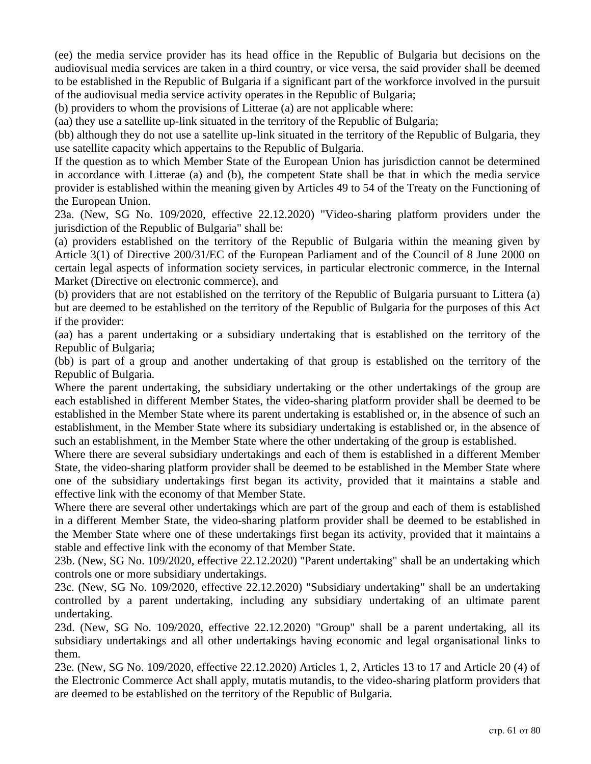(ee) the media service provider has its head office in the Republic of Bulgaria but decisions on the audiovisual media services are taken in a third country, or vice versa, the said provider shall be deemed to be established in the Republic of Bulgaria if a significant part of the workforce involved in the pursuit of the audiovisual media service activity operates in the Republic of Bulgaria;

(b) providers to whom the provisions of Litterae (a) are not applicable where:

(aa) they use a satellite up-link situated in the territory of the Republic of Bulgaria;

(bb) although they do not use a satellite up-link situated in the territory of the Republic of Bulgaria, they use satellite capacity which appertains to the Republic of Bulgaria.

If the question as to which Member State of the European Union has jurisdiction cannot be determined in accordance with Litterae (a) and (b), the competent State shall be that in which the media service provider is established within the meaning given by Articles 49 to 54 of the Treaty on the Functioning of the European Union.

23a. (New, SG No. 109/2020, effective 22.12.2020) "Video-sharing platform providers under the jurisdiction of the Republic of Bulgaria" shall be:

(a) providers established on the territory of the Republic of Bulgaria within the meaning given by Article 3(1) of Directive 200/31/EC of the European Parliament and of the Council of 8 June 2000 on certain legal aspects of information society services, in particular electronic commerce, in the Internal Market (Directive on electronic commerce), and

(b) providers that are not established on the territory of the Republic of Bulgaria pursuant to Littera (a) but are deemed to be established on the territory of the Republic of Bulgaria for the purposes of this Act if the provider:

(aa) has a parent undertaking or a subsidiary undertaking that is established on the territory of the Republic of Bulgaria;

(bb) is part of a group and another undertaking of that group is established on the territory of the Republic of Bulgaria.

Where the parent undertaking, the subsidiary undertaking or the other undertakings of the group are each established in different Member States, the video-sharing platform provider shall be deemed to be established in the Member State where its parent undertaking is established or, in the absence of such an establishment, in the Member State where its subsidiary undertaking is established or, in the absence of such an establishment, in the Member State where the other undertaking of the group is established.

Where there are several subsidiary undertakings and each of them is established in a different Member State, the video-sharing platform provider shall be deemed to be established in the Member State where one of the subsidiary undertakings first began its activity, provided that it maintains a stable and effective link with the economy of that Member State.

Where there are several other undertakings which are part of the group and each of them is established in a different Member State, the video-sharing platform provider shall be deemed to be established in the Member State where one of these undertakings first began its activity, provided that it maintains a stable and effective link with the economy of that Member State.

23b. (New, SG No. 109/2020, effective 22.12.2020) "Parent undertaking" shall be an undertaking which controls one or more subsidiary undertakings.

23c. (New, SG No. 109/2020, effective 22.12.2020) "Subsidiary undertaking" shall be an undertaking controlled by a parent undertaking, including any subsidiary undertaking of an ultimate parent undertaking.

23d. (New, SG No. 109/2020, effective 22.12.2020) "Group" shall be a parent undertaking, all its subsidiary undertakings and all other undertakings having economic and legal organisational links to them.

23e. (New, SG No. 109/2020, effective 22.12.2020) Articles 1, 2, Articles 13 to 17 and Article 20 (4) of the Electronic Commerce Act shall apply, mutatis mutandis, to the video-sharing platform providers that are deemed to be established on the territory of the Republic of Bulgaria.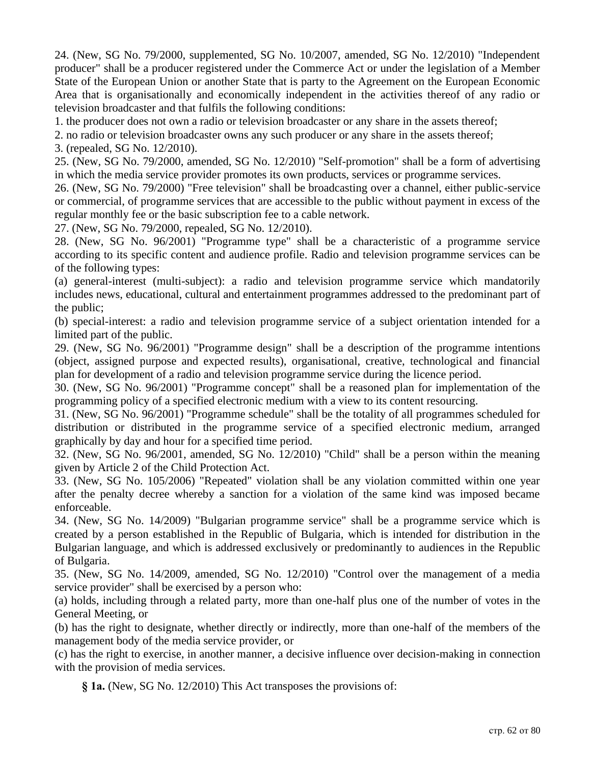24. (New, SG No. 79/2000, supplemented, SG No. 10/2007, amended, SG No. 12/2010) "Independent producer" shall be a producer registered under the Commerce Act or under the legislation of a Member State of the European Union or another State that is party to the Agreement on the European Economic Area that is organisationally and economically independent in the activities thereof of any radio or television broadcaster and that fulfils the following conditions:

1. the producer does not own a radio or television broadcaster or any share in the assets thereof;

2. no radio or television broadcaster owns any such producer or any share in the assets thereof;

3. (repealed, SG No. 12/2010).

25. (New, SG No. 79/2000, amended, SG No. 12/2010) "Self-promotion" shall be a form of advertising in which the media service provider promotes its own products, services or programme services.

26. (New, SG No. 79/2000) "Free television" shall be broadcasting over a channel, either public-service or commercial, of programme services that are accessible to the public without payment in excess of the regular monthly fee or the basic subscription fee to a cable network.

27. (New, SG No. 79/2000, repealed, SG No. 12/2010).

28. (New, SG No. 96/2001) "Programme type" shall be a characteristic of a programme service according to its specific content and audience profile. Radio and television programme services can be of the following types:

(a) general-interest (multi-subject): a radio and television programme service which mandatorily includes news, educational, cultural and entertainment programmes addressed to the predominant part of the public;

(b) special-interest: a radio and television programme service of a subject orientation intended for a limited part of the public.

29. (New, SG No. 96/2001) "Programme design" shall be a description of the programme intentions (object, assigned purpose and expected results), organisational, creative, technological and financial plan for development of a radio and television programme service during the licence period.

30. (New, SG No. 96/2001) "Programme concept" shall be a reasoned plan for implementation of the programming policy of a specified electronic medium with a view to its content resourcing.

31. (New, SG No. 96/2001) "Programme schedule" shall be the totality of all programmes scheduled for distribution or distributed in the programme service of a specified electronic medium, arranged graphically by day and hour for a specified time period.

32. (New, SG No. 96/2001, amended, SG No. 12/2010) "Child" shall be a person within the meaning given by Article 2 of the Child Protection Act.

33. (New, SG No. 105/2006) "Repeated" violation shall be any violation committed within one year after the penalty decree whereby a sanction for a violation of the same kind was imposed became enforceable.

34. (New, SG No. 14/2009) "Bulgarian programme service" shall be a programme service which is created by a person established in the Republic of Bulgaria, which is intended for distribution in the Bulgarian language, and which is addressed exclusively or predominantly to audiences in the Republic of Bulgaria.

35. (New, SG No. 14/2009, amended, SG No. 12/2010) "Control over the management of a media service provider" shall be exercised by a person who:

(a) holds, including through a related party, more than one-half plus one of the number of votes in the General Meeting, or

(b) has the right to designate, whether directly or indirectly, more than one-half of the members of the management body of the media service provider, or

(c) has the right to exercise, in another manner, a decisive influence over decision-making in connection with the provision of media services.

**§ 1a.** (New, SG No. 12/2010) This Act transposes the provisions of: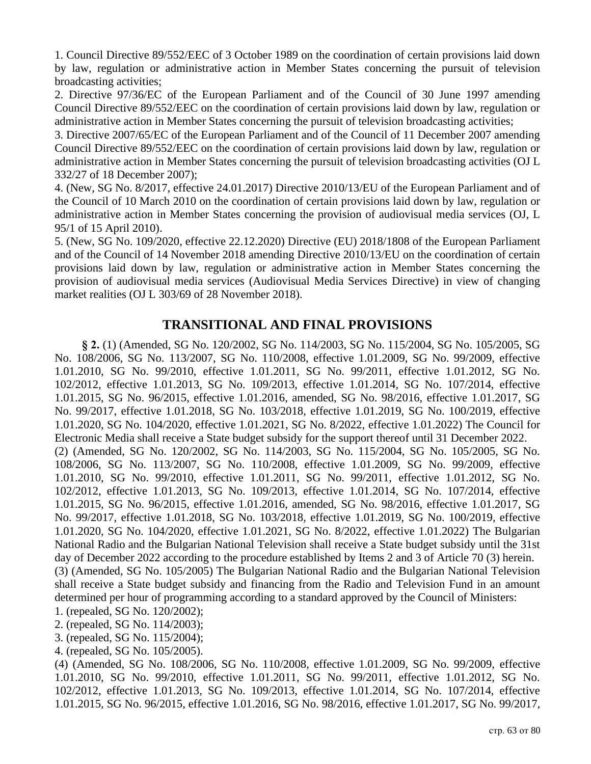1. Council Directive 89/552/EEC of 3 October 1989 on the coordination of certain provisions laid down by law, regulation or administrative action in Member States concerning the pursuit of television broadcasting activities;

2. Directive 97/36/EC of the European Parliament and of the Council of 30 June 1997 amending Council Directive 89/552/EEC on the coordination of certain provisions laid down by law, regulation or administrative action in Member States concerning the pursuit of television broadcasting activities;

3. Directive 2007/65/EC of the European Parliament and of the Council of 11 December 2007 amending Council Directive 89/552/EEC on the coordination of certain provisions laid down by law, regulation or administrative action in Member States concerning the pursuit of television broadcasting activities (OJ L 332/27 of 18 December 2007);

4. (New, SG No. 8/2017, effective 24.01.2017) Directive 2010/13/EU of the European Parliament and of the Council of 10 March 2010 on the coordination of certain provisions laid down by law, regulation or administrative action in Member States concerning the provision of audiovisual media services (OJ, L 95/1 of 15 April 2010).

5. (New, SG No. 109/2020, effective 22.12.2020) Directive (EU) 2018/1808 of the European Parliament and of the Council of 14 November 2018 amending Directive 2010/13/EU on the coordination of certain provisions laid down by law, regulation or administrative action in Member States concerning the provision of audiovisual media services (Audiovisual Media Services Directive) in view of changing market realities (OJ L 303/69 of 28 November 2018).

## **TRANSITIONAL AND FINAL PROVISIONS**

**§ 2.** (1) (Amended, SG No. 120/2002, SG No. 114/2003, SG No. 115/2004, SG No. 105/2005, SG No. 108/2006, SG No. 113/2007, SG No. 110/2008, effective 1.01.2009, SG No. 99/2009, effective 1.01.2010, SG No. 99/2010, effective 1.01.2011, SG No. 99/2011, effective 1.01.2012, SG No. 102/2012, effective 1.01.2013, SG No. 109/2013, effective 1.01.2014, SG No. 107/2014, effective 1.01.2015, SG No. 96/2015, effective 1.01.2016, amended, SG No. 98/2016, effective 1.01.2017, SG No. 99/2017, effective 1.01.2018, SG No. 103/2018, effective 1.01.2019, SG No. 100/2019, effective 1.01.2020, SG No. 104/2020, effective 1.01.2021, SG No. 8/2022, effective 1.01.2022) The Council for Electronic Media shall receive a State budget subsidy for the support thereof until 31 December 2022. (2) (Amended, SG No. 120/2002, SG No. 114/2003, SG No. 115/2004, SG No. 105/2005, SG No. 108/2006, SG No. 113/2007, SG No. 110/2008, effective 1.01.2009, SG No. 99/2009, effective 1.01.2010, SG No. 99/2010, effective 1.01.2011, SG No. 99/2011, effective 1.01.2012, SG No. 102/2012, effective 1.01.2013, SG No. 109/2013, effective 1.01.2014, SG No. 107/2014, effective 1.01.2015, SG No. 96/2015, effective 1.01.2016, amended, SG No. 98/2016, effective 1.01.2017, SG No. 99/2017, effective 1.01.2018, SG No. 103/2018, effective 1.01.2019, SG No. 100/2019, effective 1.01.2020, SG No. 104/2020, effective 1.01.2021, SG No. 8/2022, effective 1.01.2022) The Bulgarian National Radio and the Bulgarian National Television shall receive a State budget subsidy until the 31st day of December 2022 according to the procedure established by Items 2 and 3 of Article 70 (3) herein. (3) (Amended, SG No. 105/2005) The Bulgarian National Radio and the Bulgarian National Television shall receive a State budget subsidy and financing from the Radio and Television Fund in an amount determined per hour of programming according to a standard approved by the Council of Ministers:

- 1. (repealed, SG No. 120/2002);
- 2. (repealed, SG No. 114/2003);
- 3. (repealed, SG No. 115/2004);
- 4. (repealed, SG No. 105/2005).

(4) (Amended, SG No. 108/2006, SG No. 110/2008, effective 1.01.2009, SG No. 99/2009, effective 1.01.2010, SG No. 99/2010, effective 1.01.2011, SG No. 99/2011, effective 1.01.2012, SG No. 102/2012, effective 1.01.2013, SG No. 109/2013, effective 1.01.2014, SG No. 107/2014, effective 1.01.2015, SG No. 96/2015, effective 1.01.2016, SG No. 98/2016, effective 1.01.2017, SG No. 99/2017,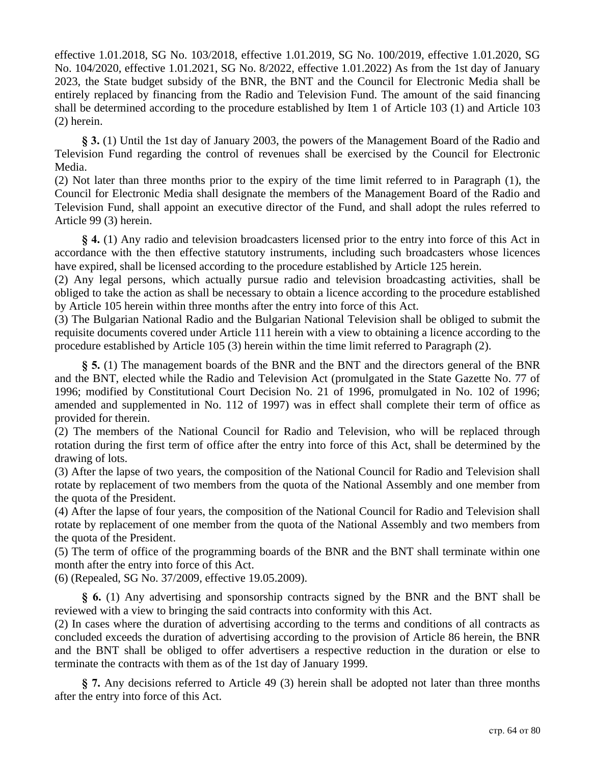effective 1.01.2018, SG No. 103/2018, effective 1.01.2019, SG No. 100/2019, effective 1.01.2020, SG No. 104/2020, effective 1.01.2021, SG No. 8/2022, effective 1.01.2022) As from the 1st day of January 2023, the State budget subsidy of the BNR, the BNT and the Council for Electronic Media shall be entirely replaced by financing from the Radio and Television Fund. The amount of the said financing shall be determined according to the procedure established by Item 1 of Article 103 (1) and Article 103 (2) herein.

**§ 3.** (1) Until the 1st day of January 2003, the powers of the Management Board of the Radio and Television Fund regarding the control of revenues shall be exercised by the Council for Electronic Media.

(2) Not later than three months prior to the expiry of the time limit referred to in Paragraph (1), the Council for Electronic Media shall designate the members of the Management Board of the Radio and Television Fund, shall appoint an executive director of the Fund, and shall adopt the rules referred to Article 99 (3) herein.

**§ 4.** (1) Any radio and television broadcasters licensed prior to the entry into force of this Act in accordance with the then effective statutory instruments, including such broadcasters whose licences have expired, shall be licensed according to the procedure established by Article 125 herein.

(2) Any legal persons, which actually pursue radio and television broadcasting activities, shall be obliged to take the action as shall be necessary to obtain a licence according to the procedure established by Article 105 herein within three months after the entry into force of this Act.

(3) The Bulgarian National Radio and the Bulgarian National Television shall be obliged to submit the requisite documents covered under Article 111 herein with a view to obtaining a licence according to the procedure established by Article 105 (3) herein within the time limit referred to Paragraph (2).

**§ 5.** (1) The management boards of the BNR and the BNT and the directors general of the BNR and the BNT, elected while the Radio and Television Act (promulgated in the State Gazette No. 77 of 1996; modified by Constitutional Court Decision No. 21 of 1996, promulgated in No. 102 of 1996; amended and supplemented in No. 112 of 1997) was in effect shall complete their term of office as provided for therein.

(2) The members of the National Council for Radio and Television, who will be replaced through rotation during the first term of office after the entry into force of this Act, shall be determined by the drawing of lots.

(3) After the lapse of two years, the composition of the National Council for Radio and Television shall rotate by replacement of two members from the quota of the National Assembly and one member from the quota of the President.

(4) After the lapse of four years, the composition of the National Council for Radio and Television shall rotate by replacement of one member from the quota of the National Assembly and two members from the quota of the President.

(5) The term of office of the programming boards of the BNR and the BNT shall terminate within one month after the entry into force of this Act.

(6) (Repealed, SG No. 37/2009, effective 19.05.2009).

**§ 6.** (1) Any advertising and sponsorship contracts signed by the BNR and the BNT shall be reviewed with a view to bringing the said contracts into conformity with this Act.

(2) In cases where the duration of advertising according to the terms and conditions of all contracts as concluded exceeds the duration of advertising according to the provision of Article 86 herein, the BNR and the BNT shall be obliged to offer advertisers a respective reduction in the duration or else to terminate the contracts with them as of the 1st day of January 1999.

**§ 7.** Any decisions referred to Article 49 (3) herein shall be adopted not later than three months after the entry into force of this Act.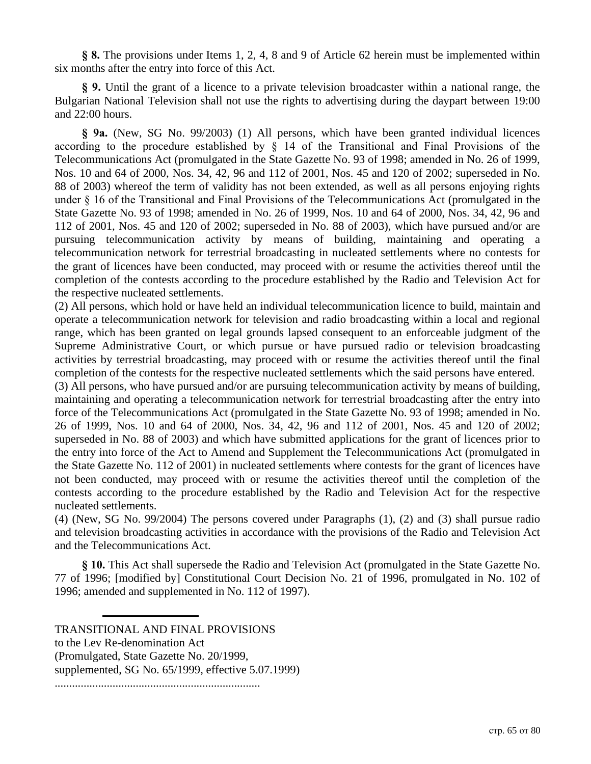**§ 8.** The provisions under Items 1, 2, 4, 8 and 9 of Article 62 herein must be implemented within six months after the entry into force of this Act.

**§ 9.** Until the grant of a licence to a private television broadcaster within a national range, the Bulgarian National Television shall not use the rights to advertising during the daypart between 19:00 and 22:00 hours.

**§ 9a.** (New, SG No. 99/2003) (1) All persons, which have been granted individual licences according to the procedure established by § 14 of the Transitional and Final Provisions of the Telecommunications Act (promulgated in the State Gazette No. 93 of 1998; amended in No. 26 of 1999, Nos. 10 and 64 of 2000, Nos. 34, 42, 96 and 112 of 2001, Nos. 45 and 120 of 2002; superseded in No. 88 of 2003) whereof the term of validity has not been extended, as well as all persons enjoying rights under § 16 of the Transitional and Final Provisions of the Telecommunications Act (promulgated in the State Gazette No. 93 of 1998; amended in No. 26 of 1999, Nos. 10 and 64 of 2000, Nos. 34, 42, 96 and 112 of 2001, Nos. 45 and 120 of 2002; superseded in No. 88 of 2003), which have pursued and/or are pursuing telecommunication activity by means of building, maintaining and operating a telecommunication network for terrestrial broadcasting in nucleated settlements where no contests for the grant of licences have been conducted, may proceed with or resume the activities thereof until the completion of the contests according to the procedure established by the Radio and Television Act for the respective nucleated settlements.

(2) All persons, which hold or have held an individual telecommunication licence to build, maintain and operate a telecommunication network for television and radio broadcasting within a local and regional range, which has been granted on legal grounds lapsed consequent to an enforceable judgment of the Supreme Administrative Court, or which pursue or have pursued radio or television broadcasting activities by terrestrial broadcasting, may proceed with or resume the activities thereof until the final completion of the contests for the respective nucleated settlements which the said persons have entered.

(3) All persons, who have pursued and/or are pursuing telecommunication activity by means of building, maintaining and operating a telecommunication network for terrestrial broadcasting after the entry into force of the Telecommunications Act (promulgated in the State Gazette No. 93 of 1998; amended in No. 26 of 1999, Nos. 10 and 64 of 2000, Nos. 34, 42, 96 and 112 of 2001, Nos. 45 and 120 of 2002; superseded in No. 88 of 2003) and which have submitted applications for the grant of licences prior to the entry into force of the Act to Amend and Supplement the Telecommunications Act (promulgated in the State Gazette No. 112 of 2001) in nucleated settlements where contests for the grant of licences have not been conducted, may proceed with or resume the activities thereof until the completion of the contests according to the procedure established by the Radio and Television Act for the respective nucleated settlements.

(4) (New, SG No. 99/2004) The persons covered under Paragraphs (1), (2) and (3) shall pursue radio and television broadcasting activities in accordance with the provisions of the Radio and Television Act and the Telecommunications Act.

**§ 10.** This Act shall supersede the Radio and Television Act (promulgated in the State Gazette No. 77 of 1996; [modified by] Constitutional Court Decision No. 21 of 1996, promulgated in No. 102 of 1996; amended and supplemented in No. 112 of 1997).

TRANSITIONAL AND FINAL PROVISIONS to the Lev Re-denomination Act (Promulgated, State Gazette No. 20/1999, supplemented, SG No. 65/1999, effective 5.07.1999) .......................................................................

стр. 65 от 80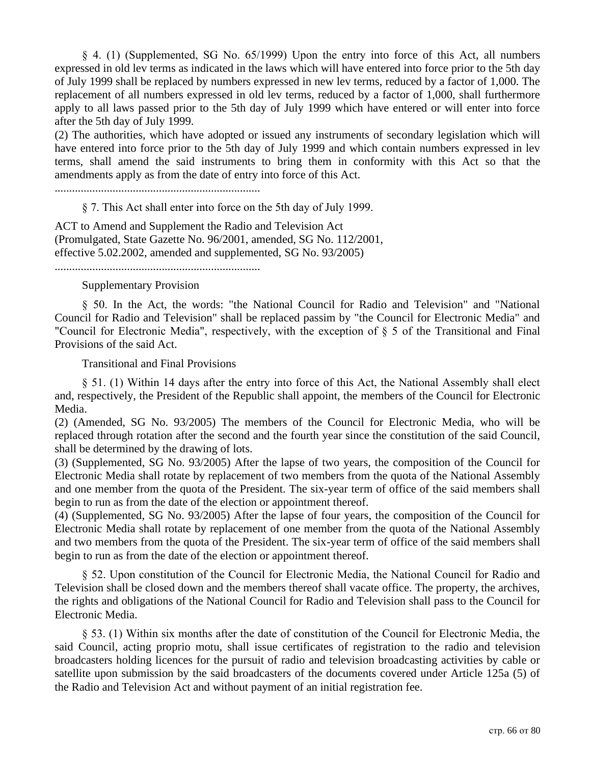§ 4. (1) (Supplemented, SG No. 65/1999) Upon the entry into force of this Act, all numbers expressed in old lev terms as indicated in the laws which will have entered into force prior to the 5th day of July 1999 shall be replaced by numbers expressed in new lev terms, reduced by a factor of 1,000. The replacement of all numbers expressed in old lev terms, reduced by a factor of 1,000, shall furthermore apply to all laws passed prior to the 5th day of July 1999 which have entered or will enter into force after the 5th day of July 1999.

(2) The authorities, which have adopted or issued any instruments of secondary legislation which will have entered into force prior to the 5th day of July 1999 and which contain numbers expressed in lev terms, shall amend the said instruments to bring them in conformity with this Act so that the amendments apply as from the date of entry into force of this Act.

.......................................................................

§ 7. This Act shall enter into force on the 5th day of July 1999.

ACT to Amend and Supplement the Radio and Television Act (Promulgated, State Gazette No. 96/2001, amended, SG No. 112/2001, effective 5.02.2002, amended and supplemented, SG No. 93/2005)

.......................................................................

#### Supplementary Provision

§ 50. In the Act, the words: "the National Council for Radio and Television" and "National Council for Radio and Television" shall be replaced passim by "the Council for Electronic Media" and "Council for Electronic Media", respectively, with the exception of § 5 of the Transitional and Final Provisions of the said Act.

Transitional and Final Provisions

§ 51. (1) Within 14 days after the entry into force of this Act, the National Assembly shall elect and, respectively, the President of the Republic shall appoint, the members of the Council for Electronic Media.

(2) (Amended, SG No. 93/2005) The members of the Council for Electronic Media, who will be replaced through rotation after the second and the fourth year since the constitution of the said Council, shall be determined by the drawing of lots.

(3) (Supplemented, SG No. 93/2005) After the lapse of two years, the composition of the Council for Electronic Media shall rotate by replacement of two members from the quota of the National Assembly and one member from the quota of the President. The six-year term of office of the said members shall begin to run as from the date of the election or appointment thereof.

(4) (Supplemented, SG No. 93/2005) After the lapse of four years, the composition of the Council for Electronic Media shall rotate by replacement of one member from the quota of the National Assembly and two members from the quota of the President. The six-year term of office of the said members shall begin to run as from the date of the election or appointment thereof.

§ 52. Upon constitution of the Council for Electronic Media, the National Council for Radio and Television shall be closed down and the members thereof shall vacate office. The property, the archives, the rights and obligations of the National Council for Radio and Television shall pass to the Council for Electronic Media.

§ 53. (1) Within six months after the date of constitution of the Council for Electronic Media, the said Council, acting proprio motu, shall issue certificates of registration to the radio and television broadcasters holding licences for the pursuit of radio and television broadcasting activities by cable or satellite upon submission by the said broadcasters of the documents covered under Article 125a (5) of the Radio and Television Act and without payment of an initial registration fee.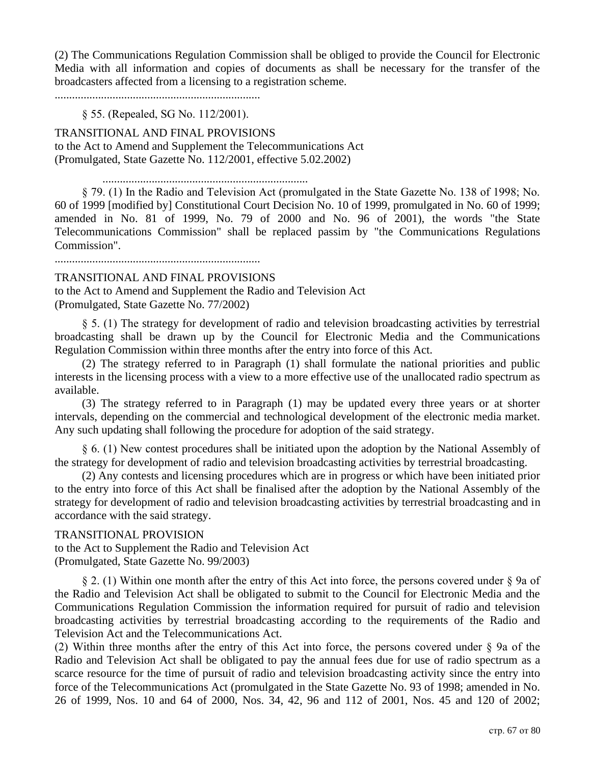(2) The Communications Regulation Commission shall be obliged to provide the Council for Electronic Media with all information and copies of documents as shall be necessary for the transfer of the broadcasters affected from a licensing to a registration scheme.

.......................................................................

#### § 55. (Repealed, SG No. 112/2001).

TRANSITIONAL AND FINAL PROVISIONS to the Act to Amend and Supplement the Telecommunications Act (Promulgated, State Gazette No. 112/2001, effective 5.02.2002)

.......................................................................

§ 79. (1) In the Radio and Television Act (promulgated in the State Gazette No. 138 of 1998; No. 60 of 1999 [modified by] Constitutional Court Decision No. 10 of 1999, promulgated in No. 60 of 1999; amended in No. 81 of 1999, No. 79 of 2000 and No. 96 of 2001), the words "the State Telecommunications Commission" shall be replaced passim by "the Communications Regulations Commission".

.......................................................................

#### TRANSITIONAL AND FINAL PROVISIONS

to the Act to Amend and Supplement the Radio and Television Act (Promulgated, State Gazette No. 77/2002)

§ 5. (1) The strategy for development of radio and television broadcasting activities by terrestrial broadcasting shall be drawn up by the Council for Electronic Media and the Communications Regulation Commission within three months after the entry into force of this Act.

(2) The strategy referred to in Paragraph (1) shall formulate the national priorities and public interests in the licensing process with a view to a more effective use of the unallocated radio spectrum as available.

(3) The strategy referred to in Paragraph (1) may be updated every three years or at shorter intervals, depending on the commercial and technological development of the electronic media market. Any such updating shall following the procedure for adoption of the said strategy.

§ 6. (1) New contest procedures shall be initiated upon the adoption by the National Assembly of the strategy for development of radio and television broadcasting activities by terrestrial broadcasting.

(2) Any contests and licensing procedures which are in progress or which have been initiated prior to the entry into force of this Act shall be finalised after the adoption by the National Assembly of the strategy for development of radio and television broadcasting activities by terrestrial broadcasting and in accordance with the said strategy.

#### TRANSITIONAL PROVISION

to the Act to Supplement the Radio and Television Act (Promulgated, State Gazette No. 99/2003)

§ 2. (1) Within one month after the entry of this Act into force, the persons covered under § 9a of the Radio and Television Act shall be obligated to submit to the Council for Electronic Media and the Communications Regulation Commission the information required for pursuit of radio and television broadcasting activities by terrestrial broadcasting according to the requirements of the Radio and Television Act and the Telecommunications Act.

(2) Within three months after the entry of this Act into force, the persons covered under § 9a of the Radio and Television Act shall be obligated to pay the annual fees due for use of radio spectrum as a scarce resource for the time of pursuit of radio and television broadcasting activity since the entry into force of the Telecommunications Act (promulgated in the State Gazette No. 93 of 1998; amended in No. 26 of 1999, Nos. 10 and 64 of 2000, Nos. 34, 42, 96 and 112 of 2001, Nos. 45 and 120 of 2002;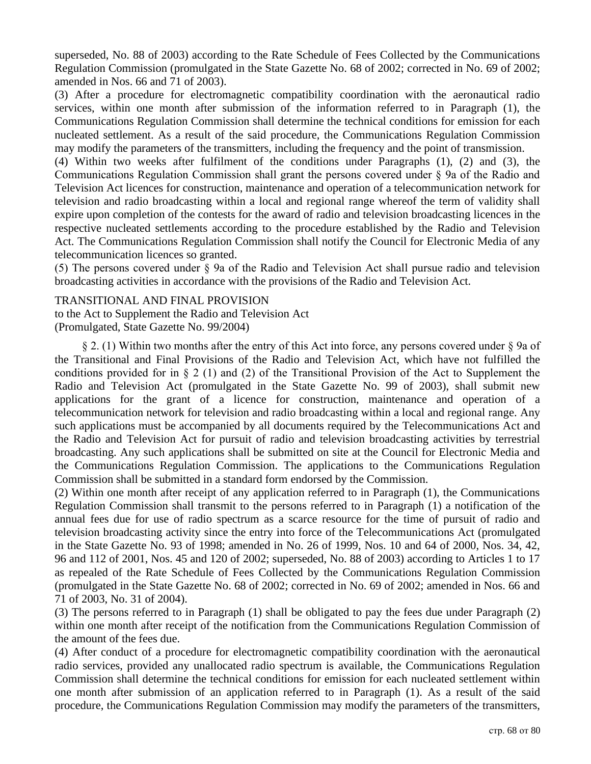superseded, No. 88 of 2003) according to the Rate Schedule of Fees Collected by the Communications Regulation Commission (promulgated in the State Gazette No. 68 of 2002; corrected in No. 69 of 2002; amended in Nos. 66 and 71 of 2003).

(3) After a procedure for electromagnetic compatibility coordination with the aeronautical radio services, within one month after submission of the information referred to in Paragraph (1), the Communications Regulation Commission shall determine the technical conditions for emission for each nucleated settlement. As a result of the said procedure, the Communications Regulation Commission may modify the parameters of the transmitters, including the frequency and the point of transmission.

(4) Within two weeks after fulfilment of the conditions under Paragraphs (1), (2) and (3), the Communications Regulation Commission shall grant the persons covered under § 9a of the Radio and Television Act licences for construction, maintenance and operation of a telecommunication network for television and radio broadcasting within a local and regional range whereof the term of validity shall expire upon completion of the contests for the award of radio and television broadcasting licences in the respective nucleated settlements according to the procedure established by the Radio and Television Act. The Communications Regulation Commission shall notify the Council for Electronic Media of any telecommunication licences so granted.

(5) The persons covered under § 9a of the Radio and Television Act shall pursue radio and television broadcasting activities in accordance with the provisions of the Radio and Television Act.

TRANSITIONAL AND FINAL PROVISION

to the Act to Supplement the Radio and Television Act (Promulgated, State Gazette No. 99/2004)

§ 2. (1) Within two months after the entry of this Act into force, any persons covered under § 9a of the Transitional and Final Provisions of the Radio and Television Act, which have not fulfilled the conditions provided for in § 2 (1) and (2) of the Transitional Provision of the Act to Supplement the Radio and Television Act (promulgated in the State Gazette No. 99 of 2003), shall submit new applications for the grant of a licence for construction, maintenance and operation of a telecommunication network for television and radio broadcasting within a local and regional range. Any such applications must be accompanied by all documents required by the Telecommunications Act and the Radio and Television Act for pursuit of radio and television broadcasting activities by terrestrial broadcasting. Any such applications shall be submitted on site at the Council for Electronic Media and the Communications Regulation Commission. The applications to the Communications Regulation Commission shall be submitted in a standard form endorsed by the Commission.

(2) Within one month after receipt of any application referred to in Paragraph (1), the Communications Regulation Commission shall transmit to the persons referred to in Paragraph (1) a notification of the annual fees due for use of radio spectrum as a scarce resource for the time of pursuit of radio and television broadcasting activity since the entry into force of the Telecommunications Act (promulgated in the State Gazette No. 93 of 1998; amended in No. 26 of 1999, Nos. 10 and 64 of 2000, Nos. 34, 42, 96 and 112 of 2001, Nos. 45 and 120 of 2002; superseded, No. 88 of 2003) according to Articles 1 to 17 as repealed of the Rate Schedule of Fees Collected by the Communications Regulation Commission (promulgated in the State Gazette No. 68 of 2002; corrected in No. 69 of 2002; amended in Nos. 66 and 71 of 2003, No. 31 of 2004).

(3) The persons referred to in Paragraph (1) shall be obligated to pay the fees due under Paragraph (2) within one month after receipt of the notification from the Communications Regulation Commission of the amount of the fees due.

(4) After conduct of a procedure for electromagnetic compatibility coordination with the aeronautical radio services, provided any unallocated radio spectrum is available, the Communications Regulation Commission shall determine the technical conditions for emission for each nucleated settlement within one month after submission of an application referred to in Paragraph (1). As a result of the said procedure, the Communications Regulation Commission may modify the parameters of the transmitters,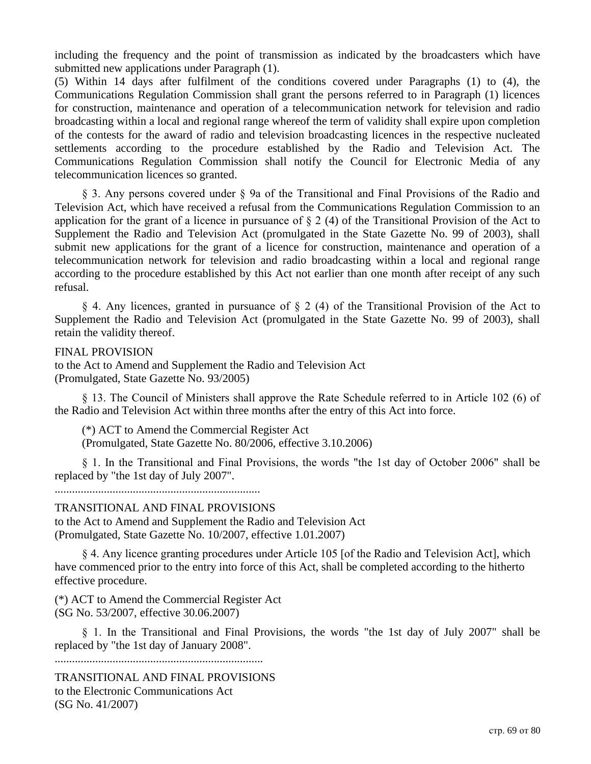including the frequency and the point of transmission as indicated by the broadcasters which have submitted new applications under Paragraph (1).

(5) Within 14 days after fulfilment of the conditions covered under Paragraphs (1) to (4), the Communications Regulation Commission shall grant the persons referred to in Paragraph (1) licences for construction, maintenance and operation of a telecommunication network for television and radio broadcasting within a local and regional range whereof the term of validity shall expire upon completion of the contests for the award of radio and television broadcasting licences in the respective nucleated settlements according to the procedure established by the Radio and Television Act. The Communications Regulation Commission shall notify the Council for Electronic Media of any telecommunication licences so granted.

§ 3. Any persons covered under § 9a of the Transitional and Final Provisions of the Radio and Television Act, which have received a refusal from the Communications Regulation Commission to an application for the grant of a licence in pursuance of § 2 (4) of the Transitional Provision of the Act to Supplement the Radio and Television Act (promulgated in the State Gazette No. 99 of 2003), shall submit new applications for the grant of a licence for construction, maintenance and operation of a telecommunication network for television and radio broadcasting within a local and regional range according to the procedure established by this Act not earlier than one month after receipt of any such refusal.

§ 4. Any licences, granted in pursuance of § 2 (4) of the Transitional Provision of the Act to Supplement the Radio and Television Act (promulgated in the State Gazette No. 99 of 2003), shall retain the validity thereof.

#### FINAL PROVISION

to the Act to Amend and Supplement the Radio and Television Act (Promulgated, State Gazette No. 93/2005)

§ 13. The Council of Ministers shall approve the Rate Schedule referred to in Article 102 (6) of the Radio and Television Act within three months after the entry of this Act into force.

(\*) ACT to Amend the Commercial Register Act

(Promulgated, State Gazette No. 80/2006, effective 3.10.2006)

§ 1. In the Transitional and Final Provisions, the words "the 1st day of October 2006" shall be replaced by "the 1st day of July 2007".

.......................................................................

#### TRANSITIONAL AND FINAL PROVISIONS

to the Act to Amend and Supplement the Radio and Television Act (Promulgated, State Gazette No. 10/2007, effective 1.01.2007)

§ 4. Any licence granting procedures under Article 105 [of the Radio and Television Act], which have commenced prior to the entry into force of this Act, shall be completed according to the hitherto effective procedure.

(\*) ACT to Amend the Commercial Register Act (SG No. 53/2007, effective 30.06.2007)

§ 1. In the Transitional and Final Provisions, the words "the 1st day of July 2007" shall be replaced by "the 1st day of January 2008".

........................................................................

TRANSITIONAL AND FINAL PROVISIONS to the Electronic Communications Act (SG No. 41/2007)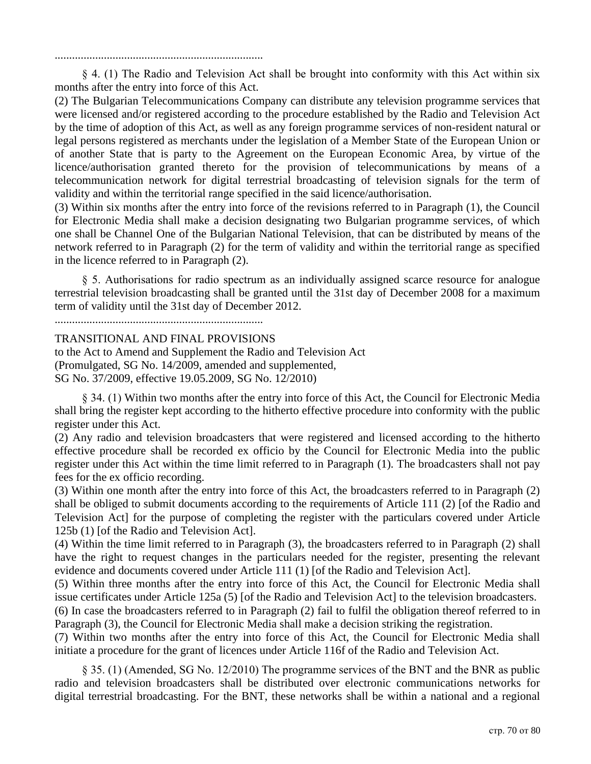........................................................................

§ 4. (1) The Radio and Television Act shall be brought into conformity with this Act within six months after the entry into force of this Act.

(2) The Bulgarian Telecommunications Company can distribute any television programme services that were licensed and/or registered according to the procedure established by the Radio and Television Act by the time of adoption of this Act, as well as any foreign programme services of non-resident natural or legal persons registered as merchants under the legislation of a Member State of the European Union or of another State that is party to the Agreement on the European Economic Area, by virtue of the licence/authorisation granted thereto for the provision of telecommunications by means of a telecommunication network for digital terrestrial broadcasting of television signals for the term of validity and within the territorial range specified in the said licence/authorisation.

(3) Within six months after the entry into force of the revisions referred to in Paragraph (1), the Council for Electronic Media shall make a decision designating two Bulgarian programme services, of which one shall be Channel One of the Bulgarian National Television, that can be distributed by means of the network referred to in Paragraph (2) for the term of validity and within the territorial range as specified in the licence referred to in Paragraph (2).

§ 5. Authorisations for radio spectrum as an individually assigned scarce resource for analogue terrestrial television broadcasting shall be granted until the 31st day of December 2008 for a maximum term of validity until the 31st day of December 2012.

........................................................................

#### TRANSITIONAL AND FINAL PROVISIONS

to the Act to Amend and Supplement the Radio and Television Act (Promulgated, SG No. 14/2009, amended and supplemented, SG No. 37/2009, effective 19.05.2009, SG No. 12/2010)

§ 34. (1) Within two months after the entry into force of this Act, the Council for Electronic Media shall bring the register kept according to the hitherto effective procedure into conformity with the public register under this Act.

(2) Any radio and television broadcasters that were registered and licensed according to the hitherto effective procedure shall be recorded ex officio by the Council for Electronic Media into the public register under this Act within the time limit referred to in Paragraph (1). The broadcasters shall not pay fees for the ex officio recording.

(3) Within one month after the entry into force of this Act, the broadcasters referred to in Paragraph (2) shall be obliged to submit documents according to the requirements of Article 111 (2) [of the Radio and Television Act] for the purpose of completing the register with the particulars covered under Article 125b (1) [of the Radio and Television Act].

(4) Within the time limit referred to in Paragraph (3), the broadcasters referred to in Paragraph (2) shall have the right to request changes in the particulars needed for the register, presenting the relevant evidence and documents covered under Article 111 (1) [of the Radio and Television Act].

(5) Within three months after the entry into force of this Act, the Council for Electronic Media shall issue certificates under Article 125a (5) [of the Radio and Television Act] to the television broadcasters.

(6) In case the broadcasters referred to in Paragraph (2) fail to fulfil the obligation thereof referred to in Paragraph (3), the Council for Electronic Media shall make a decision striking the registration.

(7) Within two months after the entry into force of this Act, the Council for Electronic Media shall initiate a procedure for the grant of licences under Article 116f of the Radio and Television Act.

§ 35. (1) (Amended, SG No. 12/2010) The programme services of the BNT and the BNR as public radio and television broadcasters shall be distributed over electronic communications networks for digital terrestrial broadcasting. For the BNT, these networks shall be within a national and a regional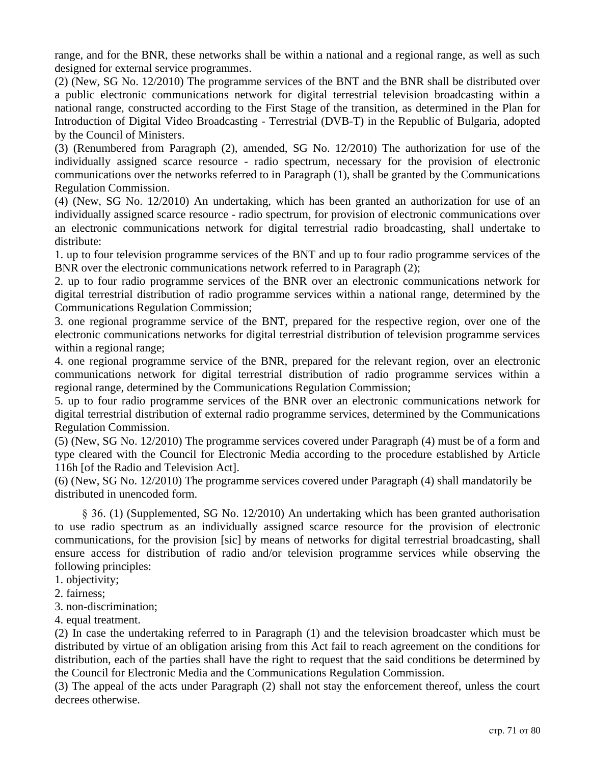range, and for the BNR, these networks shall be within a national and a regional range, as well as such designed for external service programmes.

(2) (New, SG No. 12/2010) The programme services of the BNT and the BNR shall be distributed over a public electronic communications network for digital terrestrial television broadcasting within a national range, constructed according to the First Stage of the transition, as determined in the Plan for Introduction of Digital Video Broadcasting - Terrestrial (DVB-T) in the Republic of Bulgaria, adopted by the Council of Ministers.

(3) (Renumbered from Paragraph (2), amended, SG No. 12/2010) The authorization for use of the individually assigned scarce resource - radio spectrum, necessary for the provision of electronic communications over the networks referred to in Paragraph (1), shall be granted by the Communications Regulation Commission.

(4) (New, SG No. 12/2010) An undertaking, which has been granted an authorization for use of an individually assigned scarce resource - radio spectrum, for provision of electronic communications over an electronic communications network for digital terrestrial radio broadcasting, shall undertake to distribute:

1. up to four television programme services of the BNT and up to four radio programme services of the BNR over the electronic communications network referred to in Paragraph (2);

2. up to four radio programme services of the BNR over an electronic communications network for digital terrestrial distribution of radio programme services within a national range, determined by the Communications Regulation Commission;

3. one regional programme service of the BNT, prepared for the respective region, over one of the electronic communications networks for digital terrestrial distribution of television programme services within a regional range;

4. one regional programme service of the BNR, prepared for the relevant region, over an electronic communications network for digital terrestrial distribution of radio programme services within a regional range, determined by the Communications Regulation Commission;

5. up to four radio programme services of the BNR over an electronic communications network for digital terrestrial distribution of external radio programme services, determined by the Communications Regulation Commission.

(5) (New, SG No. 12/2010) The programme services covered under Paragraph (4) must be of a form and type cleared with the Council for Electronic Media according to the procedure established by Article 116h [of the Radio and Television Act].

(6) (New, SG No. 12/2010) The programme services covered under Paragraph (4) shall mandatorily be distributed in unencoded form.

§ 36. (1) (Supplemented, SG No. 12/2010) An undertaking which has been granted authorisation to use radio spectrum as an individually assigned scarce resource for the provision of electronic communications, for the provision [sic] by means of networks for digital terrestrial broadcasting, shall ensure access for distribution of radio and/or television programme services while observing the following principles:

- 1. objectivity;
- 2. fairness;
- 3. non-discrimination;
- 4. equal treatment.

(2) In case the undertaking referred to in Paragraph (1) and the television broadcaster which must be distributed by virtue of an obligation arising from this Act fail to reach agreement on the conditions for distribution, each of the parties shall have the right to request that the said conditions be determined by the Council for Electronic Media and the Communications Regulation Commission.

(3) The appeal of the acts under Paragraph (2) shall not stay the enforcement thereof, unless the court decrees otherwise.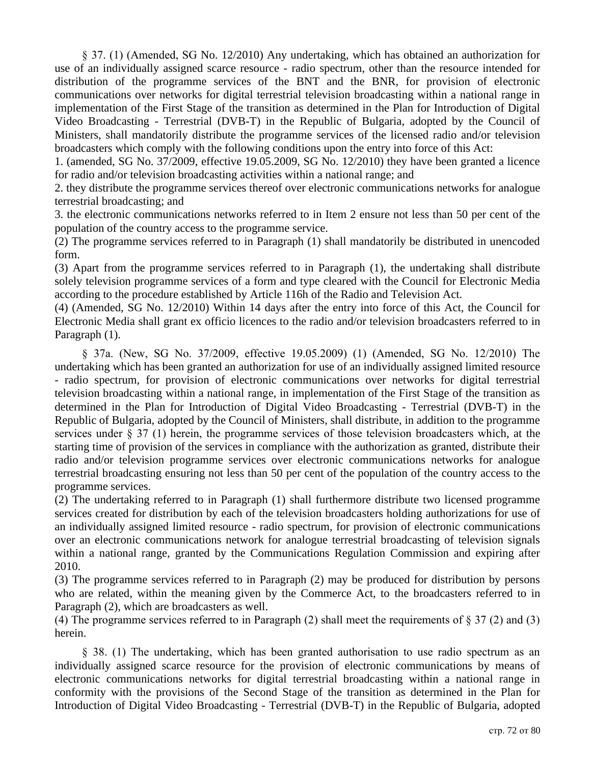§ 37. (1) (Amended, SG No. 12/2010) Any undertaking, which has obtained an authorization for use of an individually assigned scarce resource - radio spectrum, other than the resource intended for distribution of the programme services of the BNT and the BNR, for provision of electronic communications over networks for digital terrestrial television broadcasting within a national range in implementation of the First Stage of the transition as determined in the Plan for Introduction of Digital Video Broadcasting - Terrestrial (DVB-T) in the Republic of Bulgaria, adopted by the Council of Ministers, shall mandatorily distribute the programme services of the licensed radio and/or television broadcasters which comply with the following conditions upon the entry into force of this Act:

1. (amended, SG No. 37/2009, effective 19.05.2009, SG No. 12/2010) they have been granted a licence for radio and/or television broadcasting activities within a national range; and

2. they distribute the programme services thereof over electronic communications networks for analogue terrestrial broadcasting; and

3. the electronic communications networks referred to in Item 2 ensure not less than 50 per cent of the population of the country access to the programme service.

(2) The programme services referred to in Paragraph (1) shall mandatorily be distributed in unencoded form.

(3) Apart from the programme services referred to in Paragraph (1), the undertaking shall distribute solely television programme services of a form and type cleared with the Council for Electronic Media according to the procedure established by Article 116h of the Radio and Television Act.

(4) (Amended, SG No. 12/2010) Within 14 days after the entry into force of this Act, the Council for Electronic Media shall grant ex officio licences to the radio and/or television broadcasters referred to in Paragraph (1).

§ 37a. (New, SG No. 37/2009, effective 19.05.2009) (1) (Amended, SG No. 12/2010) The undertaking which has been granted an authorization for use of an individually assigned limited resource - radio spectrum, for provision of electronic communications over networks for digital terrestrial television broadcasting within a national range, in implementation of the First Stage of the transition as determined in the Plan for Introduction of Digital Video Broadcasting - Terrestrial (DVB-T) in the Republic of Bulgaria, adopted by the Council of Ministers, shall distribute, in addition to the programme services under § 37 (1) herein, the programme services of those television broadcasters which, at the starting time of provision of the services in compliance with the authorization as granted, distribute their radio and/or television programme services over electronic communications networks for analogue terrestrial broadcasting ensuring not less than 50 per cent of the population of the country access to the programme services.

(2) The undertaking referred to in Paragraph (1) shall furthermore distribute two licensed programme services created for distribution by each of the television broadcasters holding authorizations for use of an individually assigned limited resource - radio spectrum, for provision of electronic communications over an electronic communications network for analogue terrestrial broadcasting of television signals within a national range, granted by the Communications Regulation Commission and expiring after 2010.

(3) The programme services referred to in Paragraph (2) may be produced for distribution by persons who are related, within the meaning given by the Commerce Act, to the broadcasters referred to in Paragraph (2), which are broadcasters as well.

(4) The programme services referred to in Paragraph (2) shall meet the requirements of § 37 (2) and (3) herein.

§ 38. (1) The undertaking, which has been granted authorisation to use radio spectrum as an individually assigned scarce resource for the provision of electronic communications by means of electronic communications networks for digital terrestrial broadcasting within a national range in conformity with the provisions of the Second Stage of the transition as determined in the Plan for Introduction of Digital Video Broadcasting - Terrestrial (DVB-T) in the Republic of Bulgaria, adopted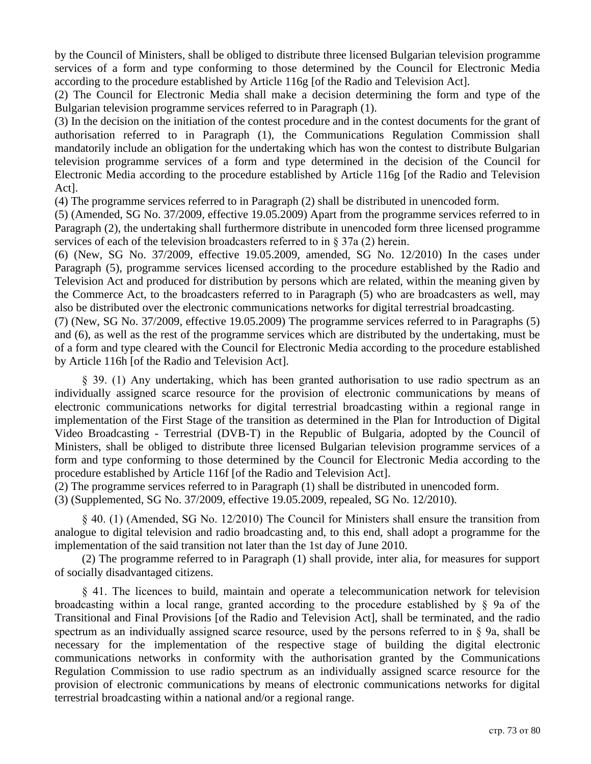by the Council of Ministers, shall be obliged to distribute three licensed Bulgarian television programme services of a form and type conforming to those determined by the Council for Electronic Media according to the procedure established by Article 116g [of the Radio and Television Act].

(2) The Council for Electronic Media shall make a decision determining the form and type of the Bulgarian television programme services referred to in Paragraph (1).

(3) In the decision on the initiation of the contest procedure and in the contest documents for the grant of authorisation referred to in Paragraph (1), the Communications Regulation Commission shall mandatorily include an obligation for the undertaking which has won the contest to distribute Bulgarian television programme services of a form and type determined in the decision of the Council for Electronic Media according to the procedure established by Article 116g [of the Radio and Television Act].

(4) The programme services referred to in Paragraph (2) shall be distributed in unencoded form.

(5) (Amended, SG No. 37/2009, effective 19.05.2009) Apart from the programme services referred to in Paragraph (2), the undertaking shall furthermore distribute in unencoded form three licensed programme services of each of the television broadcasters referred to in § 37a (2) herein.

(6) (New, SG No. 37/2009, effective 19.05.2009, amended, SG No. 12/2010) In the cases under Paragraph (5), programme services licensed according to the procedure established by the Radio and Television Act and produced for distribution by persons which are related, within the meaning given by the Commerce Act, to the broadcasters referred to in Paragraph (5) who are broadcasters as well, may also be distributed over the electronic communications networks for digital terrestrial broadcasting.

(7) (New, SG No. 37/2009, effective 19.05.2009) The programme services referred to in Paragraphs (5) and (6), as well as the rest of the programme services which are distributed by the undertaking, must be of a form and type cleared with the Council for Electronic Media according to the procedure established by Article 116h [of the Radio and Television Act].

§ 39. (1) Any undertaking, which has been granted authorisation to use radio spectrum as an individually assigned scarce resource for the provision of electronic communications by means of electronic communications networks for digital terrestrial broadcasting within a regional range in implementation of the First Stage of the transition as determined in the Plan for Introduction of Digital Video Broadcasting - Terrestrial (DVB-T) in the Republic of Bulgaria, adopted by the Council of Ministers, shall be obliged to distribute three licensed Bulgarian television programme services of a form and type conforming to those determined by the Council for Electronic Media according to the procedure established by Article 116f [of the Radio and Television Act].

(2) The programme services referred to in Paragraph (1) shall be distributed in unencoded form.

(3) (Supplemented, SG No. 37/2009, effective 19.05.2009, repealed, SG No. 12/2010).

§ 40. (1) (Amended, SG No. 12/2010) The Council for Ministers shall ensure the transition from analogue to digital television and radio broadcasting and, to this end, shall adopt a programme for the implementation of the said transition not later than the 1st day of June 2010.

(2) The programme referred to in Paragraph (1) shall provide, inter alia, for measures for support of socially disadvantaged citizens.

§ 41. The licences to build, maintain and operate a telecommunication network for television broadcasting within a local range, granted according to the procedure established by § 9a of the Transitional and Final Provisions [of the Radio and Television Act], shall be terminated, and the radio spectrum as an individually assigned scarce resource, used by the persons referred to in § 9a, shall be necessary for the implementation of the respective stage of building the digital electronic communications networks in conformity with the authorisation granted by the Communications Regulation Commission to use radio spectrum as an individually assigned scarce resource for the provision of electronic communications by means of electronic communications networks for digital terrestrial broadcasting within a national and/or a regional range.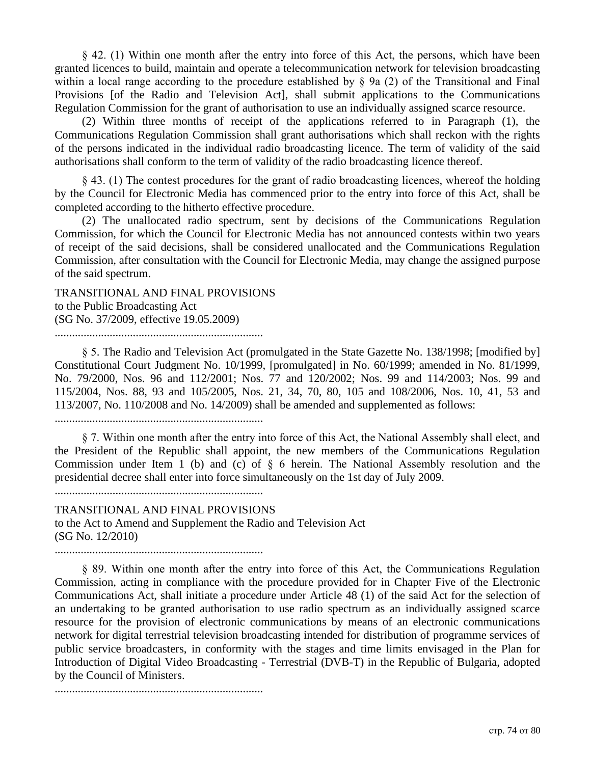§ 42. (1) Within one month after the entry into force of this Act, the persons, which have been granted licences to build, maintain and operate a telecommunication network for television broadcasting within a local range according to the procedure established by § 9a (2) of the Transitional and Final Provisions [of the Radio and Television Act], shall submit applications to the Communications Regulation Commission for the grant of authorisation to use an individually assigned scarce resource.

(2) Within three months of receipt of the applications referred to in Paragraph (1), the Communications Regulation Commission shall grant authorisations which shall reckon with the rights of the persons indicated in the individual radio broadcasting licence. The term of validity of the said authorisations shall conform to the term of validity of the radio broadcasting licence thereof.

§ 43. (1) The contest procedures for the grant of radio broadcasting licences, whereof the holding by the Council for Electronic Media has commenced prior to the entry into force of this Act, shall be completed according to the hitherto effective procedure.

(2) The unallocated radio spectrum, sent by decisions of the Communications Regulation Commission, for which the Council for Electronic Media has not announced contests within two years of receipt of the said decisions, shall be considered unallocated and the Communications Regulation Commission, after consultation with the Council for Electronic Media, may change the assigned purpose of the said spectrum.

TRANSITIONAL AND FINAL PROVISIONS to the Public Broadcasting Act (SG No. 37/2009, effective 19.05.2009)

........................................................................

§ 5. The Radio and Television Act (promulgated in the State Gazette No. 138/1998; [modified by] Constitutional Court Judgment No. 10/1999, [promulgated] in No. 60/1999; amended in No. 81/1999, No. 79/2000, Nos. 96 and 112/2001; Nos. 77 and 120/2002; Nos. 99 and 114/2003; Nos. 99 and 115/2004, Nos. 88, 93 and 105/2005, Nos. 21, 34, 70, 80, 105 and 108/2006, Nos. 10, 41, 53 and 113/2007, No. 110/2008 and No. 14/2009) shall be amended and supplemented as follows:

........................................................................

§ 7. Within one month after the entry into force of this Act, the National Assembly shall elect, and the President of the Republic shall appoint, the new members of the Communications Regulation Commission under Item 1 (b) and (c) of § 6 herein. The National Assembly resolution and the presidential decree shall enter into force simultaneously on the 1st day of July 2009.

........................................................................

TRANSITIONAL AND FINAL PROVISIONS to the Act to Amend and Supplement the Radio and Television Act (SG No. 12/2010)

........................................................................

§ 89. Within one month after the entry into force of this Act, the Communications Regulation Commission, acting in compliance with the procedure provided for in Chapter Five of the Electronic Communications Act, shall initiate a procedure under Article 48 (1) of the said Act for the selection of an undertaking to be granted authorisation to use radio spectrum as an individually assigned scarce resource for the provision of electronic communications by means of an electronic communications network for digital terrestrial television broadcasting intended for distribution of programme services of public service broadcasters, in conformity with the stages and time limits envisaged in the Plan for Introduction of Digital Video Broadcasting - Terrestrial (DVB-T) in the Republic of Bulgaria, adopted by the Council of Ministers.

........................................................................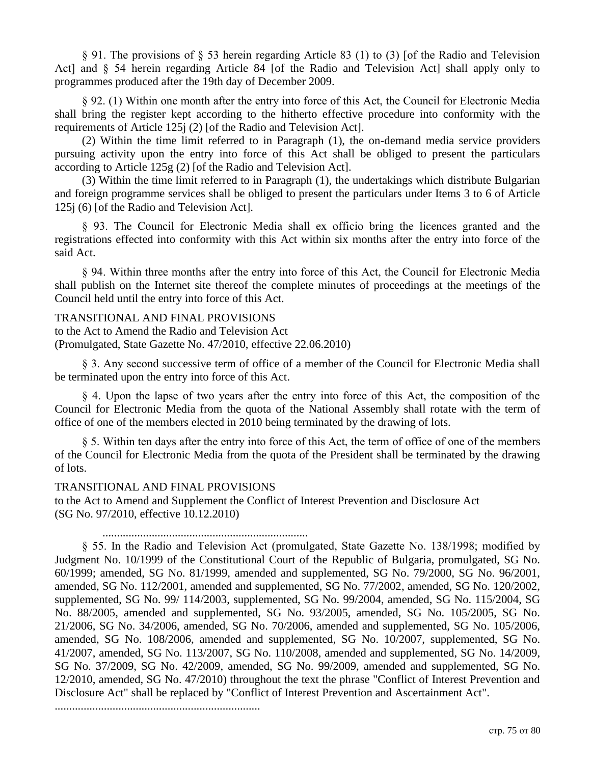§ 91. The provisions of § 53 herein regarding Article 83 (1) to (3) [of the Radio and Television Act] and § 54 herein regarding Article 84 [of the Radio and Television Act] shall apply only to programmes produced after the 19th day of December 2009.

§ 92. (1) Within one month after the entry into force of this Act, the Council for Electronic Media shall bring the register kept according to the hitherto effective procedure into conformity with the requirements of Article 125j (2) [of the Radio and Television Act].

(2) Within the time limit referred to in Paragraph (1), the on-demand media service providers pursuing activity upon the entry into force of this Act shall be obliged to present the particulars according to Article 125g (2) [of the Radio and Television Act].

(3) Within the time limit referred to in Paragraph (1), the undertakings which distribute Bulgarian and foreign programme services shall be obliged to present the particulars under Items 3 to 6 of Article 125j (6) [of the Radio and Television Act].

§ 93. The Council for Electronic Media shall ex officio bring the licences granted and the registrations effected into conformity with this Act within six months after the entry into force of the said Act.

§ 94. Within three months after the entry into force of this Act, the Council for Electronic Media shall publish on the Internet site thereof the complete minutes of proceedings at the meetings of the Council held until the entry into force of this Act.

# TRANSITIONAL AND FINAL PROVISIONS

to the Act to Amend the Radio and Television Act (Promulgated, State Gazette No. 47/2010, effective 22.06.2010)

§ 3. Any second successive term of office of a member of the Council for Electronic Media shall be terminated upon the entry into force of this Act.

§ 4. Upon the lapse of two years after the entry into force of this Act, the composition of the Council for Electronic Media from the quota of the National Assembly shall rotate with the term of office of one of the members elected in 2010 being terminated by the drawing of lots.

§ 5. Within ten days after the entry into force of this Act, the term of office of one of the members of the Council for Electronic Media from the quota of the President shall be terminated by the drawing of lots.

# TRANSITIONAL AND FINAL PROVISIONS

to the Act to Amend and Supplement the Conflict of Interest Prevention and Disclosure Act (SG No. 97/2010, effective 10.12.2010)

#### .......................................................................

§ 55. In the Radio and Television Act (promulgated, State Gazette No. 138/1998; modified by Judgment No. 10/1999 of the Constitutional Court of the Republic of Bulgaria, promulgated, SG No. 60/1999; amended, SG No. 81/1999, amended and supplemented, SG No. 79/2000, SG No. 96/2001, amended, SG No. 112/2001, amended and supplemented, SG No. 77/2002, amended, SG No. 120/2002, supplemented, SG No. 99/ 114/2003, supplemented, SG No. 99/2004, amended, SG No. 115/2004, SG No. 88/2005, amended and supplemented, SG No. 93/2005, amended, SG No. 105/2005, SG No. 21/2006, SG No. 34/2006, amended, SG No. 70/2006, amended and supplemented, SG No. 105/2006, amended, SG No. 108/2006, amended and supplemented, SG No. 10/2007, supplemented, SG No. 41/2007, amended, SG No. 113/2007, SG No. 110/2008, amended and supplemented, SG No. 14/2009, SG No. 37/2009, SG No. 42/2009, amended, SG No. 99/2009, amended and supplemented, SG No. 12/2010, amended, SG No. 47/2010) throughout the text the phrase "Conflict of Interest Prevention and Disclosure Act" shall be replaced by "Conflict of Interest Prevention and Ascertainment Act".

.......................................................................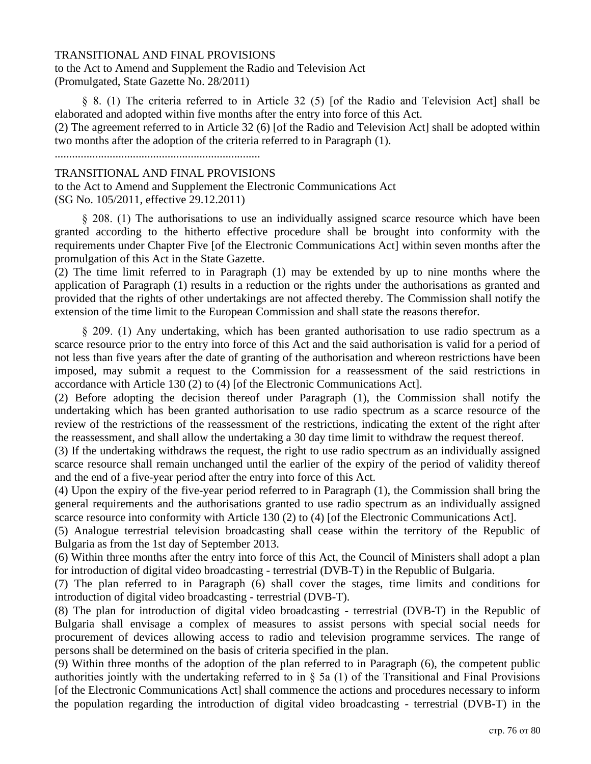### TRANSITIONAL AND FINAL PROVISIONS

to the Act to Amend and Supplement the Radio and Television Act (Promulgated, State Gazette No. 28/2011)

§ 8. (1) The criteria referred to in Article 32 (5) [of the Radio and Television Act] shall be elaborated and adopted within five months after the entry into force of this Act.

(2) The agreement referred to in Article 32 (6) [of the Radio and Television Act] shall be adopted within two months after the adoption of the criteria referred to in Paragraph (1).

.......................................................................

### TRANSITIONAL AND FINAL PROVISIONS

to the Act to Amend and Supplement the Electronic Communications Act (SG No. 105/2011, effective 29.12.2011)

§ 208. (1) The authorisations to use an individually assigned scarce resource which have been granted according to the hitherto effective procedure shall be brought into conformity with the requirements under Chapter Five [of the Electronic Communications Act] within seven months after the promulgation of this Act in the State Gazette.

(2) The time limit referred to in Paragraph (1) may be extended by up to nine months where the application of Paragraph (1) results in a reduction or the rights under the authorisations as granted and provided that the rights of other undertakings are not affected thereby. The Commission shall notify the extension of the time limit to the European Commission and shall state the reasons therefor.

§ 209. (1) Any undertaking, which has been granted authorisation to use radio spectrum as a scarce resource prior to the entry into force of this Act and the said authorisation is valid for a period of not less than five years after the date of granting of the authorisation and whereon restrictions have been imposed, may submit a request to the Commission for a reassessment of the said restrictions in accordance with Article 130 (2) to (4) [of the Electronic Communications Act].

(2) Before adopting the decision thereof under Paragraph (1), the Commission shall notify the undertaking which has been granted authorisation to use radio spectrum as a scarce resource of the review of the restrictions of the reassessment of the restrictions, indicating the extent of the right after the reassessment, and shall allow the undertaking a 30 day time limit to withdraw the request thereof.

(3) If the undertaking withdraws the request, the right to use radio spectrum as an individually assigned scarce resource shall remain unchanged until the earlier of the expiry of the period of validity thereof and the end of a five-year period after the entry into force of this Act.

(4) Upon the expiry of the five-year period referred to in Paragraph (1), the Commission shall bring the general requirements and the authorisations granted to use radio spectrum as an individually assigned scarce resource into conformity with Article 130 (2) to (4) [of the Electronic Communications Act].

(5) Analogue terrestrial television broadcasting shall cease within the territory of the Republic of Bulgaria as from the 1st day of September 2013.

(6) Within three months after the entry into force of this Act, the Council of Ministers shall adopt a plan for introduction of digital video broadcasting - terrestrial (DVB-T) in the Republic of Bulgaria.

(7) The plan referred to in Paragraph (6) shall cover the stages, time limits and conditions for introduction of digital video broadcasting - terrestrial (DVB-T).

(8) The plan for introduction of digital video broadcasting - terrestrial (DVB-T) in the Republic of Bulgaria shall envisage a complex of measures to assist persons with special social needs for procurement of devices allowing access to radio and television programme services. The range of persons shall be determined on the basis of criteria specified in the plan.

(9) Within three months of the adoption of the plan referred to in Paragraph (6), the competent public authorities jointly with the undertaking referred to in § 5a (1) of the Transitional and Final Provisions [of the Electronic Communications Act] shall commence the actions and procedures necessary to inform the population regarding the introduction of digital video broadcasting - terrestrial (DVB-T) in the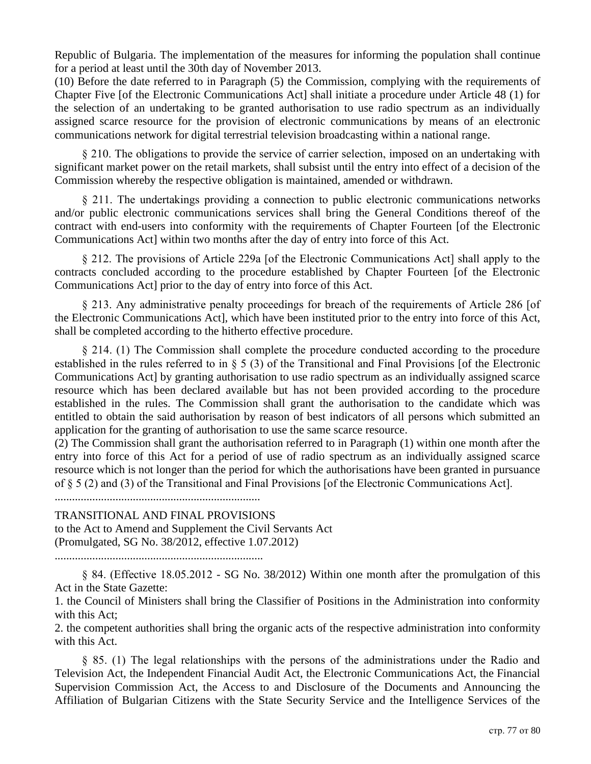Republic of Bulgaria. The implementation of the measures for informing the population shall continue for a period at least until the 30th day of November 2013.

(10) Before the date referred to in Paragraph (5) the Commission, complying with the requirements of Chapter Five [of the Electronic Communications Act] shall initiate a procedure under Article 48 (1) for the selection of an undertaking to be granted authorisation to use radio spectrum as an individually assigned scarce resource for the provision of electronic communications by means of an electronic communications network for digital terrestrial television broadcasting within a national range.

§ 210. The obligations to provide the service of carrier selection, imposed on an undertaking with significant market power on the retail markets, shall subsist until the entry into effect of a decision of the Commission whereby the respective obligation is maintained, amended or withdrawn.

§ 211. The undertakings providing a connection to public electronic communications networks and/or public electronic communications services shall bring the General Conditions thereof of the contract with end-users into conformity with the requirements of Chapter Fourteen [of the Electronic Communications Act] within two months after the day of entry into force of this Act.

§ 212. The provisions of Article 229a [of the Electronic Communications Act] shall apply to the contracts concluded according to the procedure established by Chapter Fourteen [of the Electronic Communications Act] prior to the day of entry into force of this Act.

§ 213. Any administrative penalty proceedings for breach of the requirements of Article 286 [of the Electronic Communications Act], which have been instituted prior to the entry into force of this Act, shall be completed according to the hitherto effective procedure.

§ 214. (1) The Commission shall complete the procedure conducted according to the procedure established in the rules referred to in § 5 (3) of the Transitional and Final Provisions [of the Electronic Communications Act] by granting authorisation to use radio spectrum as an individually assigned scarce resource which has been declared available but has not been provided according to the procedure established in the rules. The Commission shall grant the authorisation to the candidate which was entitled to obtain the said authorisation by reason of best indicators of all persons which submitted an application for the granting of authorisation to use the same scarce resource.

(2) The Commission shall grant the authorisation referred to in Paragraph (1) within one month after the entry into force of this Act for a period of use of radio spectrum as an individually assigned scarce resource which is not longer than the period for which the authorisations have been granted in pursuance of § 5 (2) and (3) of the Transitional and Final Provisions [of the Electronic Communications Act].

.......................................................................

TRANSITIONAL AND FINAL PROVISIONS to the Act to Amend and Supplement the Civil Servants Act (Promulgated, SG No. 38/2012, effective 1.07.2012)

........................................................................

§ 84. (Effective 18.05.2012 - SG No. 38/2012) Within one month after the promulgation of this Act in the State Gazette:

1. the Council of Ministers shall bring the Classifier of Positions in the Administration into conformity with this Act;

2. the competent authorities shall bring the organic acts of the respective administration into conformity with this Act.

§ 85. (1) The legal relationships with the persons of the administrations under the Radio and Television Act, the Independent Financial Audit Act, the Electronic Communications Act, the Financial Supervision Commission Act, the Access to and Disclosure of the Documents and Announcing the Affiliation of Bulgarian Citizens with the State Security Service and the Intelligence Services of the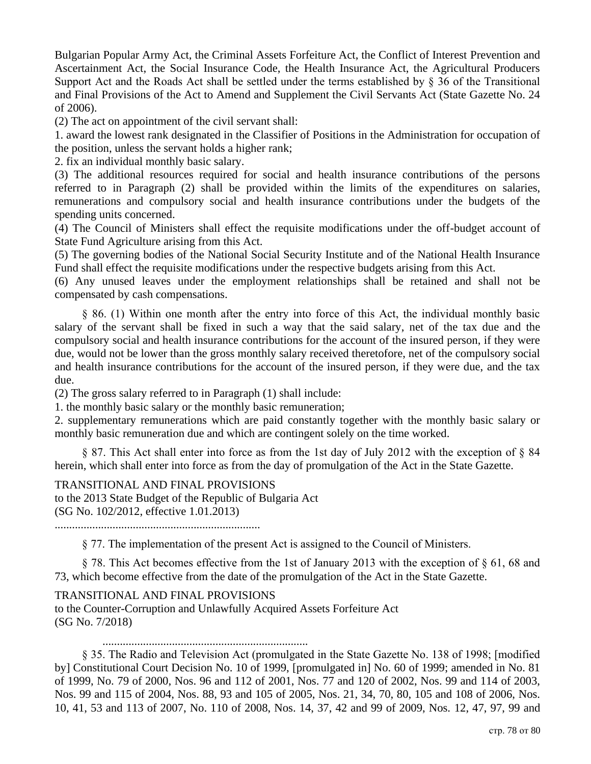Bulgarian Popular Army Act, the Criminal Assets Forfeiture Act, the Conflict of Interest Prevention and Ascertainment Act, the Social Insurance Code, the Health Insurance Act, the Agricultural Producers Support Act and the Roads Act shall be settled under the terms established by  $\S 36$  of the Transitional and Final Provisions of the Act to Amend and Supplement the Civil Servants Act (State Gazette No. 24 of 2006).

(2) The act on appointment of the civil servant shall:

1. award the lowest rank designated in the Classifier of Positions in the Administration for occupation of the position, unless the servant holds a higher rank;

2. fix an individual monthly basic salary.

(3) The additional resources required for social and health insurance contributions of the persons referred to in Paragraph (2) shall be provided within the limits of the expenditures on salaries, remunerations and compulsory social and health insurance contributions under the budgets of the spending units concerned.

(4) The Council of Ministers shall effect the requisite modifications under the off-budget account of State Fund Agriculture arising from this Act.

(5) The governing bodies of the National Social Security Institute and of the National Health Insurance Fund shall effect the requisite modifications under the respective budgets arising from this Act.

(6) Any unused leaves under the employment relationships shall be retained and shall not be compensated by cash compensations.

§ 86. (1) Within one month after the entry into force of this Act, the individual monthly basic salary of the servant shall be fixed in such a way that the said salary, net of the tax due and the compulsory social and health insurance contributions for the account of the insured person, if they were due, would not be lower than the gross monthly salary received theretofore, net of the compulsory social and health insurance contributions for the account of the insured person, if they were due, and the tax due.

(2) The gross salary referred to in Paragraph (1) shall include:

1. the monthly basic salary or the monthly basic remuneration;

2. supplementary remunerations which are paid constantly together with the monthly basic salary or monthly basic remuneration due and which are contingent solely on the time worked.

§ 87. This Act shall enter into force as from the 1st day of July 2012 with the exception of § 84 herein, which shall enter into force as from the day of promulgation of the Act in the State Gazette.

TRANSITIONAL AND FINAL PROVISIONS to the 2013 State Budget of the Republic of Bulgaria Act (SG No. 102/2012, effective 1.01.2013)

.......................................................................

§ 77. The implementation of the present Act is assigned to the Council of Ministers.

§ 78. This Act becomes effective from the 1st of January 2013 with the exception of § 61, 68 and 73, which become effective from the date of the promulgation of the Act in the State Gazette.

# TRANSITIONAL AND FINAL PROVISIONS

to the Counter-Corruption and Unlawfully Acquired Assets Forfeiture Act (SG No. 7/2018)

.......................................................................

§ 35. The Radio and Television Act (promulgated in the State Gazette No. 138 of 1998; [modified by] Constitutional Court Decision No. 10 of 1999, [promulgated in] No. 60 of 1999; amended in No. 81 of 1999, No. 79 of 2000, Nos. 96 and 112 of 2001, Nos. 77 and 120 of 2002, Nos. 99 and 114 of 2003, Nos. 99 and 115 of 2004, Nos. 88, 93 and 105 of 2005, Nos. 21, 34, 70, 80, 105 and 108 of 2006, Nos. 10, 41, 53 and 113 of 2007, No. 110 of 2008, Nos. 14, 37, 42 and 99 of 2009, Nos. 12, 47, 97, 99 and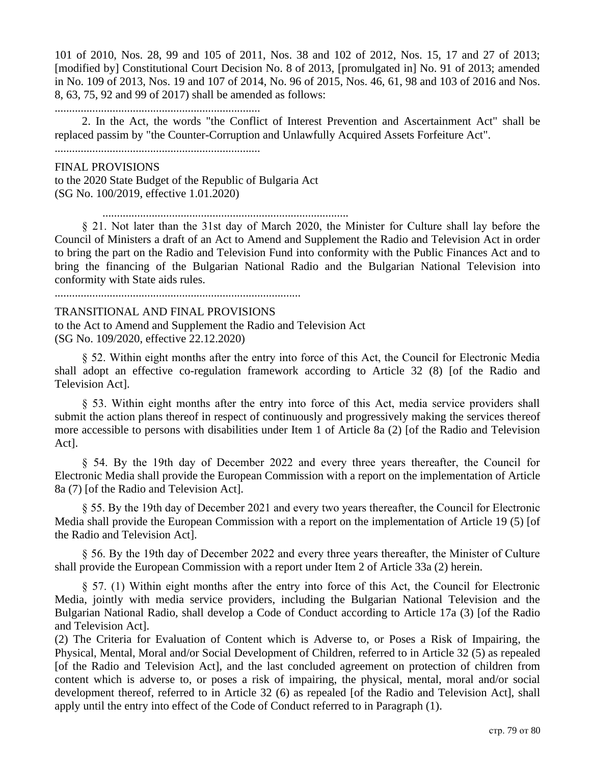101 of 2010, Nos. 28, 99 and 105 of 2011, Nos. 38 and 102 of 2012, Nos. 15, 17 and 27 of 2013; [modified by] Constitutional Court Decision No. 8 of 2013, [promulgated in] No. 91 of 2013; amended in No. 109 of 2013, Nos. 19 and 107 of 2014, No. 96 of 2015, Nos. 46, 61, 98 and 103 of 2016 and Nos. 8, 63, 75, 92 and 99 of 2017) shall be amended as follows:

.......................................................................

2. In the Act, the words "the Conflict of Interest Prevention and Ascertainment Act" shall be replaced passim by "the Counter-Corruption and Unlawfully Acquired Assets Forfeiture Act".

.......................................................................

FINAL PROVISIONS to the 2020 State Budget of the Republic of Bulgaria Act (SG No. 100/2019, effective 1.01.2020)

.....................................................................................

§ 21. Not later than the 31st day of March 2020, the Minister for Culture shall lay before the Council of Ministers a draft of an Act to Amend and Supplement the Radio and Television Act in order to bring the part on the Radio and Television Fund into conformity with the Public Finances Act and to bring the financing of the Bulgarian National Radio and the Bulgarian National Television into conformity with State aids rules.

.....................................................................................

#### TRANSITIONAL AND FINAL PROVISIONS

to the Act to Amend and Supplement the Radio and Television Act (SG No. 109/2020, effective 22.12.2020)

§ 52. Within eight months after the entry into force of this Act, the Council for Electronic Media shall adopt an effective co-regulation framework according to Article 32 (8) [of the Radio and Television Act].

§ 53. Within eight months after the entry into force of this Act, media service providers shall submit the action plans thereof in respect of continuously and progressively making the services thereof more accessible to persons with disabilities under Item 1 of Article 8a (2) [of the Radio and Television Act].

§ 54. By the 19th day of December 2022 and every three years thereafter, the Council for Electronic Media shall provide the European Commission with a report on the implementation of Article 8a (7) [of the Radio and Television Act].

§ 55. By the 19th day of December 2021 and every two years thereafter, the Council for Electronic Media shall provide the European Commission with a report on the implementation of Article 19 (5) [of the Radio and Television Act].

§ 56. By the 19th day of December 2022 and every three years thereafter, the Minister of Culture shall provide the European Commission with a report under Item 2 of Article 33a (2) herein.

§ 57. (1) Within eight months after the entry into force of this Act, the Council for Electronic Media, jointly with media service providers, including the Bulgarian National Television and the Bulgarian National Radio, shall develop a Code of Conduct according to Article 17a (3) [of the Radio and Television Act].

(2) The Criteria for Evaluation of Content which is Adverse to, or Poses a Risk of Impairing, the Physical, Mental, Moral and/or Social Development of Children, referred to in Article 32 (5) as repealed [of the Radio and Television Act], and the last concluded agreement on protection of children from content which is adverse to, or poses a risk of impairing, the physical, mental, moral and/or social development thereof, referred to in Article 32 (6) as repealed [of the Radio and Television Act], shall apply until the entry into effect of the Code of Conduct referred to in Paragraph (1).